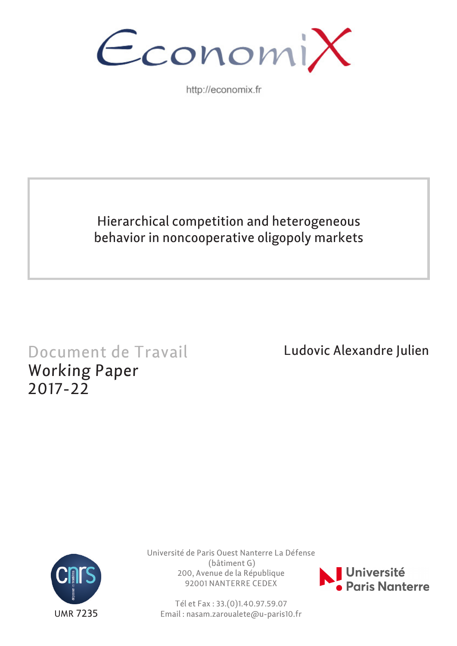

http://economix.fr

## Hierarchical competition and heterogeneous behavior in noncooperative oligopoly markets

# Document de Travail Working Paper 2017-22

Ludovic Alexandre Julien



Université de Paris Ouest Nanterre La Défense (bâtiment G) 200, Avenue de la République 92001 NANTERRE CEDEX



Tél et Fax : 33.(0)1.40.97.59.07 Email : nasam.zaroualete@u-paris10.fr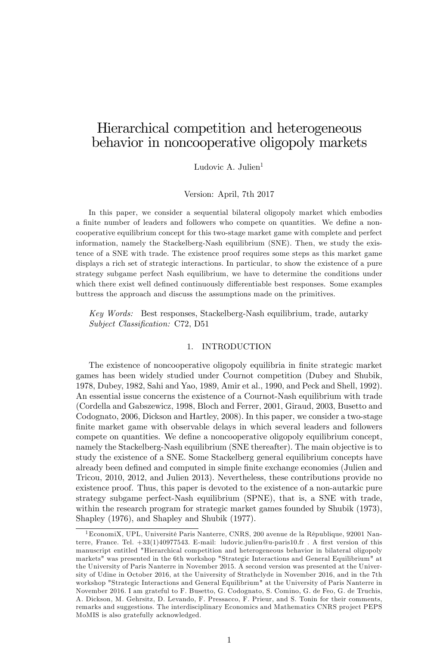### Hierarchical competition and heterogeneous behavior in noncooperative oligopoly markets

Ludovic A. Julien<sup>1</sup>

Version: April, 7th 2017

In this paper, we consider a sequential bilateral oligopoly market which embodies a finite number of leaders and followers who compete on quantities. We define a noncooperative equilibrium concept for this two-stage market game with complete and perfect information, namely the Stackelberg-Nash equilibrium (SNE). Then, we study the existence of a SNE with trade. The existence proof requires some steps as this market game displays a rich set of strategic interactions. In particular, to show the existence of a pure strategy subgame perfect Nash equilibrium, we have to determine the conditions under which there exist well defined continuously differentiable best responses. Some examples buttress the approach and discuss the assumptions made on the primitives.

Key Words: Best responses, Stackelberg-Nash equilibrium, trade, autarky Subject Classification: C72, D51

#### 1. INTRODUCTION

The existence of noncooperative oligopoly equilibria in finite strategic market games has been widely studied under Cournot competition (Dubey and Shubik, 1978, Dubey, 1982, Sahi and Yao, 1989, Amir et al., 1990, and Peck and Shell, 1992). An essential issue concerns the existence of a Cournot-Nash equilibrium with trade (Cordella and Gabszewicz, 1998, Bloch and Ferrer, 2001, Giraud, 2003, Busetto and Codognato, 2006, Dickson and Hartley, 2008). In this paper, we consider a two-stage finite market game with observable delays in which several leaders and followers compete on quantities. We define a noncooperative oligopoly equilibrium concept, namely the Stackelberg-Nash equilibrium (SNE thereafter). The main objective is to study the existence of a SNE. Some Stackelberg general equilibrium concepts have already been defined and computed in simple finite exchange economies (Julien and Tricou, 2010, 2012, and Julien 2013). Nevertheless, these contributions provide no existence proof. Thus, this paper is devoted to the existence of a non-autarkic pure strategy subgame perfect-Nash equilibrium (SPNE), that is, a SNE with trade, within the research program for strategic market games founded by Shubik (1973), Shapley (1976), and Shapley and Shubik (1977).

 $1$ EconomiX, UPL, Université Paris Nanterre, CNRS, 200 avenue de la République, 92001 Nanterre, France. Tel.  $+33(1)40977543$ . E-mail: ludovic.julien@u-paris10.fr . A first version of this manuscript entitled "Hierarchical competition and heterogeneous behavior in bilateral oligopoly markets" was presented in the 6th workshop "Strategic Interactions and General Equilibrium" at the University of Paris Nanterre in November 2015. A second version was presented at the University of Udine in October 2016, at the University of Strathclyde in November 2016, and in the 7th workshop "Strategic Interactions and General Equilibrium" at the University of Paris Nanterre in November 2016. I am grateful to F. Busetto, G. Codognato, S. Comino, G. de Feo, G. de Truchis, A. Dickson, M. Gehrsitz, D. Levando, F. Pressacco, F. Prieur, and S. Tonin for their comments, remarks and suggestions. The interdisciplinary Economics and Mathematics CNRS project PEPS MoMIS is also gratefully acknowledged.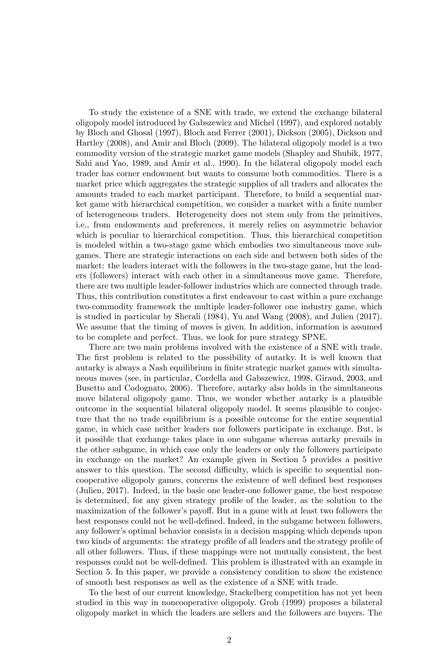To study the existence of a SNE with trade, we extend the exchange bilateral oligopoly model introduced by Gabszewicz and Michel (1997), and explored notably by Bloch and Ghosal (1997), Bloch and Ferrer (2001), Dickson (2005), Dickson and Hartley (2008), and Amir and Bloch (2009). The bilateral oligopoly model is a two commodity version of the strategic market game models (Shapley and Shubik, 1977, Sahi and Yao, 1989, and Amir et al., 1990). In the bilateral oligopoly model each trader has corner endowment but wants to consume both commodities. There is a market price which aggregates the strategic supplies of all traders and allocates the amounts traded to each market participant. Therefore, to build a sequential market game with hierarchical competition, we consider a market with a finite number of heterogeneous traders. Heterogeneity does not stem only from the primitives, i.e., from endowments and preferences, it merely relies on asymmetric behavior which is peculiar to hierarchical competition. Thus, this hierarchical competition is modeled within a two-stage game which embodies two simultaneous move subgames. There are strategic interactions on each side and between both sides of the market: the leaders interact with the followers in the two-stage game, but the leaders (followers) interact with each other in a simultaneous move game. Therefore, there are two multiple leader-follower industries which are connected through trade. Thus, this contribution constitutes a first endeavour to cast within a pure exchange two-commodity framework the multiple leader-follower one industry game, which is studied in particular by Sherali (1984), Yu and Wang (2008), and Julien (2017). We assume that the timing of moves is given. In addition, information is assumed to be complete and perfect. Thus, we look for pure strategy SPNE.

There are two main problems involved with the existence of a SNE with trade. The first problem is related to the possibility of autarky. It is well known that autarky is always a Nash equilibrium in finite strategic market games with simultaneous moves (see, in particular, Cordella and Gabszewicz, 1998, Giraud, 2003, and Busetto and Codognato, 2006). Therefore, autarky also holds in the simultaneous move bilateral oligopoly game. Thus, we wonder whether autarky is a plausible outcome in the sequential bilateral oligopoly model. It seems plausible to conjecture that the no trade equilibrium is a possible outcome for the entire sequential game, in which case neither leaders nor followers participate in exchange. But, is it possible that exchange takes place in one subgame whereas autarky prevails in the other subgame, in which case only the leaders or only the followers participate in exchange on the market? An example given in Section 5 provides a positive answer to this question. The second difficulty, which is specific to sequential noncooperative oligopoly games, concerns the existence of well defined best responses (Julien, 2017). Indeed, in the basic one leader-one follower game, the best response is determined, for any given strategy profile of the leader, as the solution to the maximization of the follower's payoff. But in a game with at least two followers the best responses could not be well-defined. Indeed, in the subgame between followers, any follower's optimal behavior consists in a decision mapping which depends upon two kinds of arguments: the strategy profile of all leaders and the strategy profile of all other followers. Thus, if these mappings were not mutually consistent, the best responses could not be well-defined. This problem is illustrated with an example in Section 5. In this paper, we provide a consistency condition to show the existence of smooth best responses as well as the existence of a SNE with trade.

To the best of our current knowledge, Stackelberg competition has not yet been studied in this way in noncooperative oligopoly. Groh (1999) proposes a bilateral oligopoly market in which the leaders are sellers and the followers are buyers. The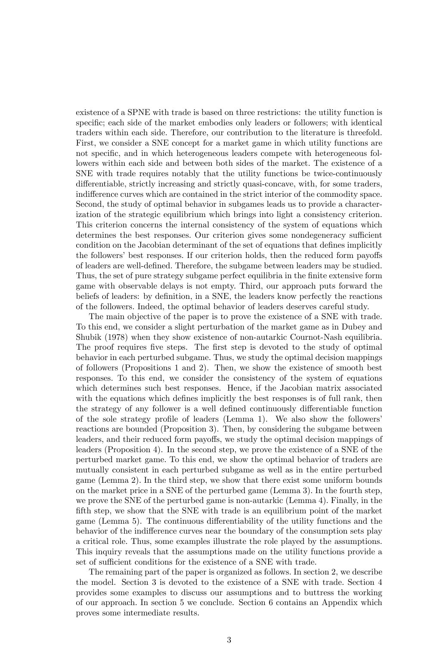existence of a SPNE with trade is based on three restrictions: the utility function is specific; each side of the market embodies only leaders or followers; with identical traders within each side. Therefore, our contribution to the literature is threefold. First, we consider a SNE concept for a market game in which utility functions are not specific, and in which heterogeneous leaders compete with heterogeneous followers within each side and between both sides of the market. The existence of a SNE with trade requires notably that the utility functions be twice-continuously differentiable, strictly increasing and strictly quasi-concave, with, for some traders, indifference curves which are contained in the strict interior of the commodity space. Second, the study of optimal behavior in subgames leads us to provide a characterization of the strategic equilibrium which brings into light a consistency criterion. This criterion concerns the internal consistency of the system of equations which determines the best responses. Our criterion gives some nondegeneracy sufficient condition on the Jacobian determinant of the set of equations that defines implicitly the followers' best responses. If our criterion holds, then the reduced form payoffs of leaders are well-deÖned. Therefore, the subgame between leaders may be studied. Thus, the set of pure strategy subgame perfect equilibria in the finite extensive form game with observable delays is not empty. Third, our approach puts forward the beliefs of leaders: by definition, in a SNE, the leaders know perfectly the reactions of the followers. Indeed, the optimal behavior of leaders deserves careful study.

The main objective of the paper is to prove the existence of a SNE with trade. To this end, we consider a slight perturbation of the market game as in Dubey and Shubik (1978) when they show existence of non-autarkic Cournot-Nash equilibria. The proof requires five steps. The first step is devoted to the study of optimal behavior in each perturbed subgame. Thus, we study the optimal decision mappings of followers (Propositions 1 and 2). Then, we show the existence of smooth best responses. To this end, we consider the consistency of the system of equations which determines such best responses. Hence, if the Jacobian matrix associated with the equations which defines implicitly the best responses is of full rank, then the strategy of any follower is a well defined continuously differentiable function of the sole strategy profile of leaders (Lemma 1). We also show the followers' reactions are bounded (Proposition 3). Then, by considering the subgame between leaders, and their reduced form payoffs, we study the optimal decision mappings of leaders (Proposition 4). In the second step, we prove the existence of a SNE of the perturbed market game. To this end, we show the optimal behavior of traders are mutually consistent in each perturbed subgame as well as in the entire perturbed game (Lemma 2). In the third step, we show that there exist some uniform bounds on the market price in a SNE of the perturbed game (Lemma 3). In the fourth step, we prove the SNE of the perturbed game is non-autarkic (Lemma 4). Finally, in the fifth step, we show that the SNE with trade is an equilibrium point of the market game (Lemma 5). The continuous differentiability of the utility functions and the behavior of the indifference curves near the boundary of the consumption sets play a critical role. Thus, some examples illustrate the role played by the assumptions. This inquiry reveals that the assumptions made on the utility functions provide a set of sufficient conditions for the existence of a SNE with trade.

The remaining part of the paper is organized as follows. In section 2, we describe the model. Section 3 is devoted to the existence of a SNE with trade. Section 4 provides some examples to discuss our assumptions and to buttress the working of our approach. In section 5 we conclude. Section 6 contains an Appendix which proves some intermediate results.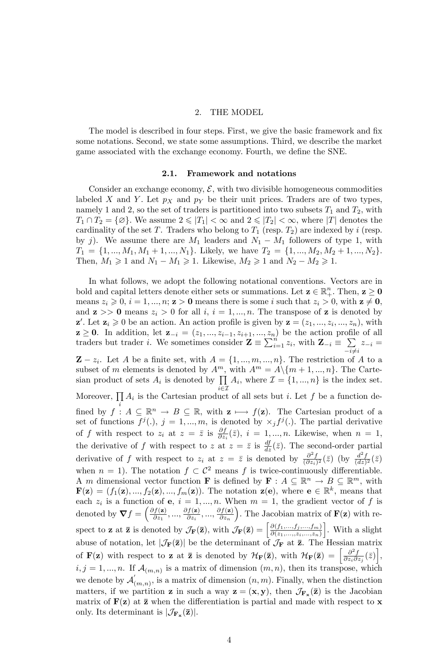#### 2. THE MODEL

The model is described in four steps. First, we give the basic framework and fix some notations. Second, we state some assumptions. Third, we describe the market game associated with the exchange economy. Fourth, we define the SNE.

#### 2.1. Framework and notations

Consider an exchange economy,  $\mathcal{E}$ , with two divisible homogeneous commodities labeled X and Y. Let  $p<sub>X</sub>$  and  $p<sub>Y</sub>$  be their unit prices. Traders are of two types, namely 1 and 2, so the set of traders is partitioned into two subsets  $T_1$  and  $T_2$ , with  $T_1 \cap T_2 = \{ \emptyset \}.$  We assume  $2 \leq |T_1| < \infty$  and  $2 \leq |T_2| < \infty$ , where  $|T|$  denotes the cardinality of the set T. Traders who belong to  $T_1$  (resp.  $T_2$ ) are indexed by i (resp. by j). We assume there are  $M_1$  leaders and  $N_1 - M_1$  followers of type 1, with  $T_1 = \{1, ..., M_1, M_1 + 1, ..., N_1\}$ . Likely, we have  $T_2 = \{1, ..., M_2, M_2 + 1, ..., N_2\}$ . Then,  $M_1 \geq 1$  and  $N_1 - M_1 \geq 1$ . Likewise,  $M_2 \geq 1$  and  $N_2 - M_2 \geq 1$ .

In what follows, we adopt the following notational conventions. Vectors are in bold and capital letters denote either sets or summations. Let  $\mathbf{z} \in \mathbb{R}^n_+$ . Then,  $\mathbf{z} \geq \mathbf{0}$ means  $z_i \geqslant 0, i = 1, ..., n; \mathbf{z} > \mathbf{0}$  means there is some i such that  $z_i > 0$ , with  $\mathbf{z} \neq \mathbf{0}$ , and  $z \gg 0$  means  $z_i > 0$  for all  $i, i = 1, ..., n$ . The transpose of z is denoted by  $\mathbf{z}'$ . Let  $\mathbf{z}_i \geq 0$  be an action. An action profile is given by  $\mathbf{z} = (z_1, ..., z_i, ..., z_n)$ , with  $z \ge 0$ . In addition, let  $z_{-i} = (z_1, ..., z_{i-1}, z_{i+1}, ..., z_n)$  be the action profile of all traders but trader *i*. We sometimes consider  $\mathbf{Z} \equiv \sum_{i=1}^{n} z_i$ , with  $\mathbf{Z}_{-i} \equiv \sum_{i=1}^{n} z_i$  $\sum_{-i\neq i} z_{-i} =$  $\mathbf{Z} - z_i$ . Let A be a finite set, with  $A = \{1, ..., m, ..., n\}$ . The restriction of A to a subset of m elements is denoted by  $A^m$ , with  $A^m = A \setminus \{m + 1, ..., n\}$ . The Cartesian product of sets  $A_i$  is denoted by  $\prod$  $i\in\mathcal{I}$  $A_i$ , where  $\mathcal{I} = \{1, ..., n\}$  is the index set. Moreover,  $\prod A_i$  is the Cartesian product of all sets but *i*. Let f be a function defined by  $f: A \subseteq \mathbb{R}^n \to B \subseteq \mathbb{R}$ , with  $z \mapsto f(z)$ . The Cartesian product of a set of functions  $f^{j}(.)$ ,  $j = 1, ..., m$ , is denoted by  $\times_j f^{j}(.)$ . The partial derivative of f with respect to  $z_i$  at  $z = \overline{z}$  is  $\frac{\partial f}{\partial z_i}(\overline{z})$ ,  $i = 1, ..., n$ . Likewise, when  $n = 1$ , the derivative of f with respect to z at  $z = \overline{z}$  is  $\frac{df}{dz}(\overline{z})$ . The second-order partial derivative of f with respect to  $z_i$  at  $z = \overline{z}$  is denoted by  $\frac{\partial^2 f}{(\partial z_i)^2}(\overline{z})$  (by  $\frac{d^2 f}{(dz)^2}(\overline{z})$ ) when  $n = 1$ ). The notation  $f \subset C^2$  means f is twice-continuously differentiable. A m dimensional vector function **F** is defined by  $\mathbf{F} : A \subseteq \mathbb{R}^n \to B \subseteq \mathbb{R}^m$ , with  $\mathbf{F}(\mathbf{z}) = (f_1(\mathbf{z}), ..., f_2(\mathbf{z}), ..., f_m(\mathbf{z}))$ . The notation  $\mathbf{z}(\mathbf{e})$ , where  $\mathbf{e} \in \mathbb{R}^k$ , means that each  $z_i$  is a function of **e**,  $i = 1, ..., n$ . When  $m = 1$ , the gradient vector of f is denoted by  $\boldsymbol{\nabla} f = \left(\frac{\partial f(\mathbf{z})}{\partial z_1}\right)$  $\frac{\partial f(\mathbf{z})}{\partial z_1},...,\frac{\partial f(\mathbf{z})}{\partial z_i}$  $\frac{\partial f(\mathbf{z})}{\partial z_i},...,\frac{\partial f(\mathbf{z})}{\partial z_n}$  $\partial z_n$ ). The Jacobian matrix of  $F(z)$  with respect to **z** at **z** is denoted by  $\mathcal{J}_{\mathbf{F}}(\mathbf{\bar{z}})$ , with  $\mathcal{J}_{\mathbf{F}}(\mathbf{\bar{z}}) = \begin{bmatrix} \frac{\partial(f_1,...,f_j,...,f_m)}{\partial(z_1,...,z_i,...,z_n)} \end{bmatrix}$  $\partial (z_1,...,z_i,...,z_n)$ . With a slight abuse of notation, let  $|\mathcal{J}_{\mathbf{F}}(\bar{\mathbf{z}})|$  be the determinant of  $\mathcal{J}_{\mathbf{F}}$  at  $\bar{\mathbf{z}}$ . The Hessian matrix of **F**(z) with respect to z at  $\bar{z}$  is denoted by  $\mathcal{H}_{\mathbf{F}}(\bar{z})$ , with  $\mathcal{H}_{\mathbf{F}}(\bar{z}) = \left[\frac{\partial^2 f}{\partial z_i \partial z_j}(\bar{z})\right]$ ,  $i, j = 1, ..., n$ . If  $\mathcal{A}_{(m,n)}$  is a matrix of dimension  $(m, n)$ , then its transpose, which we denote by  $\mathcal{A}'_{(m,n)}$ , is a matrix of dimension  $(n,m)$ . Finally, when the distinction matters, if we partition **z** in such a way  $\mathbf{z} = (\mathbf{x}, \mathbf{y})$ , then  $\mathcal{J}_{\mathbf{F}_{\mathbf{x}}}(\bar{\mathbf{z}})$  is the Jacobian matrix of  $F(z)$  at  $\overline{z}$  when the differentiation is partial and made with respect to  $x$ only. Its determinant is  $|\mathcal{J}_{\mathbf{F}_{\mathbf{x}}}(\bar{\mathbf{z}})|$ .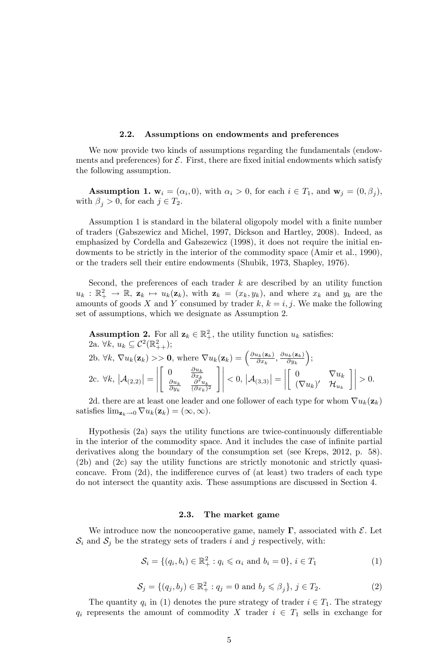#### 2.2. Assumptions on endowments and preferences

We now provide two kinds of assumptions regarding the fundamentals (endowments and preferences) for  $\mathcal{E}$ . First, there are fixed initial endowments which satisfy the following assumption.

**Assumption 1.**  $\mathbf{w}_i = (\alpha_i, 0)$ , with  $\alpha_i > 0$ , for each  $i \in T_1$ , and  $\mathbf{w}_j = (0, \beta_j)$ , with  $\beta_j > 0$ , for each  $j \in T_2$ .

Assumption 1 is standard in the bilateral oligopoly model with a finite number of traders (Gabszewicz and Michel, 1997, Dickson and Hartley, 2008). Indeed, as emphasized by Cordella and Gabszewicz (1998), it does not require the initial endowments to be strictly in the interior of the commodity space (Amir et al., 1990), or the traders sell their entire endowments (Shubik, 1973, Shapley, 1976).

Second, the preferences of each trader  $k$  are described by an utility function  $u_k : \mathbb{R}_+^2 \to \mathbb{R}$ ,  $\mathbf{z}_k \mapsto u_k(\mathbf{z}_k)$ , with  $\mathbf{z}_k = (x_k, y_k)$ , and where  $x_k$  and  $y_k$  are the amounts of goods X and Y consumed by trader  $k, k = i, j$ . We make the following set of assumptions, which we designate as Assumption 2.

**Assumption 2.** For all  $\mathbf{z}_k \in \mathbb{R}^2_+$ , the utility function  $u_k$  satisfies: 2a.  $\forall k, u_k \subseteq C^2(\mathbb{R}^2_{++});$ 

2b. 
$$
\forall k, \nabla u_k(\mathbf{z}_k) > \mathbf{0}
$$
, where  $\nabla u_k(\mathbf{z}_k) = \left(\frac{\partial u_k(\mathbf{z}_k)}{\partial x_k}, \frac{\partial u_k(\mathbf{z}_k)}{\partial y_k}\right);$   
\n2c.  $\forall k, |\mathcal{A}_{(2,2)}| = \begin{vmatrix} 0 & \frac{\partial u_k}{\partial x_k} \\ \frac{\partial u_k}{\partial y_k} & \frac{\partial^2 u_k}{(\partial x_k)^2} \end{vmatrix} \right| < 0, |\mathcal{A}_{(3,3)}| = \begin{vmatrix} 0 & \nabla u_k \\ (\nabla u_k)' & \mathcal{H}_{u_k} \end{vmatrix} > 0.$ 

2d. there are at least one leader and one follower of each type for whom  $\nabla u_k(\mathbf{z}_k)$ satisfies  $\lim_{z_k \to 0} \nabla u_k(z_k) = (\infty, \infty).$ 

Hypothesis  $(2a)$  says the utility functions are twice-continuously differentiable in the interior of the commodity space. And it includes the case of infinite partial derivatives along the boundary of the consumption set (see Kreps, 2012, p. 58). (2b) and (2c) say the utility functions are strictly monotonic and strictly quasiconcave. From  $(2d)$ , the indifference curves of  $(at \text{ least})$  two traders of each type do not intersect the quantity axis. These assumptions are discussed in Section 4.

#### 2.3. The market game

We introduce now the noncooperative game, namely  $\Gamma$ , associated with  $\mathcal{E}$ . Let  $S_i$  and  $S_j$  be the strategy sets of traders i and j respectively, with:

$$
S_i = \{ (q_i, b_i) \in \mathbb{R}_+^2 : q_i \leq \alpha_i \text{ and } b_i = 0 \}, i \in T_1
$$
 (1)

$$
S_j = \{(q_j, b_j) \in \mathbb{R}_+^2 : q_j = 0 \text{ and } b_j \leq \beta_j\}, j \in T_2.
$$
 (2)

The quantity  $q_i$  in (1) denotes the pure strategy of trader  $i \in T_1$ . The strategy  $q_i$  represents the amount of commodity X trader  $i \in T_1$  sells in exchange for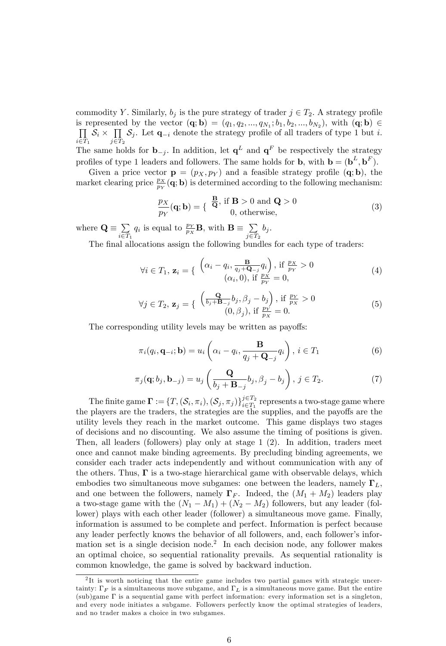commodity Y. Similarly,  $b_j$  is the pure strategy of trader  $j \in T_2$ . A strategy profile is represented by the vector  $(\mathbf{q}; \mathbf{b}) = (q_1, q_2, ..., q_{N_1}; b_1, b_2, ..., b_{N_2})$ , with  $(\mathbf{q}; \mathbf{b}) \in$ <br>  $\prod \mathcal{S}_i \times \prod \mathcal{S}_i$ . Let  $\mathbf{q}_{-i}$  denote the strategy profile of all traders of type 1 but *i*.  $\prod_{i\in T_1} S_i \times \prod_{j\in T}$  $\prod_{j\in T_2} S_j$ . Let  $\mathbf{q}_{-i}$  denote the strategy profile of all traders of type 1 but *i*. The same holds for  $\mathbf{b}_{-j}$ . In addition, let  $\mathbf{q}^L$  and  $\mathbf{q}^F$  be respectively the strategy profiles of type 1 leaders and followers. The same holds for **b**, with  $\mathbf{b} = (\mathbf{b}^L, \mathbf{b}^F)$ .

Given a price vector  $\mathbf{p} = (p_X, p_Y)$  and a feasible strategy profile  $(\mathbf{q}; \mathbf{b})$ , the market clearing price  $\frac{p_X}{p_Y}(\mathbf{q}; \mathbf{b})$  is determined according to the following mechanism:

$$
\frac{p_X}{p_Y}(\mathbf{q}; \mathbf{b}) = \begin{cases} \frac{\mathbf{B}}{\mathbf{Q}}, \text{ if } \mathbf{B} > 0 \text{ and } \mathbf{Q} > 0\\ 0, \text{ otherwise}, \end{cases}
$$
(3)

where  $\mathbf{Q} \equiv \sum_{n \in \mathbb{Z}}$  $i \in T_1$  $q_i$  is equal to  $\frac{p_Y}{p_X}$ **B**, with **B**  $\equiv \sum_{i \in \mathcal{F}}$  $j \in T_2$  $b_j$ .

The final allocations assign the following bundles for each type of traders:

$$
\forall i \in T_1, \mathbf{z}_i = \left\{ \begin{array}{c} \left( \alpha_i - q_i, \frac{\mathbf{B}}{q_j + \mathbf{Q}_{-j}} q_i \right), \text{ if } \frac{p_X}{p_Y} > 0\\ (\alpha_i, 0), \text{ if } \frac{p_X}{p_Y} = 0, \end{array} \right. \tag{4}
$$

$$
\forall j \in T_2, \mathbf{z}_j = \left\{ \begin{array}{l} \left( \frac{\mathbf{Q}}{b_j + \mathbf{B}_{-j}} b_j, \beta_j - b_j \right), \text{ if } \frac{p_Y}{p_X} > 0\\ (0, \beta_j), \text{ if } \frac{p_Y}{p_X} = 0. \end{array} \right. \tag{5}
$$

The corresponding utility levels may be written as payoffs:

$$
\pi_i(q_i, \mathbf{q}_{-i}; \mathbf{b}) = u_i\left(\alpha_i - q_i, \frac{\mathbf{B}}{q_j + \mathbf{Q}_{-j}} q_i\right), i \in T_1
$$
\n(6)

$$
\pi_j(\mathbf{q}; b_j, \mathbf{b}_{-j}) = u_j\left(\frac{\mathbf{Q}}{b_j + \mathbf{B}_{-j}} b_j, \beta_j - b_j\right), j \in T_2.
$$
\n(7)

The finite game  $\mathbf{\Gamma} := \{T, (\mathcal{S}_i, \pi_i), (\mathcal{S}_j, \pi_j)\}_{i \in T_1}^{j \in T_2}$  $\sum_{i\in T_1}^{j\in T_2}$  represents a two-stage game where the players are the traders, the strategies are the supplies, and the payoffs are the utility levels they reach in the market outcome. This game displays two stages of decisions and no discounting. We also assume the timing of positions is given. Then, all leaders (followers) play only at stage 1 (2). In addition, traders meet once and cannot make binding agreements. By precluding binding agreements, we consider each trader acts independently and without communication with any of the others. Thus,  $\Gamma$  is a two-stage hierarchical game with observable delays, which embodies two simultaneous move subgames: one between the leaders, namely  $\Gamma_L$ , and one between the followers, namely  $\Gamma_F$ . Indeed, the  $(M_1 + M_2)$  leaders play a two-stage game with the  $(N_1 - M_1) + (N_2 - M_2)$  followers, but any leader (follower) plays with each other leader (follower) a simultaneous move game. Finally, information is assumed to be complete and perfect. Information is perfect because any leader perfectly knows the behavior of all followers, and, each follower's information set is a single decision node.<sup>2</sup> In each decision node, any follower makes an optimal choice, so sequential rationality prevails. As sequential rationality is common knowledge, the game is solved by backward induction.

<sup>&</sup>lt;sup>2</sup>It is worth noticing that the entire game includes two partial games with strategic uncertainty:  $\Gamma_F$  is a simultaneous move subgame, and  $\Gamma_L$  is a simultaneous move game. But the entire  $(\text{sub})$ game  $\Gamma$  is a sequential game with perfect information: every information set is a singleton, and every node initiates a subgame. Followers perfectly know the optimal strategies of leaders, and no trader makes a choice in two subgames.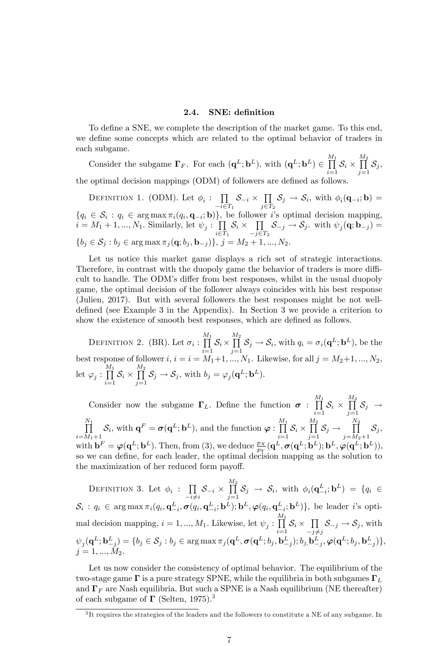#### 2.4. SNE: definition

To define a SNE, we complete the description of the market game. To this end, we define some concepts which are related to the optimal behavior of traders in each subgame.

Consider the subgame  $\Gamma_F$ . For each  $(\mathbf{q}^L; \mathbf{b}^L)$ , with  $(\mathbf{q}^L; \mathbf{b}^L) \in \prod_{i=1}^{M_1}$  $\prod_{i=1}$   $S_i$   $\times$  $\frac{M_2}{\prod}$  $\prod\limits_{j=1}^{} \mathcal{S}_j,$ the optimal decision mappings (ODM) of followers are defined as follows.

DEFINITION 1. (ODM). Let  $\phi_i: \prod$  $\prod_{i\in T_1} S_{-i} \times \prod_{j\in T}$  $\prod_{j\in T_2} S_j \to S_i$ , with  $\phi_i(\mathbf{q}_{-i}; \mathbf{b}) =$  ${q_i \in \mathcal{S}_i : q_i \in \text{arg}\max \pi_i(q_i, \mathbf{q}_{-i}; \mathbf{b})\},\}$  be follower i's optimal decision mapping,  $i = M_1 + 1, ..., N_1$ . Similarly, let  $\psi_j : \prod$  $\prod_{i\in T_1} S_i \times \prod_{-j\in T}$  $\prod_{j \in T_2} S_{-j} \to S_j$ , with  $\psi_j(\mathbf{q}; \mathbf{b}_{-j}) =$  ${b_i \in \mathcal{S}_i : b_j \in \arg \max \pi_i(\mathbf{q}; b_i, \mathbf{b}_{-i})}, j = M_2$ 

Let us notice this market game displays a rich set of strategic interactions. Therefore, in contrast with the duopoly game the behavior of traders is more difficult to handle. The ODM's differ from best responses, whilst in the usual duopoly game, the optimal decision of the follower always coincides with his best response (Julien, 2017). But with several followers the best responses might be not welldefined (see Example 3 in the Appendix). In Section 3 we provide a criterion to show the existence of smooth best responses, which are defined as follows.

DEFINITION 2. (BR). Let  $\sigma_i : \prod^{M_1}$  $\prod_{i=1}$   $\mathcal{S}_i$   $\times$  $\frac{M_2}{\prod}$  $\prod_{j=1}^{n} \mathcal{S}_j \rightarrow \mathcal{S}_i$ , with  $q_i = \sigma_i(\mathbf{q}^L; \mathbf{b}^L)$ , be the best response of follower  $i, i = i = M_1+1, ..., M_1$ . Likewise, for all  $j = M_2+1, ..., N_2$ , let  $\varphi_j : \prod^{M_1}$  $\prod_{i=1}$   $\mathcal{O}_i$   $\times$  $\frac{M_2}{\prod}$  $\prod_{j=1} \mathcal{S}_j \to \mathcal{S}_j$ , with  $b_j = \varphi_j(\mathbf{q}^L; \mathbf{b}^L)$ .

Consider now the subgame  $\Gamma_L$ . Define the function  $\sigma$ :  $\prod_{i=1}^{M_1}$  $\prod_{i=1}$   $S_i$   $\times$  $\frac{M_2}{\prod}$  $\prod_{j=1}$   $\sigma_j$   $\rightarrow$  $\prod^{N_1}$  $\prod_{i=M_1+1}^{N_1} \mathcal{S}_i$ , with  $\mathbf{q}^F = \sigma(\mathbf{q}^L; \mathbf{b}^L)$ , and the function  $\varphi : \prod_{i=1}^{M_1}$  $\prod_{i=1}$   $S_i$   $\times$  $\frac{M_2}{\prod}$  $\prod_{j=1}$   $\mathcal{S}_j \rightarrow$  $\frac{N_2}{\prod}$  $\prod_{j=M_2+1} \mathcal{S}_j,$ with  $\mathbf{b}^F = \boldsymbol{\varphi}(\mathbf{q}^L; \mathbf{b}^L)$ . Then, from (3), we deduce  $\frac{p_X}{p_Y}(\mathbf{q}^L, \boldsymbol{\sigma}(\mathbf{q}^L; \mathbf{b}^L); \mathbf{b}^L, \boldsymbol{\varphi}(\mathbf{q}^L; \mathbf{b}^L)),$ so we can define, for each leader, the optimal decision mapping as the solution to the maximization of her reduced form payoff.

DEFINITION 3. Let  $\phi_i$  :  $\prod_{i} \mathcal{S}_{-i} \times$  $-i\neq i$   $j=1$  $\prod_{i=1}^{M_2} S_j \rightarrow S_i$ , with  $\phi_i(\mathbf{q}_{-i}^L; \mathbf{b}^L) = \{q_i \in$  $S_i : q_i \in \arg\max \pi_i(q_i, \mathbf{q}_{-i}^-, \boldsymbol{\sigma}(q_i, \mathbf{q}_{-i}^-, \mathbf{b}^-); \mathbf{b}^-, \boldsymbol{\varphi}(q_i, \mathbf{q}_{-i}^-)$ :  $q_i \in \arg \max \pi_i(q_i, \mathbf{q}_{-i}^L, \sigma(q_i, \mathbf{q}_{-i}^L; \mathbf{b}^L); \mathbf{b}^L, \varphi(q_i, \mathbf{q}_{-i}^L; \mathbf{b}^L)\},$  be leader *i*'s optimal decision mapping,  $i = 1, ..., M_1$ . Likewise, let  $\psi_j : \prod^{M_1}$  $\prod_{i=1}^{\overrightarrow{\text{I}}} \mathcal{S}_i \times \prod_{-j \neq$  $\prod_{-j \neq j} \mathcal{S}_{-j} \to \mathcal{S}_j$ , with  $\psi_j(\mathbf{q}^L;\mathbf{b}^L_{-j}) = \{b_j \in \mathcal{S}_j : b_j \in \arg\max{\pi_j(\mathbf{q}^L, \pmb\sigma(\mathbf{q}^L; b_j, \mathbf{b}^L_{-j}); b_j, \mathbf{b}^L_{-j}, \pmb{\varphi}(\mathbf{q}^L; b_j, \mathbf{b}^L_{-j})\},$  $j = 1, ..., M_2.$ 

Let us now consider the consistency of optimal behavior. The equilibrium of the two-stage game  $\Gamma$  is a pure strategy SPNE, while the equilibria in both subgames  $\Gamma_L$ and  $\Gamma_F$  are Nash equilibria. But such a SPNE is a Nash equilibrium (NE thereafter) of each subgame of  $\Gamma$  (Selten, 1975).<sup>3</sup>

<sup>&</sup>lt;sup>3</sup>It requires the strategies of the leaders and the followers to constitute a NE of any subgame. In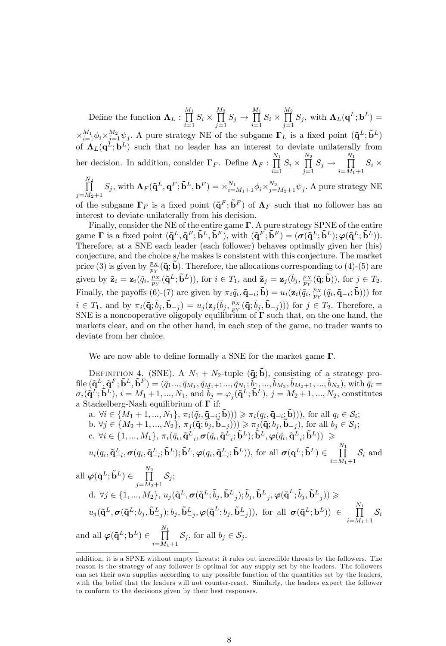Define the function  $\Lambda_L$  :  $\prod^{M_1}$  $\prod_{i=1} S_i \times$  $\frac{M_2}{\prod}$  $\prod_{j=1}^{M_2} S_j \to \prod_{i=1}^{M_1}$  $\prod_{i=1} S_i \times$  $\frac{M_2}{\prod}$  $\prod_{j=1}^{\tilde{\mathbf{I}}} S_j, \text{ with } \mathbf{\Lambda}_L(\mathbf{q}^L;\mathbf{b}^L) =$  $\times_{i=1}^{M_1} \phi_i \times_{j=1}^{M_2} \psi_j$ . A pure strategy NE of the subgame  $\Gamma_L$  is a fixed point  $(\tilde{\mathbf{q}}^L; \tilde{\mathbf{b}}^L)$ of  $\Lambda_L(q^L; b^L)$  such that no leader has an interest to deviate unilaterally from her decision. In addition, consider  $\Gamma_F$ . Define  $\Lambda_F$ :  $\prod^{N_1}$  $\prod_{i=1} S_i \times$  $\frac{N_2}{\prod}$  $\prod_{j=1}^{N_2} S_j \to \prod_{i=M_1}^{N_1}$  $\prod_{i=M_1+1} S_i \times$ 

 $\frac{N_2}{\prod}$  $\prod_{j=M_2+1}^{N_2} S_j$ , with  $\mathbf{\Lambda}_F(\mathbf{\tilde{q}}^L, \mathbf{q}^F; \mathbf{\tilde{b}}^L, \mathbf{b}^F) = \times_{i=M_1+1}^{N_1} \phi_i \times_{j=M_2+1}^{N_2} \psi_j$ . A pure strategy NE of the subgame  $\Gamma_F$  is a fixed point  $({\bf \tilde{q}}^F; {\bf \tilde{b}}^F)$  of  ${\bf \Lambda}_F$  such that no follower has an

interest to deviate unilaterally from his decision.

Finally, consider the NE of the entire game  $\Gamma$ . A pure strategy SPNE of the entire game  $\Gamma$  is a fixed point  $({\bf \tilde{q}}^L, {\bf \tilde{q}}^F; {\bf \tilde{b}}^L, {\bf \tilde{b}}^F)$ , with  $({\bf \tilde{q}}^F, {\bf \tilde{b}}^F) = ({\bf \sigma}({\bf \tilde{q}}^L; {\bf \tilde{b}}^L); {\bf \varphi}({\bf \tilde{q}}^L; {\bf \tilde{b}}^L)$ . Therefore, at a SNE each leader (each follower) behaves optimally given her (his) conjecture, and the choice s/he makes is consistent with this conjecture. The market price (3) is given by  $\frac{p_X}{p_Y}(\tilde{\bf q}; \tilde{\bf b})$ . Therefore, the allocations corresponding to (4)-(5) are given by  $\tilde{\mathbf{z}}_i = \mathbf{z}_i(\tilde{q}_i, \frac{p_X}{p_Y}(\tilde{\mathbf{q}}^L; \tilde{\mathbf{b}}^L)),$  for  $i \in T_1$ , and  $\tilde{\mathbf{z}}_j = \mathbf{z}_j(\tilde{b}_j, \frac{p_X}{p_Y}(\tilde{\mathbf{q}}; \tilde{\mathbf{b}})),$  for  $j \in T_2$ . Finally, the payoffs (6)-(7) are given by  $\pi_i \tilde{q}_i, \tilde{\mathbf{q}}_{-i}; \tilde{\mathbf{b}}) = u_i(\mathbf{z}_i(\tilde{q}_i, \frac{p_X}{p_Y}(\tilde{q}_i, \tilde{\mathbf{q}}_{-i}; \tilde{\mathbf{b}})))$  for  $i \in T_1$ , and by  $\pi_i(\tilde{\mathbf{q}}; \tilde{b}_j, \tilde{\mathbf{b}}_{-j}) = u_j(\mathbf{z}_j(\tilde{b}_j, \frac{p_X}{p_Y}(\tilde{\mathbf{q}}; \tilde{b}_j, \tilde{\mathbf{b}}_{-j})))$  for  $j \in T_2$ . Therefore, a SNE is a noncooperative oligopoly equilibrium of  $\Gamma$  such that, on the one hand, the markets clear, and on the other hand, in each step of the game, no trader wants to deviate from her choice.

We are now able to define formally a SNE for the market game  $\Gamma$ .

DEFINITION 4. (SNE). A  $N_1 + N_2$ -tuple  $({\bf \tilde{q}}; {\bf \tilde{b}})$ , consisting of a strategy pro- $\mathrm{file}\,({\mathbf{\tilde q}}^L, {\mathbf{\tilde q}}^F, {\mathbf{\tilde b}}^L, {\mathbf{\tilde b}}^F) = ({\widetilde q}_1..., {\widetilde q}_{M_1}, {\widetilde q}_{M_1+1}..., {\widetilde q}_{N_1}; {\widetilde b}_1,..., {\widetilde b}_{M_2}, {\widetilde b}_{M_2+1},..., {\widetilde b}_{N_2}), \mathrm{with} \ {\widetilde q}_i =$  $\sigma_i(\tilde{\mathbf{q}}^L; \tilde{\mathbf{b}}^L), i = M_1 + 1, ..., N_1$ , and  $\tilde{b}_j = \varphi_j(\tilde{\mathbf{q}}^L; \tilde{\mathbf{b}}^L), j = M_2 + 1, ..., N_2$ , constitutes a Stackelberg-Nash equilibrium of  $\Gamma$  if:

a. 
$$
\forall i \in \{M_1 + 1, ..., N_1\}
$$
,  $\pi_i(\tilde{q}_i, \tilde{\mathbf{q}}_{-i_2}; \tilde{\mathbf{b}}))) \geq \pi_i(q_i, \tilde{\mathbf{q}}_{-i_2}; \tilde{\mathbf{b}})))$ , for all  $q_i \in S_i$ ;  
\nb.  $\forall j \in \{M_2 + 1, ..., N_2\}$ ,  $\pi_j(\tilde{\mathbf{q}}_i, \tilde{b}_j, \tilde{\mathbf{b}}_{-j}))) \geq \pi_j(\tilde{\mathbf{q}}_i, b_j, \tilde{\mathbf{b}}_{-j})$ , for all  $b_j \in S_j$ ;  
\nc.  $\forall i \in \{1, ..., M_1\}$ ,  $\pi_i(\tilde{q}_i, \tilde{\mathbf{q}}_{-i}^L, \sigma(\tilde{q}_i, \tilde{\mathbf{q}}_{-i}^L; \tilde{\mathbf{b}}^L); \tilde{\mathbf{b}}^L, \varphi(\tilde{q}_i, \tilde{\mathbf{q}}_{-i}^L; \tilde{\mathbf{b}}^L)) \geq$   
\n $u_i(q_i, \tilde{\mathbf{q}}_{-i}^L, \sigma(q_i, \tilde{\mathbf{q}}_{-i}^L; \tilde{\mathbf{b}}^L); \tilde{\mathbf{b}}^L, \varphi(q_i, \tilde{\mathbf{q}}_{-i}^L; \tilde{\mathbf{b}}^L))$ , for all  $\sigma(\mathbf{q}^L; \tilde{\mathbf{b}}^L) \in \prod_{i=M_1+1}^{N_1} S_i$  and  
\nall  $\varphi(\mathbf{q}^L; \tilde{\mathbf{b}}^L) \in \prod_{j=M_2+1}^{N_2} S_j$ ;  
\nd.  $\forall j \in \{1, ..., M_2\}$ ,  $u_j(\tilde{\mathbf{q}}^L, \sigma(\tilde{\mathbf{q}}^L; \tilde{b}_j, \tilde{\mathbf{b}}_{-j}^L); \tilde{b}_j, \tilde{\mathbf{b}}_{-j}^L, \varphi(\tilde{\mathbf{q}}^L; \tilde{b}_j, \tilde{\mathbf{b}}_{-j}^L)) \geq$   
\n $u_j(\tilde{\mathbf{q}}^L, \sigma(\tilde$ 

addition, it is a SPNE without empty threats: it rules out incredible threats by the followers. The reason is the strategy of any follower is optimal for any supply set by the leaders. The followers can set their own supplies according to any possible function of the quantities set by the leaders, with the belief that the leaders will not counter-react. Similarly, the leaders expect the follower to conform to the decisions given by their best responses.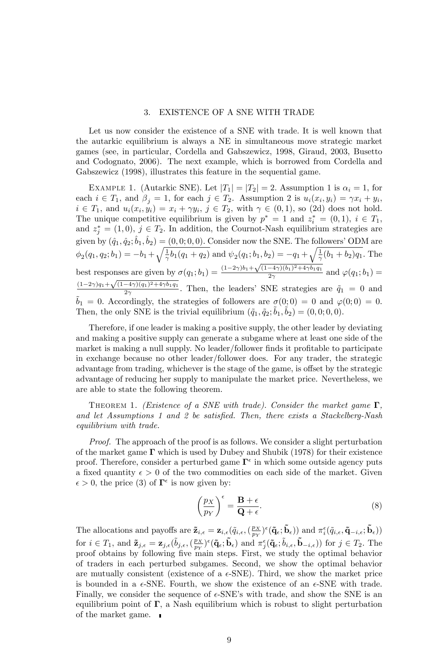#### 3. EXISTENCE OF A SNE WITH TRADE

Let us now consider the existence of a SNE with trade. It is well known that the autarkic equilibrium is always a NE in simultaneous move strategic market games (see, in particular, Cordella and Gabszewicz, 1998, Giraud, 2003, Busetto and Codognato, 2006). The next example, which is borrowed from Cordella and Gabszewicz (1998), illustrates this feature in the sequential game.

EXAMPLE 1. (Autarkic SNE). Let  $|T_1| = |T_2| = 2$ . Assumption 1 is  $\alpha_i = 1$ , for each  $i \in T_1$ , and  $\beta_j = 1$ , for each  $j \in T_2$ . Assumption 2 is  $u_i(x_i, y_i) = \gamma x_i + y_i$ ,  $i \in T_1$ , and  $u_i(x_i, y_i) = x_i + \gamma y_i$ ,  $j \in T_2$ , with  $\gamma \in (0, 1)$ , so (2d) does not hold. The unique competitive equilibrium is given by  $p^* = 1$  and  $z_i^* = (0, 1), i \in T_1$ , and  $z_j^* = (1,0), j \in T_2$ . In addition, the Cournot-Nash equilibrium strategies are given by  $(\hat{q}_1, \hat{q}_2; \hat{b}_1, \hat{b}_2) = (0, 0; 0, 0)$ . Consider now the SNE. The followers' ODM are  $\phi_2(q_1, q_2; b_1) = -b_1 + \sqrt{\frac{1}{\gamma}b_1(q_1 + q_2)}$  and  $\psi_2(q_1; b_1, b_2) = -q_1 + \sqrt{\frac{1}{\gamma}(b_1 + b_2)q_1}$ . The best responses are given by  $\sigma(q_1; b_1) = \frac{(1-2\gamma)b_1 + \sqrt{(1-4\gamma)(b_1)^2 + 4\gamma b_1 q_1}}{2\gamma}$  $\frac{a_{\gamma}(b_1)+a_{\gamma}(b_1q_1)}{2\gamma}$  and  $\varphi(q_1;b_1)=$  $(1-2\gamma)q_1 + \sqrt{(1-4\gamma)(q_1)^2 + 4\gamma b_1 q_1}$  $\frac{2\gamma}{2\gamma}$ . Then, the leaders' SNE strategies are  $\tilde{q}_1 = 0$  and  $\tilde{b}_1 = 0$ . Accordingly, the strategies of followers are  $\sigma(0; 0) = 0$  and  $\varphi(0; 0) = 0$ . Then, the only SNE is the trivial equilibrium  $({\tilde q}_1, {\tilde q}_2, {\tilde b}_1, {\tilde b}_2) = (0, 0, 0, 0).$ 

Therefore, if one leader is making a positive supply, the other leader by deviating and making a positive supply can generate a subgame where at least one side of the market is making a null supply. No leader/follower finds it profitable to participate in exchange because no other leader/follower does. For any trader, the strategic advantage from trading, whichever is the stage of the game, is offset by the strategic advantage of reducing her supply to manipulate the market price. Nevertheless, we are able to state the following theorem.

THEOREM 1. (Existence of a SNE with trade). Consider the market game  $\Gamma$ , and let Assumptions 1 and 2 be satisfied. Then, there exists a Stackelberg-Nash equilibrium with trade.

Proof. The approach of the proof is as follows. We consider a slight perturbation of the market game  $\Gamma$  which is used by Dubey and Shubik (1978) for their existence proof. Therefore, consider a perturbed game  $\Gamma^{\epsilon}$  in which some outside agency puts a fixed quantity  $\epsilon > 0$  of the two commodities on each side of the market. Given  $\epsilon > 0$ , the price (3) of  $\mathbf{\Gamma}^{\epsilon}$  is now given by:

$$
\left(\frac{p_X}{p_Y}\right)^{\epsilon} = \frac{\mathbf{B} + \epsilon}{\mathbf{Q} + \epsilon}.
$$
\n(8)

The allocations and payoffs are  $\tilde{\mathbf{z}}_{i,\epsilon} = \mathbf{z}_{i,\epsilon}(\tilde{q}_{i,\epsilon},(\frac{p_X}{p_Y})^{\epsilon}(\tilde{\mathbf{q}}_{\epsilon};\tilde{\mathbf{b}}_{\epsilon}))$  and  $\pi_i^{\epsilon}(\tilde{q}_{i,\epsilon},\tilde{\mathbf{q}}_{-i,\epsilon};\tilde{\mathbf{b}}_{\epsilon}))$ for  $i \in T_1$ , and  $\tilde{\mathbf{z}}_{j,\epsilon} = \mathbf{z}_{j,\epsilon}(\tilde{b}_{j,\epsilon},(\frac{p_X}{p_Y})^{\epsilon}(\tilde{\mathbf{q}}_{\epsilon}, \tilde{\mathbf{b}}_{\epsilon})$  and  $\pi_j^{\epsilon}(\tilde{\mathbf{q}}_{\epsilon}; \tilde{b}_{i,\epsilon}, \tilde{\mathbf{b}}_{-i,\epsilon})$  for  $j \in T_2$ . The proof obtains by following Öve main steps. First, we study the optimal behavior of traders in each perturbed subgames. Second, we show the optimal behavior are mutually consistent (existence of a  $\epsilon$ -SNE). Third, we show the market price is bounded in a  $\epsilon$ -SNE. Fourth, we show the existence of an  $\epsilon$ -SNE with trade. Finally, we consider the sequence of  $\epsilon$ -SNE's with trade, and show the SNE is an equilibrium point of  $\Gamma$ , a Nash equilibrium which is robust to slight perturbation of the market game.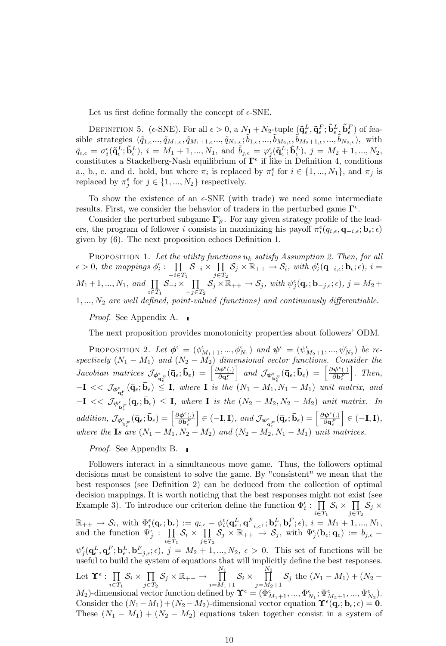Let us first define formally the concept of  $\epsilon$ -SNE.

DEFINITION 5. (e-SNE). For all  $\epsilon > 0$ , a  $N_1 + N_2$ -tuple  $(\mathbf{\tilde{q}}_{\epsilon}^L, \mathbf{\tilde{q}}_{\epsilon}^F, \mathbf{\tilde{b}}_{\epsilon}^L, \mathbf{\tilde{b}}_{\epsilon}^F)$  of feasible strategies  $({\tilde q}_{1,\epsilon}...,{\tilde q}_{M_1,\epsilon},{\tilde q}_{M_1+1,\epsilon}...,{\tilde q}_{N_1,\epsilon};\tilde{b}_{1,\epsilon},...,\tilde{b}_{M_2,\epsilon},{\tilde b}_{M_2+1,\epsilon},...,{\tilde b}_{N_2,\epsilon}),$  with  $\tilde{q}_{i,\epsilon} = \sigma_i^{\epsilon}(\mathbf{\tilde{q}}^L_{\epsilon}; \mathbf{\tilde{b}}^L_{\epsilon}), i = M_1 + 1, ..., N_1, \text{ and } \tilde{b}_{j,\epsilon} = \varphi_j^{\epsilon}(\mathbf{\tilde{q}}^L_{\epsilon}; \mathbf{\tilde{b}}^L_{\epsilon}), j = M_2 + 1, ..., N_2,$ constitutes a Stackelberg-Nash equilibrium of  $\Gamma^{\epsilon}$  if like in Definition 4, conditions a., b., c. and d. hold, but where  $\pi_i$  is replaced by  $\pi_i^{\epsilon}$  for  $i \in \{1, ..., N_1\}$ , and  $\pi_j$  is replaced by  $\pi_j^{\epsilon}$  for  $j \in \{1, ..., N_2\}$  respectively.

To show the existence of an  $\epsilon$ -SNE (with trade) we need some intermediate results. First, we consider the behavior of traders in the perturbed game  $\Gamma^{\epsilon}$ .

Consider the perturbed subgame  $\Gamma_F^{\epsilon}$ . For any given strategy profile of the leaders, the program of follower i consists in maximizing his payoff  $\pi_i^{\epsilon}(q_{i,\epsilon}, \mathbf{q}_{-i,\epsilon}; \mathbf{b}_{\epsilon}; \epsilon)$ given by  $(6)$ . The next proposition echoes Definition 1.

PROPOSITION 1. Let the utility functions  $u_k$  satisfy Assumption 2. Then, for all  $\epsilon > 0$ , the mappings  $\phi_i^{\epsilon}$ :  $\prod$  $\prod_{-i \in T_1} S_{-i} \times \prod_{j \in T}$  $\prod_{j\in T_2} S_j \times \mathbb{R}_{++} \to S_i$ , with  $\phi_i^{\epsilon}(\mathbf{q}_{-i,\epsilon}; \mathbf{b}_{\epsilon}; \epsilon)$ ,  $i =$  $M_1 + 1, ..., N_1, \text{ and } \prod$  $\prod_{i\in T_1} S_{-i} \times \prod_{-j\in T}$  $\prod_{j\in T_2} S_j \times \mathbb{R}_{++} \to S_j$ , with  $\psi_j^{\epsilon}(\mathbf{q}_{\epsilon}; \mathbf{b}_{-j,\epsilon}; \epsilon)$ ,  $j = M_2 +$  $1, ..., N_2$  are well defined, point-valued (functions) and continuously differentiable.

#### Proof. See Appendix A.

The next proposition provides monotonicity properties about followers' ODM.

PROPOSITION 2. Let  $\phi^{\epsilon} = (\phi^{\epsilon}_{M_1+1}, ..., \phi^{\epsilon}_{N_1})$  and  $\psi^{\epsilon} = (\psi^{\epsilon}_{M_2+1}, ..., \psi^{\epsilon}_{N_2})$  be respectively  $(N_1 - M_1)$  and  $(N_2 - M_2)$  dimensional vector functions. Consider the  $Jacobian~matrices~ ~\mathcal{J}_{\boldsymbol{\phi}^{\epsilon}_{\mathbf{q}^F_\epsilon}}(\mathbf{\bar{q}}_\epsilon;\mathbf{\bar{b}}_\epsilon)~=~\left[ \frac{\partial \boldsymbol{\phi}^{\epsilon}(.)}{\partial \mathbf{q}^F_\epsilon}\right]$  $\Big] \ \ and \ \ {\cal J}_{\psi^{\epsilon}_{\mathbf{b}^{F}_{\epsilon}}}(\mathbf{\bar{q}}_{\epsilon};\mathbf{\bar{b}}_{\epsilon}) \ = \ \Big[ \frac{\partial \psi^{\epsilon}(.)}{\partial \mathbf{b}^{F}_{\epsilon}}$  $\big]$ . Then,  $-{\bf I} << \mathcal{J}_{\phi_{{\bf q}_F}^{\epsilon}}({\bf \bar{q}}_{\epsilon};{\bf \bar{b}}_{\epsilon}) \leq {\bf I}, \text{ where } {\bf I} \text{ is the } (N_1-M_1,N_1-M_1) \text{ unit matrix, and}$  $-{\bf I}$  <<  $\mathcal{J}_{\psi_{\mathbf{b}_{\epsilon}}^{\epsilon}}(\bar{\mathbf{q}}_{\epsilon};\bar{\mathbf{b}}_{\epsilon}) \leq {\bf I}$ , where  ${\bf I}$  is the  $(N_2-M_2,N_2-M_2)$  unit matrix. In  $addition, \ \mathcal{J}_{\boldsymbol{\phi}_{\mathbf{b}_{\epsilon}}^{k}F}(\mathbf{\bar{q}}_{\epsilon};\mathbf{\bar{b}}_{\epsilon})=\bigg[\frac{\partial \boldsymbol{\phi}^{\epsilon}(.)}{\partial \mathbf{b}_{\epsilon}^{F}}$  $\Big] \in (-\mathbf{I},\mathbf{I}), \text{ and } \mathcal{J}_{\boldsymbol{\psi}^{\epsilon}_{\mathbf{q}^F_{\epsilon}}}(\bar{\mathbf{q}}_{\epsilon};\bar{\mathbf{b}}_{\epsilon}) = \Big[ \frac{\partial \boldsymbol{\psi}^{\epsilon}(\cdot)}{\partial \mathbf{q}_{\epsilon}^F}$  $\Big] \in (-\mathbf{I},\mathbf{I}),$ where the **Is** are  $(N_1 - M_1, N_2 - M_2)$  and  $(N_2 - M_2, N_1 - M_1)$  unit matrices.

Proof. See Appendix B.

Followers interact in a simultaneous move game. Thus, the followers optimal decisions must be consistent to solve the game. By "consistent" we mean that the best responses (see Definition 2) can be deduced from the collection of optimal decision mappings. It is worth noticing that the best responses might not exist (see Example 3). To introduce our criterion define the function  $\Phi_i^{\epsilon}$ :  $\prod$  $\prod_{i\in T_1} S_i \times \prod_{j\in T}$  $\prod\limits_{j\in T_2}$   $\mathcal{S}_j$   $\times$  $\mathbb{R}_{++} \to S_i$ , with  $\Phi_i^{\epsilon}(\mathbf{q}_{\epsilon}; \mathbf{b}_{\epsilon}) := q_{i,\epsilon} - \phi_i^{\epsilon}(\mathbf{q}_{\epsilon}^L, \mathbf{q}_{-i,\epsilon}^F; \mathbf{b}_{\epsilon}^L, \mathbf{b}_{\epsilon}^F; \epsilon)$ ,  $i = M_1 + 1, ..., N_1$ , and the function  $\Psi_j^{\epsilon}$ :  $\prod$  $\prod_{i\in T_1} S_i \times \prod_{j\in T}$  $\prod_{j\in T_2} S_j \times \mathbb{R}_{++} \to S_j$ , with  $\Psi_j^{\epsilon}(\mathbf{b}_{\epsilon}; \mathbf{q}_{\epsilon}) := b_{j,\epsilon}$  - $\psi_j^{\epsilon}(\mathbf{q}_{\epsilon}^L, \mathbf{q}_{\epsilon}^F; \mathbf{b}_{\epsilon}^L, \mathbf{b}_{-j,\epsilon}^F; \epsilon), j = M_2 + 1, ..., N_2, \epsilon > 0$ . This set of functions will be useful to build the system of equations that will implicitly define the best responses. Let  $\Upsilon^{\epsilon}$ :  $\prod$  $\prod_{i\in T_1} S_i \times \prod_{j\in T}$  $\prod_{j\in T_2} S_j \times \mathbb{R}_{++} \rightarrow$  $\prod^{N_1}$  $\prod_{i=M_1+1}$   $\mathcal{S}_i$   $\times$  $\frac{N_2}{\prod}$  $\prod_{j=M_2+1} S_j$  the  $(N_1 - M_1) + (N_2 M_2$ )-dimensional vector function defined by  $\Upsilon^{\epsilon} = (\Phi^{\epsilon}_{M_1+1}, ..., \Phi^{\epsilon}_{N_1}; \Psi^{\epsilon}_{M_2+1}, ..., \Psi^{\epsilon}_{N_2}).$ Consider the  $(N_1 - M_1) + (N_2 - M_2)$ -dimensional vector equation  $\Upsilon^{\epsilon}(\mathbf{q}_{\epsilon}; \mathbf{b}_{\epsilon}; \epsilon) = 0$ . These  $(N_1 - M_1) + (N_2 - M_2)$  equations taken together consist in a system of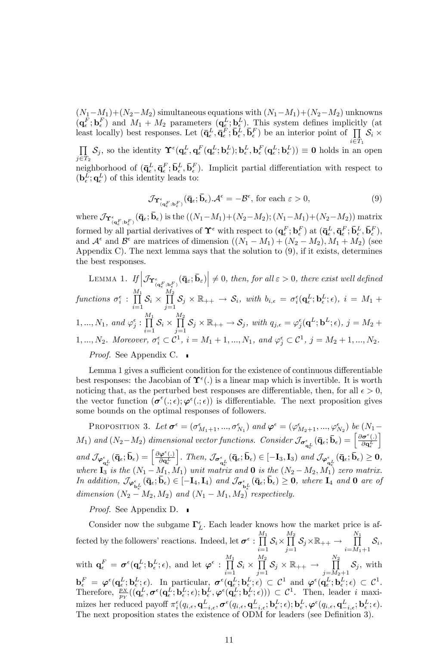$(N_1-M_1)+(N_2-M_2)$  simultaneous equations with  $(N_1-M_1)+(N_2-M_2)$  unknowns  $(q_{\epsilon}^F; \mathbf{b}_{\epsilon}^F)$  and  $M_1 + M_2$  parameters  $(q_{\epsilon}^L; \mathbf{b}_{\epsilon}^L)$ . This system defines implicitly (at least locally) best responses. Let  $(\bar{\mathbf{q}}_{\epsilon}^L, \bar{\mathbf{q}}_{\epsilon}^F, \bar{\mathbf{b}}_{\epsilon}^L, \bar{\mathbf{b}}_{\epsilon}^F)$  be an interior point of  $\prod_{i \in \mathcal{R}} S_i \times$  $\prod S_i$ , so the identity  $\Upsilon^{\epsilon}(\mathbf{q}_L^L, \mathbf{q}_L^F(\mathbf{q}_L^L; \mathbf{b}_L^L); \mathbf{b}_L^L, \mathbf{b}_L^F(\mathbf{q}_L^L; \mathbf{b}_L^L)) \equiv 0$  holds in an  $\prod_{j\in T_2} S_j$ , so the identity  $\Upsilon^{\epsilon}(\mathbf{q}_{\epsilon}^L, \mathbf{q}_{\epsilon}^F(\mathbf{q}_{\epsilon}^L; \mathbf{b}_{\epsilon}^L); \mathbf{b}_{\epsilon}^L, \mathbf{b}_{\epsilon}^F(\mathbf{q}_{\epsilon}^L; \mathbf{b}_{\epsilon}^L)) \equiv \mathbf{0}$  holds in an open  $\mathbf{I}_{\epsilon} = \mathbf{I}_{\epsilon} \mathbf{I}_{\epsilon} = \mathbf{I}_{\epsilon} \mathbf{I}_{\epsilon} = \mathbf{I}_{\epsilon} \math$ neighborhood of  $(\bar{\mathbf{q}}_{\epsilon}^L, \bar{\mathbf{q}}_{\epsilon}^F, \bar{\mathbf{b}}_{\epsilon}^L, \bar{\mathbf{b}}_{\epsilon}^F)$ . Implicit partial differentiation with respect to  $(\mathbf{b}_{\epsilon}^{L}; \mathbf{q}_{\epsilon}^{L})$  of this identity leads to:

$$
\mathcal{J}\mathbf{\Upsilon}^{\epsilon}_{(\mathbf{q}_{\epsilon}^{F};\mathbf{b}_{\epsilon}^{F})}(\bar{\mathbf{q}}_{\epsilon};\bar{\mathbf{b}}_{\epsilon}).\mathcal{A}^{\epsilon} = -\mathcal{B}^{\epsilon}, \text{ for each } \epsilon > 0,
$$
\n
$$
(9)
$$

where  $\mathcal{J}_{\mathbf{\hat{T}}^{\epsilon}_{(\mathbf{q}^F_{\epsilon},\mathbf{b}^F_{\epsilon})}}(\bar{\mathbf{q}}_{\epsilon};\bar{\mathbf{b}}_{\epsilon})$  is the  $((N_1-M_1)+(N_2-M_2);(N_1-M_1)+(N_2-M_2))$  matrix formed by all partial derivatives of  $\Upsilon^{\epsilon}$  with respect to  $(\mathbf{q}_{\epsilon}^{F}; \mathbf{b}_{\epsilon}^{F})$  at  $(\bar{\mathbf{q}}_{\epsilon}^{L}, \bar{\mathbf{q}}_{\epsilon}^{F}; \bar{\mathbf{b}}_{\epsilon}^{L}, \bar{\mathbf{b}}_{\epsilon}^{F})$ , and  $\mathcal{A}^{\epsilon}$  and  $\mathcal{B}^{\epsilon}$  are matrices of dimension  $((N_1 - M_1) + (N_2 - M_2), M_1 + M_2)$  (see Appendix C). The next lemma says that the solution to (9), if it exists, determines the best responses.

LEMMA 1. If 
$$
|\mathcal{J}_{\mathbf{Y}^{\epsilon}_{(\mathbf{q}^F_{\epsilon}, \mathbf{b}^F_{\epsilon})}}(\bar{\mathbf{q}}_{\epsilon}; \bar{\mathbf{b}}_{\epsilon})| \neq 0
$$
, then, for all  $\varepsilon > 0$ , there exist well defined  
functions  $\sigma_i^{\epsilon} : \prod_{i=1}^{M_1} S_i \times \prod_{j=1}^{M_2} S_j \times \mathbb{R}_{++} \to S_i$ , with  $b_{i,\epsilon} = \sigma_i^{\epsilon}(\mathbf{q}_{\epsilon}^L; \mathbf{b}_{\epsilon}^L; \epsilon)$ ,  $i = M_1 +$   
1,...,  $N_1$ , and  $\varphi_j^{\epsilon} : \prod_{i=1}^{M_1} S_i \times \prod_{j=1}^{M_2} S_j \times \mathbb{R}_{++} \to S_j$ , with  $q_{j,\epsilon} = \varphi_j^{\epsilon}(\mathbf{q}^L; \mathbf{b}^L; \epsilon)$ ,  $j = M_2 +$   
1,...,  $N_2$ . Moreover,  $\sigma_i^{\epsilon} \subset \mathcal{C}^1$ ,  $i = M_1 + 1, ..., N_1$ , and  $\varphi_j^{\epsilon} \subset \mathcal{C}^1$ ,  $j = M_2 + 1, ..., N_2$ .  
Proof. See Appendix C.

Lemma 1 gives a sufficient condition for the existence of continuous differentiable best responses: the Jacobian of  $\Upsilon^{\epsilon}$ .) is a linear map which is invertible. It is worth noticing that, as the perturbed best responses are differentiable, then, for all  $\epsilon > 0$ , the vector function  $(\sigma^{\epsilon}(., \epsilon), \varphi^{\epsilon}(., \epsilon))$  is differentiable. The next proposition gives some bounds on the optimal responses of followers.

PROPOSITION 3. Let  $\sigma^{\epsilon} = (\sigma^{\epsilon}_{M_1+1}, ..., \sigma^{\epsilon}_{N_1})$  and  $\varphi^{\epsilon} = (\varphi^{\epsilon}_{M_2+1}, ..., \varphi^{\epsilon}_{N_2})$  be  $(N_1 M_1$ ) and  $(N_2-M_2)$  dimensional vector functions. Consider  $\mathcal{J}_{\sigma_{\mathbf{q}_{\epsilon}}^{\epsilon}}(\bar{\mathbf{q}}_{\epsilon};\bar{\mathbf{b}}_{\epsilon}) = \left[\frac{\partial \sigma^{\epsilon}(.)}{\partial \mathbf{q}_{\epsilon}^{L}}\right]$ i  $\textit{and}\; \mathcal{J}_{\varphi^{\epsilon}_{\mathbf{q}^L_{\epsilon}}}(\bar{\mathbf{q}}_{\epsilon};\bar{\mathbf{b}}_{\epsilon})=\begin{bmatrix}\frac{\partial\varphi^{\epsilon}(.)}{\partial \mathbf{q}^L_{\epsilon}}\end{bmatrix}$  $\left. \right]$ . Then,  $\mathcal{J}_{\sigma_{\mathbf{q}_{\epsilon}}^{\epsilon}}(\bar{\mathbf{q}}_{\epsilon};\bar{\mathbf{b}}_{\epsilon}) \in [-\mathbf{I}_3, \mathbf{I}_3)$  and  $\mathcal{J}_{\varphi_{\mathbf{q}_{\epsilon}}^{\epsilon}}(\bar{\mathbf{q}}_{\epsilon};\bar{\mathbf{b}}_{\epsilon}) \geq 0$ , where  $I_3$  is the  $(N_1 - M_1, M_1)$  unit matrix and **0** is the  $(N_2 - M_2, M_1)$  zero matrix. In addition,  $\mathcal{J}_{\varphi_{\mathbf{b}\epsilon}^{\epsilon}}(\bar{\mathbf{q}}_{\epsilon};\bar{\mathbf{b}}_{\epsilon}) \in [-\mathbf{I}_{4},\mathbf{I}_{4})$  and  $\mathcal{J}_{\sigma_{\mathbf{b}\epsilon}^{\epsilon}}(\bar{\mathbf{q}}_{\epsilon};\bar{\mathbf{b}}_{\epsilon}) \geq 0$ , where  $\mathbf{I}_{4}$  and 0 are of dimension  $(N_2 - M_2, M_2)$  and  $(N_1 - M_1, M_2)$  respectively.

Proof. See Appendix D.

Consider now the subgame  $\Gamma_L^{\epsilon}$ . Each leader knows how the market price is affected by the followers' reactions. Indeed, let  $\sigma^{\epsilon}$  :  $\prod^{M_1}$  $\prod_{i=1}$   $\mathcal{S}_i$   $\times$  $\frac{M_2}{\prod}$  $\prod_{j=1}$   $S_j \times \mathbb{R}_{++}$   $\rightarrow$  $\prod^{N_1}$  $\prod_{i=M_1+1} \mathcal{S}_i,$ with  $\mathbf{q}_{\epsilon}^{F} = \boldsymbol{\sigma}^{\epsilon}(\mathbf{q}_{\epsilon}^{L}; \mathbf{b}_{\epsilon}^{L}; \epsilon)$ , and let  $\boldsymbol{\varphi}^{\epsilon}$  :  $\prod^{M_{1}}$  $\prod_{i=1}$   $\mathcal{O}_i$   $\times$  $\frac{M_2}{\prod}$  $\prod\limits_{j=1}$   $S_j \times \mathbb{R}_{++} \rightarrow$  $\frac{N_2}{\prod}$  $\prod_{j=M_2+1} \mathcal{S}_j$ , with  $\mathbf{b}_{\epsilon}^F = \boldsymbol{\varphi}^{\epsilon}(\mathbf{q}_{\epsilon}^L; \mathbf{b}_{\epsilon}^L; \epsilon).$  In particular,  $\boldsymbol{\sigma}^{\epsilon}(\mathbf{q}_{\epsilon}^L; \mathbf{b}_{\epsilon}^L; \epsilon) \subset \mathcal{C}^1$  and  $\boldsymbol{\varphi}^{\epsilon}(\mathbf{q}_{\epsilon}^L; \mathbf{b}_{\epsilon}^L; \epsilon) \subset \mathcal{C}^1$ . Therefore,  $\frac{p_X}{p_Y}((\mathbf{q}^L_{\epsilon}, \boldsymbol{\sigma}^{\epsilon}(\mathbf{q}^L_{\epsilon}; \mathbf{b}^L_{\epsilon}; \epsilon); \mathbf{b}^L_{\epsilon}, \boldsymbol{\varphi}^{\epsilon}(\mathbf{q}^L_{\epsilon}; \mathbf{b}^L_{\epsilon}; \epsilon))) \subset \mathcal{C}^1$ . Then, leader i maximizes her reduced payoff  $\pi_i^{\epsilon}(q_{i,\epsilon}, \mathbf{q}_{-i,\epsilon}^L, \pmb{\sigma}^{\epsilon}(q_{i,\epsilon}, \mathbf{q}_{-i,\epsilon}^L; \mathbf{b}_{\epsilon}^L; \epsilon); \mathbf{b}_{\epsilon}^L, \pmb{\varphi}^{\epsilon}(q_{i,\epsilon}, \mathbf{q}_{-i,\epsilon}^L; \mathbf{b}_{\epsilon}^L; \epsilon).$ The next proposition states the existence of ODM for leaders (see Definition 3).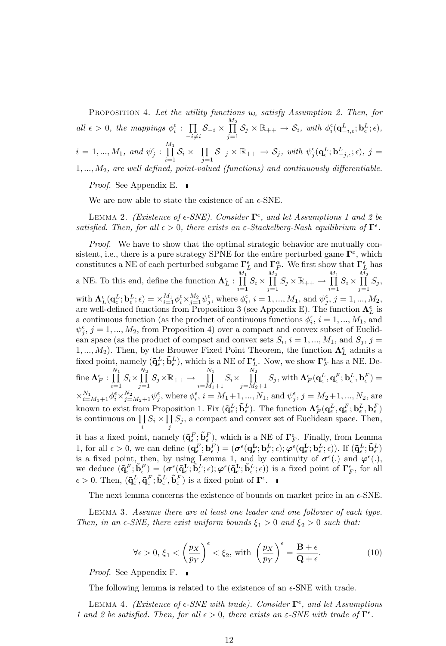PROPOSITION 4. Let the utility functions  $u_k$  satisfy Assumption 2. Then, for all  $\epsilon > 0$ , the mappings  $\phi_i^{\epsilon}$ :  $\prod$  $\prod_{-i \neq i} \mathcal{S}_{-i} \times$  $\frac{M_2}{\prod}$  $\prod_{j=1}^{m} S_j \times \mathbb{R}_{++} \to S_i$ , with  $\phi_i^{\epsilon}(\mathbf{q}_{-i,\epsilon}^L; \mathbf{b}_{\epsilon}^L; \epsilon)$ ,  $i=1,...,M_1, \; \textit{and} \; \psi_j^\epsilon: \; \prod^{M_1}$  $\prod_{i=1}^{\mathbf{I}}\mathcal{S}_i \times \prod_{-j=1}^{\mathbf{I}}$  $\prod_{j=1} \mathcal{S}_{-j} \times \mathbb{R}_{++} \to \mathcal{S}_j$ , with  $\psi_j^{\epsilon}(\mathbf{q}_{\epsilon}^L; \mathbf{b}_{-j,\epsilon}^L; \epsilon)$ ,  $j =$  $1, \ldots, M_2$ , are well defined, point-valued (functions) and continuously differentiable.

*Proof.* See Appendix E. ■

We are now able to state the existence of an  $\epsilon$ -SNE.

LEMMA 2. (Existence of  $\epsilon$ -SNE). Consider  $\Gamma^{\epsilon}$ , and let Assumptions 1 and 2 be satisfied. Then, for all  $\epsilon > 0$ , there exists an  $\varepsilon$ -Stackelberg-Nash equilibrium of  $\Gamma^{\epsilon}$ .

*Proof.* We have to show that the optimal strategic behavior are mutually consistent, i.e., there is a pure strategy SPNE for the entire perturbed game  $\Gamma^{\varepsilon}$ , which constitutes a NE of each perturbed subgame  $\Gamma_L^{\epsilon}$  and  $\Gamma_F^{\alpha}$ . We first show that  $\Gamma_L^{\epsilon}$  has a NE. To this end, define the function  $\mathbf{\Lambda}_{L}^{\epsilon}$  :  $\prod^{M_{1}}$  $\prod_{i=1} S_i \times$  $\frac{M_2}{\prod}$  $\prod_{j=1} S_j \times \mathbb{R}_{++} \to$  $\frac{M_1}{\prod}$  $\prod_{i=1} S_i \times$  $\frac{M_2}{\prod}$  $\prod_{j=1} S_j,$ with  $\mathbf{\Lambda}^{\epsilon}_{L}(\mathbf{q}^L_{\epsilon};\mathbf{b}^L_{\epsilon};\epsilon) = \times_{i=1}^{M_1} \phi^{\epsilon}_i \times_{j=1}^{M_2} \psi^{\epsilon}_j$ , where  $\phi^{\epsilon}_i$ ,  $i = 1, ..., M_1$ , and  $\psi^{\epsilon}_j$ ,  $j = 1, ..., M_2$ , are well-defined functions from Proposition 3 (see Appendix E). The function  $\Lambda_L^{\epsilon}$  is a continuous function (as the product of continuous functions  $\phi_i^{\epsilon}$ ,  $i = 1, ..., M_1$ , and  $\psi_j^{\epsilon}$ ,  $j = 1, ..., M_2$ , from Proposition 4) over a compact and convex subset of Euclidean space (as the product of compact and convex sets  $S_i$ ,  $i = 1, ..., M_1$ , and  $S_j$ ,  $j =$ 1,...,  $M_2$ ). Then, by the Brouwer Fixed Point Theorem, the function  $\Lambda_L^{\epsilon}$  admits a fixed point, namely  $({\bf \tilde q}_\epsilon^L; {\bf \tilde b}_\epsilon^L)$ , which is a NE of  $\Gamma_L^\epsilon$ . Now, we show  $\Gamma_F^\epsilon$  has a NE. Define  $\mathbf{\Lambda}_F^\epsilon:\,\prod^{N_1}$  $\prod_{i=1} S_i \times$  $\frac{N_2}{\prod}$  $\prod_{j=1} S_j \times \mathbb{R}_{++} \to$  $\prod^{N_1}$  $\prod_{i=M_1+1} S_i \times$  $\frac{N_2}{\prod}$ j=M2+1 S<sup>j</sup> , with F (q L ; q F ; b L ; b F ) =  $\times_{i=M_1+1}^{N_1}\phi_i^{\epsilon}\times_{j=M_2+1}^{N_2}\psi_j^{\epsilon}$ , where  $\phi_i^{\epsilon}$ ,  $i=M_1+1,...,N_1$ , and  $\psi_j^{\epsilon}$ ,  $j=M_2+1,...,N_2$ , are known to exist from Proposition 1. Fix  $(\tilde{\mathbf{q}}_{\epsilon}^L; \tilde{\mathbf{b}}_{\epsilon}^L)$ . The function  $\mathbf{\Lambda}_{F}^{\epsilon}(\mathbf{q}_{\epsilon}^L, \mathbf{q}_{\epsilon}^F; \mathbf{b}_{\epsilon}^L, \mathbf{b}_{\epsilon}^F)$ is continuous on  $\prod S_i \times \prod S_j$ , a compact and convex set of Euclidean space. Then, i j it has a fixed point, namely  $({\bf q}_\epsilon^F; {\bf \tilde{b}}_\epsilon^F)$ , which is a NE of  $\Gamma_F^{\epsilon}$ . Finally, from Lemma 1, for all  $\epsilon > 0$ , we can define  $(\mathbf{q}_{\epsilon}^F; \mathbf{b}_{\epsilon}^F) = (\boldsymbol{\sigma}^{\epsilon}(\mathbf{q}_{\epsilon}^{\mathbf{L}}; \mathbf{b}_{\epsilon}^L; \epsilon); \boldsymbol{\varphi}^{\epsilon}(\mathbf{q}_{\epsilon}^{\mathbf{L}}; \mathbf{b}_{\epsilon}^L; \epsilon)$ ). If  $(\tilde{\mathbf{q}}_{\epsilon}^L; \tilde{\mathbf{b}}_{\epsilon}^L)$ is a fixed point, then, by using Lemma 1, and by continuity of  $\sigma^{\epsilon}(\cdot)$  and  $\varphi^{\epsilon}(\cdot)$ , we deduce  $(\mathbf{\tilde{q}}_{{\epsilon}}^F; \mathbf{\tilde{b}}_{{\epsilon}}^F) = (\boldsymbol{\sigma}^{\epsilon}(\mathbf{\tilde{q}}_{{\epsilon}}^L; \mathbf{\tilde{b}}_{{\epsilon}}^L; \epsilon); \boldsymbol{\varphi}^{\epsilon}(\mathbf{\tilde{q}}_{{\epsilon}}^L; \mathbf{\tilde{b}}_{{\epsilon}}^L; \epsilon))$  is a fixed point of  $\boldsymbol{\Gamma}_F^{\epsilon}$ , for all  $\epsilon > 0$ . Then,  $(\tilde{\mathbf{q}}_{\varepsilon}^L, \tilde{\mathbf{q}}_{\varepsilon}^F, \tilde{\mathbf{b}}_{\varepsilon}^L, \tilde{\mathbf{b}}_{\varepsilon}^F)$  is a fixed point of  $\mathbf{\Gamma}^{\epsilon}$ .

The next lemma concerns the existence of bounds on market price in an  $\epsilon$ -SNE.

Lemma 3. Assume there are at least one leader and one follower of each type. Then, in an  $\epsilon$ -SNE, there exist uniform bounds  $\xi_1 > 0$  and  $\xi_2 > 0$  such that:

$$
\forall \epsilon > 0, \xi_1 < \left(\frac{p_X}{p_Y}\right)^{\epsilon} < \xi_2, \text{ with } \left(\frac{p_X}{p_Y}\right)^{\epsilon} = \frac{\mathbf{B} + \epsilon}{\mathbf{Q} + \epsilon}.
$$
 (10)

Proof. See Appendix F.

The following lemma is related to the existence of an  $\epsilon$ -SNE with trade.

LEMMA 4. (Existence of  $\epsilon$ -SNE with trade). Consider  $\Gamma^{\epsilon}$ , and let Assumptions 1 and 2 be satisfied. Then, for all  $\epsilon > 0$ , there exists an  $\varepsilon$ -SNE with trade of  $\Gamma^{\epsilon}$ .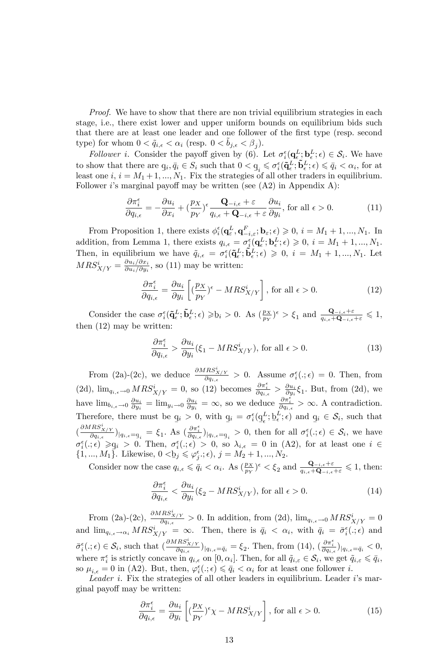*Proof.* We have to show that there are non trivial equilibrium strategies in each stage, i.e., there exist lower and upper uniform bounds on equilibrium bids such that there are at least one leader and one follower of the first type (resp. second type) for whom  $0 < \tilde{q}_{i,\epsilon} < \alpha_i$  (resp.  $0 < \tilde{b}_{j,\epsilon} < \beta_j$ ).

Follower *i*. Consider the payoff given by (6). Let  $\sigma_i^{\epsilon}(\mathbf{q}_{\epsilon}^L;\mathbf{b}_{\epsilon}^L;\epsilon) \in \mathcal{S}_i$ . We have to show that there are  $q_i, \bar{q}_i \in S_i$  such that  $0 < q_i \leq \sigma_i^{\epsilon}(\tilde{\mathbf{q}}_{\epsilon}^L; \tilde{\mathbf{b}}_{\epsilon}^L; \epsilon) \leq \bar{q}_i < \alpha_i$ , for at least one  $i$ ,  $i = M_1 + 1, ..., N_1$ . Fix the strategies of all other traders in equilibrium. Follower *i*'s marginal payoff may be written (see  $(A2)$ ) in Appendix A):

$$
\frac{\partial \pi_i^{\epsilon}}{\partial q_{i,\epsilon}} = -\frac{\partial u_i}{\partial x_i} + \left(\frac{p_X}{p_Y}\right)^{\epsilon} \frac{\mathbf{Q}_{-i,\epsilon} + \varepsilon}{q_{i,\epsilon} + \mathbf{Q}_{-i,\epsilon} + \varepsilon} \frac{\partial u_i}{\partial y_i}, \text{ for all } \epsilon > 0.
$$
 (11)

From Proposition 1, there exists  $\phi_i^{\epsilon}(\mathbf{q}_{\varepsilon}^L, \mathbf{q}_{-i,\varepsilon}^F; \mathbf{b}_{\varepsilon}, \epsilon) \geq 0, i = M_1 + 1, ..., M_1$ . In addition, from Lemma 1, there exists  $q_{i,\epsilon} = \sigma_i^{\epsilon}(\mathbf{q}_{\epsilon}^L; \mathbf{b}_{\epsilon}^L; \epsilon) \geqslant 0, i = M_1 + 1, ..., M_1$ . Then, in equilibrium we have  $\tilde{q}_{i,\epsilon} = \sigma_i^{\epsilon}(\tilde{\mathbf{q}}_{\epsilon}^L; \tilde{\mathbf{b}}_{\epsilon}^L; \epsilon) \geqslant 0, i = M_1 + 1, ..., N_1$ . Let  $MRS_{X/Y}^i = \frac{\partial u_i/\partial x_i}{\partial u_i/\partial y_i}$  $\frac{\partial u_i/\partial x_i}{\partial u_i/\partial y_i}$ , so (11) may be written:

$$
\frac{\partial \pi_i^{\epsilon}}{\partial q_{i,\epsilon}} = \frac{\partial u_i}{\partial y_i} \left[ \left( \frac{p_X}{p_Y} \right)^{\epsilon} - MRS_{X/Y}^{i} \right], \text{ for all } \epsilon > 0.
$$
 (12)

Consider the case  $\sigma_i^{\epsilon}(\tilde{\mathbf{q}}_{{\epsilon}}^L; \tilde{\mathbf{b}}_{{\epsilon}}^L; \epsilon) \geq \underline{b}_i > 0$ . As  $(\frac{p_X}{p_Y})^{\epsilon} > \xi_1$  and  $\frac{\mathbf{Q}_{-i,\epsilon} + \varepsilon}{q_{i,\epsilon} + \mathbf{Q}_{-i,\epsilon} + \varepsilon} \leq 1$ , then (12) may be written:

$$
\frac{\partial \pi_i^{\epsilon}}{\partial q_{i,\epsilon}} > \frac{\partial u_i}{\partial y_i} (\xi_1 - MRS_{X/Y}^i), \text{ for all } \epsilon > 0.
$$
 (13)

From (2a)-(2c), we deduce  $\frac{\partial MRS_{X/Y}^i}{\partial q_{i,\epsilon}} > 0$ . Assume  $\sigma_i^{\epsilon}(.;\epsilon) = 0$ . Then, from (2d),  $\lim_{q_{i,\epsilon}\to 0} MRS_{X/Y}^{i} = 0$ , so (12) becomes  $\frac{\partial \pi_{i}^{\epsilon}}{\partial q_{i,\epsilon}} > \frac{\partial u_{i}}{\partial y_{i}} \xi_{1}$ . But, from (2d), we have  $\lim_{b_{i,\epsilon}\to 0} \frac{\partial u_i}{\partial y_i} = \lim_{y_i \to 0} \frac{\partial u_i}{\partial y_i} = \infty$ , so we deduce  $\frac{\partial \pi_i^{\epsilon}}{\partial q_{i,\epsilon}} > \infty$ . A contradiction. Therefore, there must be  $q_i > 0$ , with  $q_i = \sigma_i^{\epsilon}(q_{\epsilon}^L; b_{\epsilon}^L; \epsilon)$  and  $q_i \in S_i$ , such that  $\frac{q_i}{q}$  of  $\frac{q_i}{q}$  or  $\frac{q_i}{q}$  or  $\frac{q_i}{q}$  or  $\frac{q_i}{q}$  $\left(\frac{\partial MRS_{X/Y}^i}{\partial q_{i,\epsilon}}\right)|_{q_{i,\epsilon}=q_i} = \xi_1$ . As  $\left(\frac{\partial \pi_i^{\epsilon}}{\partial q_{i,\epsilon}}\right)|_{q_{i,\epsilon}=q_i} > 0$ , then for all  $\sigma_i^{\epsilon}(.;\epsilon) \in \mathcal{S}_i$ , we have  $\sigma_i^{\epsilon}(.; \epsilon) \geqslant q_i > 0$ . Then,  $\sigma_i^{\epsilon}(.; \epsilon) > 0$ , so  $\lambda_{i, \epsilon} = 0$  in (A2), for at least one  $i \in$  $\{1, ..., M_1\}$ . Likewise,  $0 < b_j \leq \varphi_j^{\epsilon}$ ;  $\epsilon$ ),  $j = M_2 + 1, ..., N_2$ .

Consider now the case  $q_{i,\epsilon} \leq \bar{q}_i < \alpha_i$ . As  $(\frac{p_X}{p_Y})^{\epsilon} < \xi_2$  and  $\frac{\mathbf{Q}_{-i,\epsilon} + \varepsilon}{q_{i,\epsilon} + \mathbf{Q}_{-i,\epsilon} + \varepsilon} \leq 1$ , then:

$$
\frac{\partial \pi_i^{\epsilon}}{\partial q_{i,\epsilon}} < \frac{\partial u_i}{\partial y_i} (\xi_2 - MRS_{X/Y}^i), \text{ for all } \epsilon > 0.
$$
 (14)

From (2a)-(2c),  $\frac{\partial MRS_{X/Y}^i}{\partial q_{i,\epsilon}} > 0$ . In addition, from (2d),  $\lim_{q_{i,\epsilon}\to 0} MRS_{X/Y}^i = 0$ and  $\lim_{q_{i,\epsilon}\to\alpha_i} MRS^i_{X/Y} = \infty$ . Then, there is  $\bar{q}_i < \alpha_i$ , with  $\bar{q}_i = \bar{\sigma}_i^{\epsilon}(.; \epsilon)$  and  $\bar{\sigma}_i^{\epsilon}(.;\epsilon) \in \mathcal{S}_i$ , such that  $\left(\frac{\partial MRS_{X/Y}^i}{\partial q_{i,\epsilon}}\right)|_{q_{i,\epsilon}=\bar{q}_i} = \xi_2$ . Then, from  $(14)$ ,  $\left(\frac{\partial \pi_i^{\epsilon}}{\partial q_{i,\epsilon}}\right)|_{q_{i,\epsilon}=\bar{q}_i} < 0$ , where  $\pi_i^{\epsilon}$  is strictly concave in  $q_{i,\epsilon}$  on  $[0,\alpha_i]$ . Then, for all  $\tilde{q}_{i,\epsilon} \in \mathcal{S}_i$ , we get  $\tilde{q}_{i,\epsilon} \leq \bar{q}_i$ , so  $\mu_{i,\epsilon} = 0$  in (A2). But, then,  $\varphi_i^{\epsilon}(.; \epsilon) \leq \bar{q}_i < \alpha_i$  for at least one follower *i*.

Leader i. Fix the strategies of all other leaders in equilibrium. Leader  $i$ 's marginal payoff may be written:

$$
\frac{\partial \pi_i^{\epsilon}}{\partial q_{i,\epsilon}} = \frac{\partial u_i}{\partial y_i} \left[ (\frac{p_X}{p_Y})^{\epsilon} \chi - MRS_{X/Y}^{i} \right], \text{ for all } \epsilon > 0.
$$
 (15)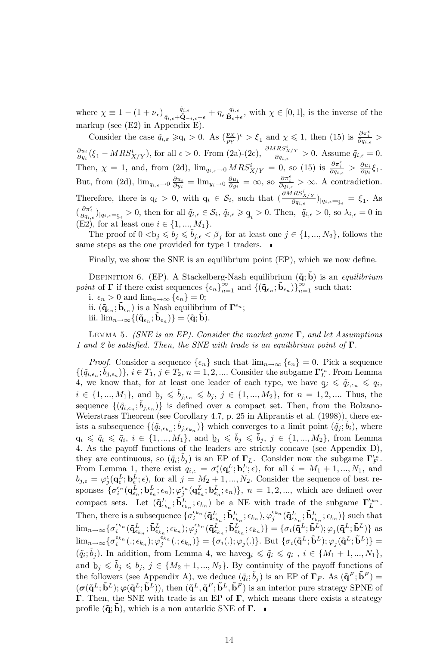where  $\chi \equiv 1 - (1 + \nu_{\epsilon}) \frac{\tilde{q}_{i,\epsilon}}{\tilde{q}_{i,\epsilon} + \tilde{\mathbf{Q}}_{-i,\epsilon} + \epsilon} + \eta_{\epsilon} \frac{\tilde{q}_{i,\epsilon}}{\tilde{\mathbf{B}}_{\epsilon} + \epsilon}$ , with  $\chi \in [0,1]$ , is the inverse of the markup (see (E2) in Appendix E).

Consider the case  $\tilde{q}_{i,\varepsilon} \geqslant q_i > 0$ . As  $(\frac{p_X}{p_Y})^{\varepsilon} > \xi_1$  and  $\chi \leqslant 1$ , then (15) is  $\frac{\partial \pi_i^{\varepsilon}}{\partial q_{i,\varepsilon}} >$  $\frac{\partial u_i}{\partial y_i}(\xi_1 - MRS_{X/Y}^i)$ , for all  $\epsilon > 0$ . From (2a)-(2c),  $\frac{\partial MRS_{X/Y}^i}{\partial q_{i,\epsilon}} > 0$ . Assume  $\tilde{q}_{i,\epsilon} = 0$ . Then,  $\chi = 1$ , and, from (2d),  $\lim_{q_{i,\epsilon} \to 0} MRS_{X/Y}^{i} = 0$ , so (15) is  $\frac{\partial \pi_i^{\epsilon}}{\partial q_{i,\epsilon}} > \frac{\partial u_i}{\partial y_i} \xi_1$ . But, from (2d),  $\lim_{q_{i,\epsilon}\to 0} \frac{\partial u_i}{\partial y_i} = \lim_{y_i \to 0} \frac{\partial u_i}{\partial y_i} = \infty$ , so  $\frac{\partial \pi_i^{\epsilon}}{\partial q_{i,\epsilon}} > \infty$ . A contradiction. Therefore, there is q  $q_i > 0$ , with  $q_i \in S_i$ , such that  $\left(\frac{\partial MRS_{X/Y}^i}{\partial q_{i,\epsilon}}\right)|_{q_{i,\epsilon}=q_i} = \xi_1$ . As  $\left(\frac{\partial \pi_i^{\epsilon}}{\partial q_{i,\epsilon}}\right)|_{q_{i,\epsilon}=q_i}>0$ , then for all  $\tilde{q}_{i,\epsilon}\in\mathcal{S}_i$ ,  $\tilde{q}_{i,\epsilon}\geq q_i>0$ . Then,  $\tilde{q}_{i,\epsilon}>0$ , so  $\lambda_{i,\epsilon}=0$  in  $\left(\text{F2}\right)$ , for at least one i.  $\in\{1, M_{i,\epsilon}\}$ (E2), for at least one  $i \in \{1, ..., M_1\}$ .

The proof of  $0 < b_j \leq b_j \leq \tilde{b}_{j,\epsilon} < \beta_j$  for at least one  $j \in \{1, ..., N_2\}$ , follows the same steps as the one provided for type 1 traders.

Finally, we show the SNE is an equilibrium point (EP), which we now define.

DEFINITION 6. (EP). A Stackelberg-Nash equilibrium  $({\bf \tilde q}; {\bf \tilde b})$  is an equilibrium point of  $\Gamma$  if there exist sequences  $\{\epsilon_n\}_{n=1}^{\infty}$  and  $\{(\mathbf{\tilde{q}}_{\epsilon_n}; \mathbf{\tilde{b}}_{\epsilon_n})\}_{n=1}^{\infty}$  such that:

i.  $\epsilon_n > 0$  and  $\lim_{n \to \infty} {\epsilon_n} = 0;$ 

ii.  $({\bf \tilde q}_{\epsilon_n}; {\bf \tilde b}_{\epsilon_n})$  is a Nash equilibrium of  ${\bf \Gamma}^{\epsilon_n}$ ;

iii.  $\lim_{n\to\infty} \{(\tilde{\mathbf{q}}_{\epsilon_n}; \tilde{\mathbf{b}}_{\epsilon_n})\} = (\tilde{\mathbf{q}}; \tilde{\mathbf{b}}).$ 

LEMMA 5. (SNE is an EP). Consider the market game  $\Gamma$ , and let Assumptions 1 and 2 be satisfied. Then, the SNE with trade is an equilibrium point of  $\Gamma$ .

*Proof.* Consider a sequence  $\{\epsilon_n\}$  such that  $\lim_{n\to\infty} {\{\epsilon_n\}} = 0$ . Pick a sequence  $\{(\tilde{q}_{i,\epsilon_n}; \tilde{b}_{j,\epsilon_n})\}, i \in T_1, j \in T_2, n = 1, 2, \dots$  Consider the subgame  $\Gamma_L^{\epsilon_n}$ . From Lemma 4, we know that, for at least one leader of each type, we have  $q_i \leq \tilde{q}_{i,\epsilon_n} \leq \bar{q}_i$ ,  $i \in \{1, ..., M_1\}$ , and  $b_j \leqslant b_{j, \epsilon_n} \leqslant b_j$ ,  $j \in \{1, ..., M_2\}$ , for  $n = 1, 2, ...$  Thus, the bequence  $\{(\tilde{q}_{i,\epsilon_n};\tilde{b}_{j,\epsilon_n})\}$  is defined over a compact set. Then, from the Bolzano-Weierstrass Theorem (see Corollary 4.7, p. 25 in Aliprantis et al. (1998)), there exists a subsequence  $\{(\tilde{q}_{i,\epsilon_{k_n}};\tilde{b}_{j,\epsilon_{k_n}})\}\$  which converges to a limit point  $(\tilde{q}_j;\tilde{b}_i)$ , where  $q_i \leqslant \tilde{q}_i \leqslant \bar{q}_i, i \in \{1, ..., M_1\}, \text{ and } \underline{b}_j \leqslant \tilde{b}_j \leqslant \bar{b}_j, j \in \{1, ..., M_2\}, \text{ from Lemma}$  $\mathbb{R}^n \leq \{i\}, \dots, \{i\}$ , and  $\mathbb{F}^n \leq \{j\} \leq \{j\}$ ,  $j \in \{1, \dots, n_2\}$ , hold Boldman 4. As the payoff functions of the leaders are strictly concave (see Appendix D), they are continuous, so  $(\tilde{q}_i; \tilde{b}_j)$  is an EP of  $\Gamma_L$ . Consider now the subgame  $\Gamma_F^{\epsilon_n}$ . From Lemma 1, there exist  $q_{i,\epsilon} = \sigma_i^{\epsilon}(\mathbf{q}_{\epsilon}^L; \mathbf{b}_{\epsilon}^L; \epsilon)$ , for all  $i = M_1 + 1, ..., N_1$ , and  $b_{j,\epsilon} = \varphi_j^{\epsilon}(\mathbf{q}_{\epsilon}^L; \mathbf{b}_{\epsilon}^L; \epsilon)$ , for all  $j = M_2 + 1, ..., N_2$ . Consider the sequence of best responses  $\{\sigma_i^{\epsilon_n}(\mathbf{q}^L_{\epsilon_n}; \mathbf{b}^L_{\epsilon_n}; \epsilon_n); \varphi_j^{\epsilon_n}(\mathbf{q}^L_{\epsilon_n}; \mathbf{b}^L_{\epsilon_n}; \epsilon_n)\}, n = 1, 2, ...,$  which are defined over compact sets. Let  $({\bf q}^L_{\epsilon_{k_n}}; {\bf \tilde b}^L_{\epsilon_{k_n}}; \epsilon_{k_n})$  be a NE with trade of the subgame  $\Gamma_L^{\epsilon_{k_n}}$ . Then, there is a subsequence  $\{\sigma_i^{\epsilon_{k_n}}(\tilde{\mathbf{q}}_{\epsilon_{k_n}}^L;\tilde{\mathbf{b}}_{\epsilon_{k_n}}^L;\epsilon_{k_n}),\varphi_j^{\epsilon_{k_n}}(\tilde{\mathbf{q}}_{\epsilon_{k_n}}^L;\tilde{\mathbf{b}}_{\epsilon_{k_n}}^L;\epsilon_{k_n})\}$  such that  $\lim_{n\to\infty} \{\sigma_i^{\epsilon_{k_n}}(\mathbf{\tilde{q}}_{\epsilon_{k_n}}^L;\mathbf{\tilde{b}}_{\epsilon_{k_n}}^L;\epsilon_{k_n});\varphi_j^{\epsilon_{k_n}}(\mathbf{\tilde{q}}_{\epsilon_{k_n}}^L;\mathbf{\tilde{b}}_{\epsilon_{k_n}}^L;\epsilon_{k_n})\} = \{\sigma_i(\mathbf{\tilde{q}}^L;\mathbf{\tilde{b}}^L);\varphi_j(\mathbf{\tilde{q}}^L;\mathbf{\tilde{b}}^L)\}\text{ as }$  $\lim_{n\rightarrow\infty}\{\sigma_i^{\epsilon_{k_n}}(.;\epsilon_{k_n});\varphi_j^{\epsilon_{k_n}}(.;\epsilon_{k_n})\}=\{\sigma_i(.);\varphi_j(.)\}\text{. But }\{\sigma_i(\mathbf{\tilde{q}}^L;\mathbf{\tilde{b}}^L);\varphi_j(\mathbf{\tilde{q}}^L;\mathbf{\tilde{b}}^L)\}=$  $({\tilde q}_i; {\tilde b}_j)$ . In addition, from Lemma 4, we have  $q_i \leq {\tilde q}_i \leq {\bar q}_i$ ,  $i \in \{M_1 + 1, ..., N_1\}$ , and  $b_j \leq b_j \leq b_j$ ,  $j \in \{M_2 + 1, ..., N_2\}$ . By continuity of the payoff functions of the followers (see Appendix A), we deduce  $(\tilde{q}_i; \tilde{b}_j)$  is an EP of  $\Gamma_F$ . As  $(\tilde{\mathbf{q}}^F; \tilde{\mathbf{b}}^F)$  =  $({\bf \sigma}({\bf \tilde{q}}^L;{\bf \tilde{b}}^L); {\boldsymbol \varphi}({\bf \tilde{q}}^L;{\bf \tilde{b}}^L)),$  then  $({\bf \tilde{q}}^L,{\bf \tilde{q}}^F;{\bf \tilde{b}}^L,{\bf \tilde{b}}^F)$  is an interior pure strategy SPNE of  $\Gamma$ . Then, the SNE with trade is an EP of  $\Gamma$ , which means there exists a strategy profile  $({\bf \tilde{q}}; {\bf b})$ , which is a non autarkic SNE of  ${\bf \Gamma}$ .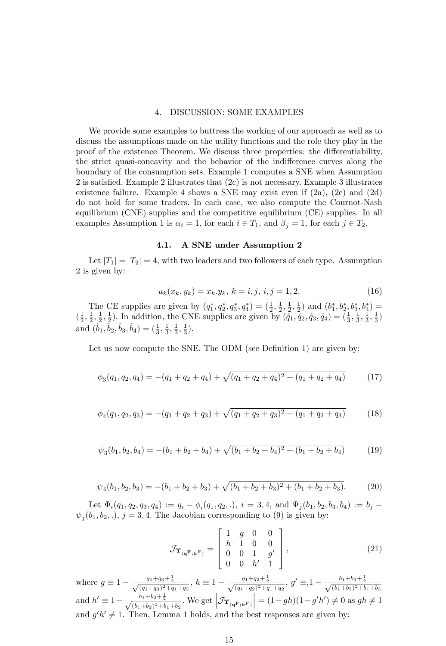#### 4. DISCUSSION: SOME EXAMPLES

We provide some examples to buttress the working of our approach as well as to discuss the assumptions made on the utility functions and the role they play in the proof of the existence Theorem. We discuss three properties: the differentiability, the strict quasi-concavity and the behavior of the indifference curves along the boundary of the consumption sets. Example 1 computes a SNE when Assumption 2 is satisfied. Example 2 illustrates that  $(2c)$  is not necessary. Example 3 illustrates existence failure. Example 4 shows a SNE may exist even if (2a), (2c) and (2d) do not hold for some traders. In each case, we also compute the Cournot-Nash equilibrium (CNE) supplies and the competitive equilibrium (CE) supplies. In all examples Assumption 1 is  $\alpha_i = 1$ , for each  $i \in T_1$ , and  $\beta_j = 1$ , for each  $j \in T_2$ .

#### 4.1. A SNE under Assumption 2

Let  $|T_1| = |T_2| = 4$ , with two leaders and two followers of each type. Assumption 2 is given by:

$$
u_k(x_k, y_k) = x_k \cdot y_k, \ k = i, j, \ i, j = 1, 2. \tag{16}
$$

The CE supplies are given by  $(q_1^*, q_2^*, q_3^*, q_4^*) = (\frac{1}{2}, \frac{1}{2}, \frac{1}{2}, \frac{1}{2})$  and  $(b_1^*, b_2^*, b_3^*, b_4^*) =$  $(\frac{1}{2}, \frac{1}{2}, \frac{1}{2}, \frac{1}{2})$ . In addition, the CNE supplies are given by  $(\tilde{q}_1, \tilde{q}_2, \tilde{q}_3, \tilde{q}_4) = (\frac{1}{3}, \frac{1}{3}, \frac{1}{3}, \frac{1}{3})$ and  $(\hat{b}_1, \hat{b}_2, \hat{b}_3, \hat{b}_4) = (\frac{1}{3}, \frac{1}{3}, \frac{1}{3}, \frac{1}{3}).$ 

Let us now compute the SNE. The ODM (see Definition 1) are given by:

$$
\phi_3(q_1, q_2, q_4) = -(q_1 + q_2 + q_4) + \sqrt{(q_1 + q_2 + q_4)^2 + (q_1 + q_2 + q_4)}\tag{17}
$$

$$
\phi_4(q_1, q_2, q_3) = -(q_1 + q_2 + q_3) + \sqrt{(q_1 + q_2 + q_3)^2 + (q_1 + q_2 + q_3)}
$$
(18)

$$
\psi_3(b_1, b_2, b_4) = -(b_1 + b_2 + b_4) + \sqrt{(b_1 + b_2 + b_4)^2 + (b_1 + b_2 + b_4)}
$$
(19)

$$
\psi_4(b_1, b_2, b_3) = -(b_1 + b_2 + b_3) + \sqrt{(b_1 + b_2 + b_3)^2 + (b_1 + b_2 + b_3)}.
$$
 (20)

Let  $\Phi_i(q_1, q_2, q_3, q_4) := q_i - \phi_i(q_1, q_2,.), i = 3, 4, \text{ and } \Psi_j(b_1, b_2, b_3, b_4) := b_j \psi_j(b_1, b_2, .), j = 3, 4$ . The Jacobian corresponding to (9) is given by:

$$
\mathcal{J}_{\mathbf{\hat{T}}_{(\mathbf{q}^{\mathbf{F}};\mathbf{b}^{\mathbf{F}})}} = \begin{bmatrix} 1 & g & 0 & 0 \\ h & 1 & 0 & 0 \\ 0 & 0 & 1 & g' \\ 0 & 0 & h' & 1 \end{bmatrix},
$$
(21)

where  $g \equiv 1 - \frac{q_1+q_3+\frac{1}{2}}{\sqrt{(q_1+q_3)^2+q_1+q_3}}$ ,  $h \equiv 1 - \frac{q_1+q_2+\frac{1}{2}}{\sqrt{(q_1+q_2)^2+q_1+q_2}}$ ,  $g' \equiv 1 - \frac{b_1+b_3+\frac{1}{2}}{\sqrt{(b_1+b_3)^2+b_1+b_3}}$ and  $h' \equiv 1 - \frac{b_1 + b_2 + \frac{1}{2}}{\sqrt{(b_1 + b_2)^2 + b_1 + b_2}}$ . We get  $\left| \mathcal{J}_{\Upsilon_{(\mathbf{q^F}; \mathbf{b}^F)}} \right|$  $= (1-gh)(1-g'h') \neq 0$  as  $gh \neq 1$ and  $g'h' \neq 1$ . Then, Lemma 1 holds, and the best responses are given by: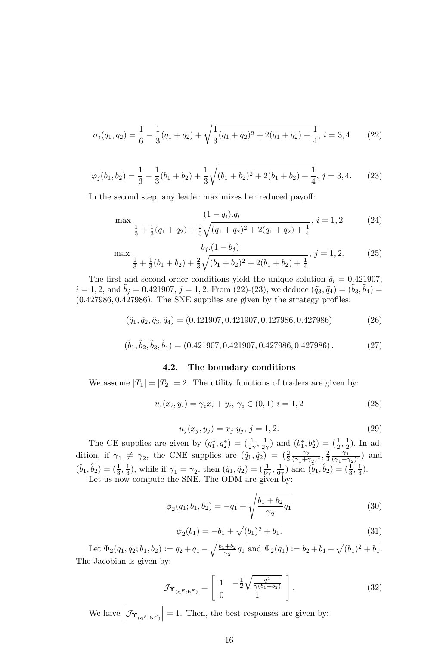$$
\sigma_i(q_1, q_2) = \frac{1}{6} - \frac{1}{3}(q_1 + q_2) + \sqrt{\frac{1}{3}(q_1 + q_2)^2 + 2(q_1 + q_2) + \frac{1}{4}}, \, i = 3, 4 \qquad (22)
$$

$$
\varphi_j(b_1, b_2) = \frac{1}{6} - \frac{1}{3}(b_1 + b_2) + \frac{1}{3}\sqrt{(b_1 + b_2)^2 + 2(b_1 + b_2) + \frac{1}{4}}, j = 3, 4.
$$
 (23)

In the second step, any leader maximizes her reduced payoff:

$$
\max \frac{(1 - q_i) \cdot q_i}{\frac{1}{3} + \frac{1}{3}(q_1 + q_2) + \frac{2}{3}\sqrt{(q_1 + q_2)^2 + 2(q_1 + q_2) + \frac{1}{4}}}, i = 1, 2 \tag{24}
$$

$$
\max \frac{b_j.(1-b_j)}{\frac{1}{3} + \frac{1}{3}(b_1+b_2) + \frac{2}{3}\sqrt{(b_1+b_2)^2 + 2(b_1+b_2) + \frac{1}{4}}}, j = 1, 2.
$$
 (25)

The first and second-order conditions yield the unique solution  $\tilde{q}_i = 0.421907$ ,  $i = 1, 2$ , and  $\tilde{b}_j = 0.421907, j = 1, 2$ . From (22)-(23), we deduce  $(\tilde{q}_3, \tilde{q}_4) = (\tilde{b}_3, \tilde{b}_4) =$  $(0.427986, 0.427986)$ . The SNE supplies are given by the strategy profiles:

$$
(\tilde{q}_1, \tilde{q}_2, \tilde{q}_3, \tilde{q}_4) = (0.421907, 0.421907, 0.427986, 0.427986) \tag{26}
$$

$$
(\tilde{b}_1, \tilde{b}_2, \tilde{b}_3, \tilde{b}_4) = (0.421907, 0.421907, 0.427986, 0.427986).
$$
 (27)

#### 4.2. The boundary conditions

We assume  $|T_1| = |T_2| = 2$ . The utility functions of traders are given by:

$$
u_i(x_i, y_i) = \gamma_i x_i + y_i, \, \gamma_i \in (0, 1) \, i = 1, 2 \tag{28}
$$

$$
u_j(x_j, y_j) = x_j \cdot y_j, \, j = 1, 2. \tag{29}
$$

The CE supplies are given by  $(q_1^*, q_2^*) = (\frac{1}{2\gamma}, \frac{1}{2\gamma})$  and  $(b_1^*, b_2^*) = (\frac{1}{2}, \frac{1}{2})$ . In addition, if  $\gamma_1 \neq \gamma_2$ , the CNE supplies are  $(\hat{q}_1, \hat{q}_2) = (\frac{2}{3} \frac{\gamma_2}{(\gamma_1 + \gamma_2)^2})$  $\frac{\gamma_2}{(\gamma_1+\gamma_2)^2}, \frac{2}{3} \frac{\gamma_1}{(\gamma_1+\gamma_2)}$  $\frac{\gamma_1}{(\gamma_1+\gamma_2)^2}$  and  $(\hat{b}_1, \hat{b}_2) = (\frac{1}{3}, \frac{1}{3})$ , while if  $\gamma_1 = \gamma_2$ , then  $(\hat{q}_1, \hat{q}_2) = (\frac{1}{6\gamma}, \frac{1}{6\gamma})$  and  $(\hat{b}_1, \hat{b}_2) = (\frac{1}{3}, \frac{1}{3})$ .

Let us now compute the SNE. The ODM are given by:

$$
\phi_2(q_1; b_1, b_2) = -q_1 + \sqrt{\frac{b_1 + b_2}{\gamma_2} q_1} \tag{30}
$$

$$
\psi_2(b_1) = -b_1 + \sqrt{(b_1)^2 + b_1}.
$$
\n(31)

Let  $\Phi_2(q_1, q_2; b_1, b_2) := q_2 + q_1 - \sqrt{\frac{b_1 + b_2}{\gamma_2}}$  $\frac{+b_2}{\gamma_2}q_1$  and  $\Psi_2(q_1) := b_2 + b_1 - \sqrt{(b_1)^2 + b_1}$ . The Jacobian is given by:

$$
\mathcal{J}_{\mathbf{\Upsilon}_{(\mathbf{q}^F;\mathbf{b}^F)}} = \begin{bmatrix} 1 & -\frac{1}{2}\sqrt{\frac{q^1}{\gamma(b_1+b_2)}} \\ 0 & 1 \end{bmatrix} . \tag{32}
$$

We have  $\left| \mathcal{J}_{\Upsilon_{({\mathbf{q}}^F; {\mathbf{b}}^F)}} \right|$  $= 1$ . Then, the best responses are given by: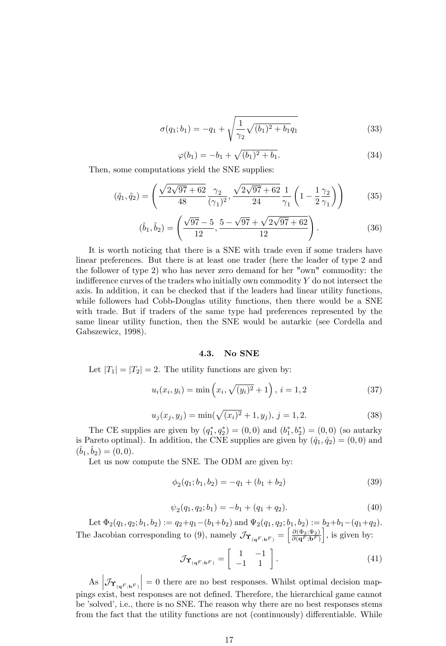$$
\sigma(q_1; b_1) = -q_1 + \sqrt{\frac{1}{\gamma_2} \sqrt{(b_1)^2 + b_1} q_1}
$$
\n(33)

$$
\varphi(b_1) = -b_1 + \sqrt{(b_1)^2 + b_1}.
$$
\n(34)

Then, some computations yield the SNE supplies:

$$
(\tilde{q}_1, \tilde{q}_2) = \left(\frac{\sqrt{2\sqrt{97} + 62}}{48} \frac{\gamma_2}{(\gamma_1)^2}, \frac{\sqrt{2\sqrt{97} + 62}}{24} \frac{1}{\gamma_1} \left(1 - \frac{1}{2} \frac{\gamma_2}{\gamma_1}\right)\right) \tag{35}
$$

$$
(\tilde{b}_1, \tilde{b}_2) = \left(\frac{\sqrt{97} - 5}{12}, \frac{5 - \sqrt{97} + \sqrt{2\sqrt{97} + 62}}{12}\right).
$$
 (36)

It is worth noticing that there is a SNE with trade even if some traders have linear preferences. But there is at least one trader (here the leader of type 2 and the follower of type 2) who has never zero demand for her "own" commodity: the indifference curves of the traders who initially own commodity  $Y$  do not intersect the axis. In addition, it can be checked that if the leaders had linear utility functions, while followers had Cobb-Douglas utility functions, then there would be a SNE with trade. But if traders of the same type had preferences represented by the same linear utility function, then the SNE would be autarkic (see Cordella and Gabszewicz, 1998).

#### 4.3. No SNE

Let  $|T_1| = |T_2| = 2$ . The utility functions are given by:

$$
u_i(x_i, y_i) = \min\left(x_i, \sqrt{(y_i)^2 + 1}\right), i = 1, 2
$$
\n(37)

$$
u_j(x_j, y_j) = \min(\sqrt{(x_i)^2 + 1}, y_j), \, j = 1, 2. \tag{38}
$$

The CE supplies are given by  $(q_1^*, q_2^*) = (0,0)$  and  $(b_1^*, b_2^*) = (0,0)$  (so autarky is Pareto optimal). In addition, the CNE supplies are given by  $(\hat{q}_1, \hat{q}_2) = (0, 0)$  and  $(\hat{b}_1, \hat{b}_2) = (0, 0).$ 

Let us now compute the SNE. The ODM are given by:

$$
\phi_2(q_1; b_1, b_2) = -q_1 + (b_1 + b_2) \tag{39}
$$

$$
\psi_2(q_1, q_2; b_1) = -b_1 + (q_1 + q_2). \tag{40}
$$

Let  $\Phi_2(q_1, q_2; b_1, b_2) := q_2+q_1-(b_1+b_2)$  and  $\Psi_2(q_1, q_2; b_1, b_2) := b_2+b_1-(q_1+q_2).$ The Jacobian corresponding to (9), namely  $\mathcal{J}_{\Upsilon_{(\mathbf{q}^F,\mathbf{b}^F)}} = \begin{bmatrix} \frac{\partial(\Phi_2,\Psi_2)}{\partial(\mathbf{q}^F,\mathbf{b}^F)} \end{bmatrix}$ i , is given by:

$$
\mathcal{J}_{\Upsilon_{\left(\mathbf{q}^F,\mathbf{b}^F\right)}} = \left[\begin{array}{cc} 1 & -1 \\ -1 & 1 \end{array}\right].\tag{41}
$$

As  $\left| \mathcal{J}_{\Upsilon_{(\mathbf{q}^F,\mathbf{b}^F)}} \right|$  $= 0$  there are no best responses. Whilst optimal decision mappings exist, best responses are not deÖned. Therefore, the hierarchical game cannot be 'solved', i.e., there is no SNE. The reason why there are no best responses stems from the fact that the utility functions are not (continuously) differentiable. While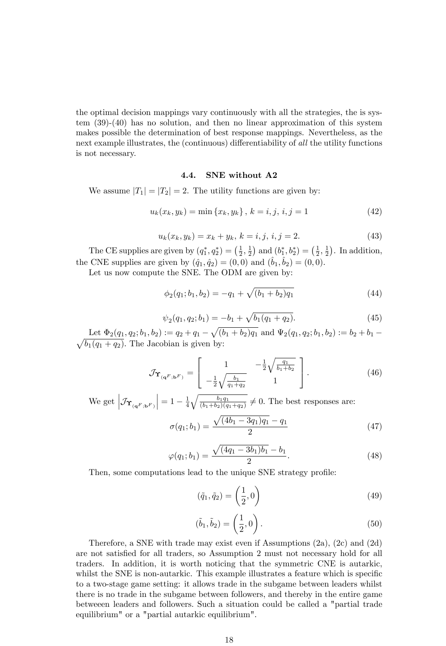the optimal decision mappings vary continuously with all the strategies, the is system (39)-(40) has no solution, and then no linear approximation of this system makes possible the determination of best response mappings. Nevertheless, as the next example illustrates, the (continuous) differentiability of all the utility functions is not necessary.

#### 4.4. SNE without A2

We assume  $|T_1| = |T_2| = 2$ . The utility functions are given by:

$$
u_k(x_k, y_k) = \min\{x_k, y_k\}, \ k = i, j, \ i, j = 1 \tag{42}
$$

$$
u_k(x_k, y_k) = x_k + y_k, \, k = i, j, \, i, j = 2. \tag{43}
$$

The CE supplies are given by  $(q_1^*, q_2^*) = (\frac{1}{2}, \frac{1}{2})$  and  $(b_1^*, b_2^*) = (\frac{1}{2}, \frac{1}{2})$ . In addition, the CNE supplies are given by  $(\hat{q}_1, \hat{q}_2) = (0, 0)$  and  $(\hat{b}_1, \hat{b}_2) = (0, 0)$ .

Let us now compute the SNE. The ODM are given by:

$$
\phi_2(q_1; b_1, b_2) = -q_1 + \sqrt{(b_1 + b_2)q_1} \tag{44}
$$

$$
\psi_2(q_1, q_2; b_1) = -b_1 + \sqrt{b_1(q_1 + q_2)}.\tag{45}
$$

Let  $\Phi_2(q_1, q_2; b_1, b_2) := q_2 + q_1 - \sqrt{(b_1 + b_2)q_1}$  and  $\Psi_2(q_1, q_2; b_1, b_2) := b_2 + b_1 \sqrt{b_1(q_1+q_2)}$ . The Jacobian is given by:

$$
\mathcal{J}_{\Upsilon_{(\mathbf{q}^F;\mathbf{b}^F)}} = \begin{bmatrix} 1 & -\frac{1}{2}\sqrt{\frac{q_1}{b_1 + b_2}} \\ -\frac{1}{2}\sqrt{\frac{b_1}{q_1 + q_2}} & 1 \end{bmatrix}.
$$
 (46)

We get  $\left|\mathcal{J}_{\Upsilon_{(\mathbf{q}^F;\mathbf{b}^F)}}\right|$  $= 1 - \frac{1}{4} \sqrt{\frac{b_1 q_1}{(b_1 + b_2)(q_1 + q_2)}} \neq 0$ . The best responses are:

$$
\sigma(q_1; b_1) = \frac{\sqrt{(4b_1 - 3q_1)q_1} - q_1}{2} \tag{47}
$$

$$
\varphi(q_1; b_1) = \frac{\sqrt{(4q_1 - 3b_1)b_1} - b_1}{2}.
$$
\n(48)

Then, some computations lead to the unique SNE strategy profile:

$$
(\tilde{q}_1, \tilde{q}_2) = \left(\frac{1}{2}, 0\right) \tag{49}
$$

$$
(\tilde{b}_1, \tilde{b}_2) = \left(\frac{1}{2}, 0\right).
$$
 (50)

Therefore, a SNE with trade may exist even if Assumptions (2a), (2c) and (2d) are not satisfied for all traders, so Assumption 2 must not necessary hold for all traders. In addition, it is worth noticing that the symmetric CNE is autarkic, whilst the SNE is non-autarkic. This example illustrates a feature which is specific to a two-stage game setting: it allows trade in the subgame between leaders whilst there is no trade in the subgame between followers, and thereby in the entire game betweeen leaders and followers. Such a situation could be called a "partial trade equilibrium" or a "partial autarkic equilibrium".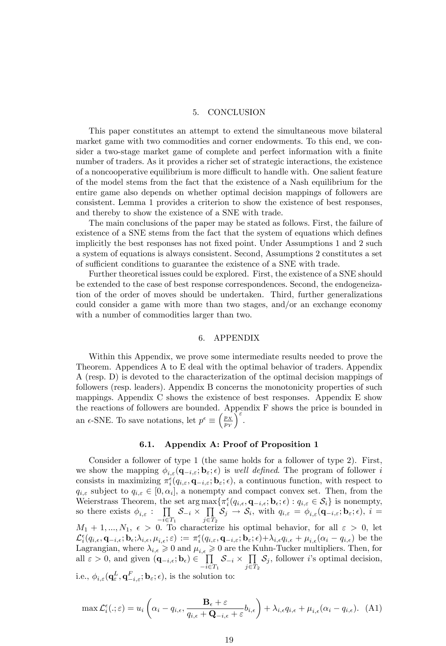#### 5. CONCLUSION

This paper constitutes an attempt to extend the simultaneous move bilateral market game with two commodities and corner endowments. To this end, we consider a two-stage market game of complete and perfect information with a finite number of traders. As it provides a richer set of strategic interactions, the existence of a noncooperative equilibrium is more difficult to handle with. One salient feature of the model stems from the fact that the existence of a Nash equilibrium for the entire game also depends on whether optimal decision mappings of followers are consistent. Lemma 1 provides a criterion to show the existence of best responses, and thereby to show the existence of a SNE with trade.

The main conclusions of the paper may be stated as follows. First, the failure of existence of a SNE stems from the fact that the system of equations which defines implicitly the best responses has not fixed point. Under Assumptions 1 and 2 such a system of equations is always consistent. Second, Assumptions 2 constitutes a set of sufficient conditions to guarantee the existence of a SNE with trade.

Further theoretical issues could be explored. First, the existence of a SNE should be extended to the case of best response correspondences. Second, the endogeneization of the order of moves should be undertaken. Third, further generalizations could consider a game with more than two stages, and/or an exchange economy with a number of commodities larger than two.

#### 6. APPENDIX

Within this Appendix, we prove some intermediate results needed to prove the Theorem. Appendices A to E deal with the optimal behavior of traders. Appendix A (resp. D) is devoted to the characterization of the optimal decision mappings of followers (resp. leaders). Appendix B concerns the monotonicity properties of such mappings. Appendix C shows the existence of best responses. Appendix E show the reactions of followers are bounded. Appendix F shows the price is bounded in an  $\epsilon$ -SNE. To save notations, let  $p^{\epsilon} \equiv \left(\frac{p_X}{p_Y}\right)$  $\int_{-\infty}^{\infty}$ 

#### 6.1. Appendix A: Proof of Proposition 1

Consider a follower of type 1 (the same holds for a follower of type 2). First, we show the mapping  $\phi_{i,\varepsilon}(\mathbf{q}_{-i,\varepsilon}; \mathbf{b}_{\varepsilon}; \epsilon)$  is well defined. The program of follower i consists in maximizing  $\pi_i^{\epsilon}(q_{i,\varepsilon}, \mathbf{q}_{-i,\varepsilon}; \mathbf{b}_{\varepsilon}; \epsilon)$ , a continuous function, with respect to  $q_{i,\varepsilon}$  subject to  $q_{i,\varepsilon} \in [0,\alpha_i]$ , a nonempty and compact convex set. Then, from the Weierstrass Theorem, the set arg  $\max{\{\pi_i^{\epsilon}(q_{i,\epsilon}, \mathbf{q}_{-i,\epsilon}, \mathbf{b}_{\epsilon}, \epsilon) : q_{i,\epsilon} \in S_i\}}$  is nonempty, so there exists  $\phi_{i,\varepsilon}$ :  $\prod$  $\prod_{i\in T_1} S_{-i} \times \prod_{j\in T}$  $\prod_{j\in T_2} S_j \to S_i, \text{ with } q_{i,\varepsilon} = \phi_{i,\varepsilon}(\mathbf{q}_{-i,\varepsilon};\mathbf{b}_\varepsilon;\epsilon), i=$  $M_1 + 1, ..., N_1, \epsilon > 0$ . To characterize his optimal behavior, for all  $\epsilon > 0$ , let  $\mathcal{L}^{\epsilon}_i(q_{i,\epsilon}, \mathbf{q}_{-i,\epsilon}; \mathbf{b}_{\epsilon};\lambda_{i,\epsilon}, \mu_{i,\epsilon}; \varepsilon) := \pi^{\epsilon}_i(q_{i,\varepsilon}, \mathbf{q}_{-i,\varepsilon}; \mathbf{b}_{\varepsilon}; \epsilon) + \lambda_{i,\epsilon}q_{i,\epsilon} + \mu_{i,\epsilon}(\alpha_i - q_{i,\epsilon})$  be the Lagrangian, where  $\lambda_{i,\epsilon} \geq 0$  and  $\mu_{i,\epsilon} \geq 0$  are the Kuhn-Tucker multipliers. Then, for all  $\varepsilon > 0$ , and given  $(\mathbf{q}_{-i,\epsilon}; \mathbf{b}_{\epsilon}) \in \prod_{i \leq j}$  $\prod_{-i \in T_1} S_{-i} \times \prod_{j \in T}$  $\prod_{j\in T_2}$  *S<sub>j</sub>*, follower *i*'s optimal decision, i.e.,  $\phi_{i,\varepsilon}(\mathbf{q}^L_{\varepsilon}, \mathbf{q}^F_{-i,\varepsilon}; \mathbf{b}_{\varepsilon}; \epsilon)$ , is the solution to:

$$
\max \mathcal{L}_i^{\epsilon}(.;\varepsilon) = u_i \left( \alpha_i - q_{i,\epsilon}, \frac{\mathbf{B}_{\epsilon} + \varepsilon}{q_{i,\epsilon} + \mathbf{Q}_{-i,\epsilon} + \varepsilon} b_{i,\epsilon} \right) + \lambda_{i,\epsilon} q_{i,\epsilon} + \mu_{i,\epsilon} (\alpha_i - q_{i,\epsilon}). \tag{A1}
$$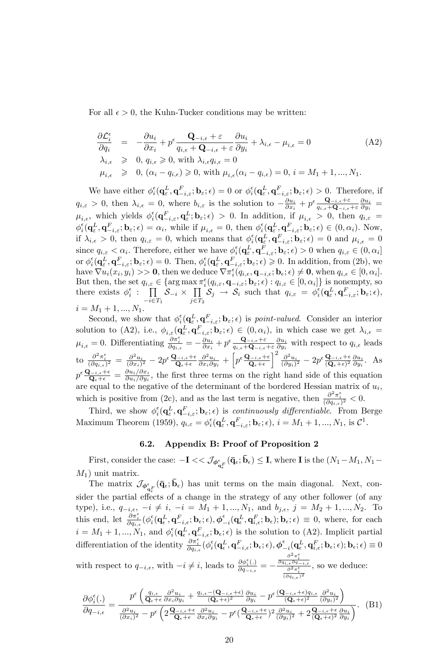For all  $\epsilon > 0$ , the Kuhn-Tucker conditions may be written:

$$
\frac{\partial \mathcal{L}_{i}^{\epsilon}}{\partial q_{i}} = -\frac{\partial u_{i}}{\partial x_{i}} + p^{\epsilon} \frac{\mathbf{Q}_{-i,\epsilon} + \varepsilon}{q_{i,\epsilon} + \mathbf{Q}_{-i,\epsilon} + \varepsilon} \frac{\partial u_{i}}{\partial y_{i}} + \lambda_{i,\epsilon} - \mu_{i,\epsilon} = 0
$$
\n
$$
\lambda_{i,\epsilon} \geq 0, q_{i,\epsilon} \geq 0, \text{ with } \lambda_{i,\epsilon} q_{i,\epsilon} = 0
$$
\n
$$
\mu_{i,\epsilon} \geq 0, (\alpha_{i} - q_{i,\epsilon}) \geq 0, \text{ with } \mu_{i,\epsilon} (\alpha_{i} - q_{i,\epsilon}) = 0, i = M_{1} + 1, ..., M_{1}.
$$
\n(A2)

We have either  $\phi_i^{\epsilon}(\mathbf{q}_{\varepsilon}^L, \mathbf{q}_{-i,\varepsilon}^F; \mathbf{b}_{\varepsilon}; \epsilon) = 0$  or  $\phi_i^{\epsilon}(\mathbf{q}_{\varepsilon}^L, \mathbf{q}_{-i,\varepsilon}^F; \mathbf{b}_{\varepsilon}; \epsilon) > 0$ . Therefore, if  $q_{i,\varepsilon} > 0$ , then  $\lambda_{i,\varepsilon} = 0$ , where  $b_{i,\varepsilon}$  is the solution to  $-\frac{\partial u_i}{\partial x_i} + p^{\varepsilon} \frac{\mathbf{Q}_{-i,\varepsilon} + \varepsilon}{q_{i,\varepsilon} + \mathbf{Q}_{-i,\varepsilon}}$  $\frac{\mathbf{Q}_{-i,\epsilon}+\varepsilon}{q_{i,\epsilon}+\mathbf{Q}_{-i,\epsilon}+\varepsilon}\frac{\partial u_i}{\partial y_i} \,=\,$  $\mu_{i,\epsilon}$ , which yields  $\phi_i^{\epsilon}(\mathbf{q}_{-i,\epsilon}^F, \mathbf{q}_{\epsilon}^L; \mathbf{b}_{\epsilon}; \epsilon) > 0$ . In addition, if  $\mu_{i,\epsilon} > 0$ , then  $q_{i,\epsilon} =$  $\phi_i^{\epsilon}(\mathbf{q}_{\varepsilon}^L, \mathbf{q}_{-i,\varepsilon}^F; \mathbf{b}_{\varepsilon}; \epsilon) = \alpha_i$ , while if  $\mu_{i,\epsilon} = 0$ , then  $\phi_i^{\epsilon}(\mathbf{q}_{\varepsilon}^L, \mathbf{q}_{-i,\varepsilon}^F; \mathbf{b}_{\varepsilon}; \epsilon) \in (0, \alpha_i)$ . Now, if  $\lambda_{i,\epsilon} > 0$ , then  $q_{i,\epsilon} = 0$ , which means that  $\phi_i^{\epsilon}(\mathbf{q}_{\varepsilon}^L, \mathbf{q}_{-i,\varepsilon}^F; \mathbf{b}_{\varepsilon}; \epsilon) = 0$  and  $\mu_{i,\epsilon} = 0$ since  $q_{i,\varepsilon} < \alpha_i$ . Therefore, either we have  $\phi_i^{\epsilon}(\mathbf{q}_{\varepsilon}^L, \mathbf{q}_{-i,\varepsilon}^F; \mathbf{b}_{\varepsilon}; \epsilon) > 0$  when  $q_{i,\varepsilon} \in (0, \alpha_i]$ or  $\phi_i^{\epsilon}(\mathbf{q}_{\varepsilon}^L, \mathbf{q}_{-i,\varepsilon}^F; \mathbf{b}_{\varepsilon}; \epsilon) = 0$ . Then,  $\phi_i^{\epsilon}(\mathbf{q}_{\varepsilon}^L, \mathbf{q}_{-i,\varepsilon}^F; \mathbf{b}_{\varepsilon}; \epsilon) \geq 0$ . In addition, from (2b), we have  $\nabla u_i(x_i, y_i) >> \mathbf{0}$ , then we deduce  $\nabla \pi_i^{\epsilon}(q_{i,\epsilon}, \mathbf{q}_{-i,\epsilon}; \mathbf{b}_{\epsilon}; \epsilon) \neq \mathbf{0}$ , when  $q_{i,\epsilon} \in [0, \alpha_i]$ . But then, the set  $q_{i,\varepsilon} \in \{\arg \max \pi_i^{\varepsilon}(q_{i,\varepsilon}, \mathbf{q}_{-i,\varepsilon}; \mathbf{b}_{\varepsilon}; \epsilon) : q_{i,\varepsilon} \in [0, \alpha_i]\}$  is nonempty, so there exists  $\phi_i^{\epsilon}$  :  $\prod$  $\prod_{-i \in T_1} S_{-i} \times \prod_{j \in T}$  $\prod_{j\in T_2} S_j \rightarrow S_i$  such that  $q_{i,\varepsilon} = \phi_i^{\varepsilon}(\mathbf{q}_{\varepsilon}^L, \mathbf{q}_{-i,\varepsilon}^F; \mathbf{b}_{\varepsilon}; \varepsilon),$  $i = M_1 + 1, ..., N_1.$ 

Second, we show that  $\phi_i^{\epsilon}(\mathbf{q}_{\varepsilon}^L, \mathbf{q}_{\varepsilon}^L)$  $\sum_{i}^{\epsilon} (\mathbf{q}_{\varepsilon}^{L}, \mathbf{q}_{-i,\varepsilon}^{F}; \mathbf{b}_{\varepsilon}; \epsilon)$  is *point-valued.* Consider an interior solution to (A2), i.e.,  $\phi_{i,\varepsilon}(\mathbf{q}_{\varepsilon}^L, \mathbf{q}_{-i,\varepsilon}^F; \mathbf{b}_{\varepsilon};\epsilon) \in (0, \alpha_i)$ , in which case we get  $\lambda_{i,\varepsilon} =$  $\mu_{i,\epsilon} = 0.$  Differentiating  $\frac{\partial \pi_i^{\epsilon}}{\partial q_{i,\epsilon}} = -\frac{\partial u_i}{\partial x_i} + p^{\epsilon} \frac{\mathbf{Q}_{-i,\epsilon} + \varepsilon}{q_{i,\epsilon} + \mathbf{Q}_{-i,\epsilon}}$  $\frac{\mathbf{Q}_{-i,\epsilon}+\varepsilon}{q_{i,\epsilon}+\mathbf{Q}_{-i,\epsilon}+\varepsilon} \frac{\partial u_i}{\partial y_i}$  with respect to  $q_{i,\epsilon}$  leads to  $\frac{\partial^2 \pi_i^{\epsilon}}{(\partial q_{i,\epsilon})^2} = \frac{\partial^2 u_i}{(\partial x_i)^2} - 2p^{\epsilon} \frac{\mathbf{Q}_{-i,\epsilon} + \epsilon}{\mathbf{Q}_{\epsilon} + \epsilon} \frac{\partial^2 u_i}{\partial x_i \partial y_i} + \left[ p^{\epsilon} \frac{\mathbf{Q}_{-i,\epsilon} + \epsilon}{\mathbf{Q}_{\epsilon} + \epsilon} \right]$  $\int_{0}^{2} \frac{\partial^2 u_i}{(\partial y_i)^2} - 2p^{\epsilon} \frac{\mathbf{Q}_{-i,\epsilon} + \epsilon}{(\mathbf{Q}_{\epsilon} + \epsilon)^2} \frac{\partial u_i}{\partial y_i}.$  As  $p^\epsilon \frac{\mathbf{Q}_{-i,\epsilon}+\epsilon}{\mathbf{Q}_{\epsilon}+\epsilon}=\frac{\partial u_i/\partial x_i}{\partial u_i/\partial y_i}$  $\frac{\partial u_i/\partial x_i}{\partial u_i/\partial y_i}$ , the first three terms on the right hand side of this equation are equal to the negative of the determinant of the bordered Hessian matrix of  $u_i$ , which is positive from (2c), and as the last term is negative, then  $\frac{\partial^2 \pi_i^{\epsilon}}{(\partial q_{i,\epsilon})^2} < 0$ .

Third, we show  $\phi_i^{\epsilon}(\mathbf{q}_{\varepsilon}^L, \mathbf{q}_{-i,\varepsilon}^F; \mathbf{b}_{\varepsilon}; \epsilon)$  is *continuously differentiable*. From Berge Maximum Theorem (1959),  $q_{i,\varepsilon} = \phi_i^{\varepsilon}(\mathbf{q}_{\varepsilon}^L, \mathbf{q}_{-i,\varepsilon}^F; \mathbf{b}_{\varepsilon}; \varepsilon), i = M_1 + 1, ..., N_1$ , is  $\mathcal{C}^1$ .

#### 6.2. Appendix B: Proof of Proposition 2

First, consider the case:  $-\mathbf{I} << \mathcal{J}_{\phi_{\mathbf{q}_{\epsilon}}^{\epsilon}}(\bar{\mathbf{q}}_{\epsilon};\bar{\mathbf{b}}_{\epsilon}) \leq \mathbf{I}$ , where  $\mathbf{I}$  is the  $(N_1-M_1, N_1-\mathbf{I})$  $M_1$ ) unit matrix.

The matrix  $\mathcal{J}_{\phi_{\mathbf{q}_{\epsilon}}^{\epsilon}}(\bar{\mathbf{q}}_{\epsilon};\bar{\mathbf{b}}_{\epsilon})$  has unit terms on the main diagonal. Next, consider the partial effects of a change in the strategy of any other follower (of any type), i.e.,  $q_{-i,\epsilon}$ ,  $-i \neq i$ ,  $-i = M_1 + 1, ..., N_1$ , and  $b_{j,\epsilon}$ ,  $j = M_2 + 1, ..., N_2$ . To this end, let  $\frac{\partial \pi_i^{\epsilon}}{\partial q_{i,\epsilon}} (\phi_i^{\epsilon} (\mathbf{q}_{\epsilon}^L, \mathbf{q}_{-i,\epsilon}^F; \mathbf{b}_{\epsilon}; \epsilon), \phi_{-i}^{\epsilon} (\mathbf{q}_{\epsilon}^L, \mathbf{q}_{i,\epsilon}^F; \mathbf{b}_{\epsilon}); \mathbf{b}_{\epsilon}; \epsilon) \equiv 0$ , where, for each  $i = M_1 + 1, ..., N_1$ , and  $\phi_i^{\epsilon}(\mathbf{q}_{\epsilon}^L, \mathbf{q}_{-i,\epsilon}^F; \mathbf{b}_{\epsilon}; \epsilon)$  is the solution to (A2). Implicit partial differentiation of the identity  $\frac{\partial \pi_i^{\epsilon}}{\partial q_{i,\epsilon}}(\phi_i^{\epsilon}(\mathbf{q}^L_{\epsilon}, \mathbf{q}^F_{-i,\epsilon}; \mathbf{b}_{\epsilon}; \epsilon), \phi_{-i}^{\epsilon}(\mathbf{q}^L_{\epsilon}, \mathbf{q}^F_{i,\epsilon}; \mathbf{b}_{\epsilon}; \epsilon); \mathbf{b}_{\epsilon}; \epsilon) \equiv 0$ with respect to  $q_{-i,\epsilon}$ , with  $-i \neq i$ , leads to  $\frac{\partial \phi_i^{\epsilon}(\cdot)}{\partial q_{-i,\epsilon}}$  $\frac{\partial \varphi_i(\cdot)}{\partial q_{-i,\epsilon}} = \frac{\partial^2 \pi_i^\epsilon}{\partial q_{i,\epsilon} \partial q_{-i,\epsilon}} \frac{\partial q_{-i,\epsilon}}{(\partial q_{i,\epsilon})^2}$ , so we deduce:

$$
\frac{\partial \phi_i^{\epsilon}(\cdot)}{\partial q_{-i,\epsilon}} = \frac{p^{\epsilon} \left( \frac{q_{i,\epsilon}}{\mathbf{Q}_{\epsilon} + \epsilon} \frac{\partial^2 u_i}{\partial x_i \partial y_i} + \frac{q_{i,\epsilon} - (\mathbf{Q}_{-i,\epsilon} + \epsilon)}{(\mathbf{Q}_{\epsilon} + \epsilon)^2} \frac{\partial u_i}{\partial y_i} - p^{\epsilon} \frac{(\mathbf{Q}_{-i,\epsilon} + \epsilon) q_{i,\epsilon}}{(\mathbf{Q}_{\epsilon} + \epsilon)^2} \frac{\partial^2 u_i}{(\partial y_i)^2} \right)}{\frac{\partial^2 u_i}{(\partial x_i)^2} - p^{\epsilon} \left( 2 \frac{\mathbf{Q}_{-i,\epsilon} + \epsilon}{\mathbf{Q}_{\epsilon} + \epsilon} \frac{\partial^2 u_i}{\partial x_i \partial y_i} - p^{\epsilon} \frac{(\mathbf{Q}_{-i,\epsilon} + \epsilon)}{\mathbf{Q}_{\epsilon} + \epsilon} \right)^2 \frac{\partial^2 u_i}{(\partial y_i)^2} + 2 \frac{\mathbf{Q}_{-i,\epsilon} + \epsilon}{(\mathbf{Q}_{\epsilon} + \epsilon)^2} \frac{\partial u_i}{\partial y_i} \right)}.
$$
(B1)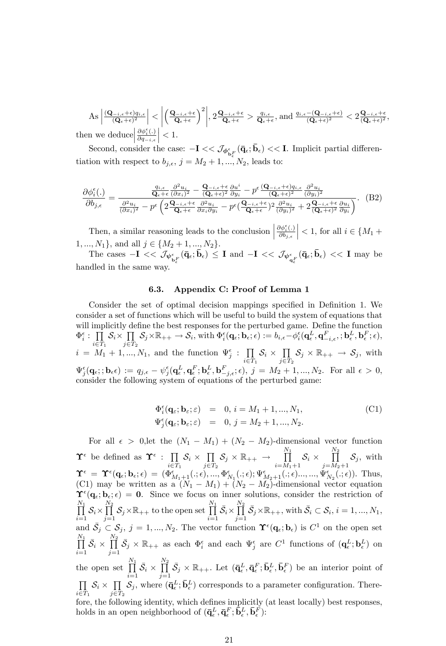$$
\text{As } \left| \frac{(\mathbf{Q}_{-i,\epsilon}+\epsilon)q_{i,\epsilon}}{(\mathbf{Q}_{\epsilon}+\epsilon)^2} \right| < \left| \left( \frac{\mathbf{Q}_{-i,\epsilon}+\epsilon}{\mathbf{Q}_{\epsilon}+\epsilon} \right)^2 \right|, 2 \frac{\mathbf{Q}_{-i,\epsilon}+\epsilon}{\mathbf{Q}_{\epsilon}+\epsilon} > \frac{q_{i,\epsilon}}{\mathbf{Q}_{\epsilon}+\epsilon}, \text{and } \frac{q_{i,\epsilon}-(\mathbf{Q}_{-i,\epsilon}+\epsilon)}{(\mathbf{Q}_{\epsilon}+\epsilon)^2} < 2 \frac{\mathbf{Q}_{-i,\epsilon}+\epsilon}{(\mathbf{Q}_{\epsilon}+\epsilon)^2},
$$
\n
$$
\text{then we deduce } \left| \frac{\partial \phi_i^{\epsilon}(.)}{\partial q_{-i,\epsilon}} \right| < 1.
$$

Second, consider the case:  $-I \ll \mathcal{J}_{\phi_{\mathbf{b}^F_\epsilon}}(\bar{\mathbf{q}}_\epsilon;\bar{\mathbf{b}}_\epsilon) \ll I$ . Implicit partial differentiation with respect to  $b_{j,\epsilon}$ ,  $j = M_2 + 1, ..., N_2$ , leads to:

$$
\frac{\partial \phi_i^{\epsilon}(\cdot)}{\partial b_{j,\epsilon}} = \frac{\frac{q_{i,\epsilon}}{\mathbf{Q}_{\epsilon+\epsilon}} \frac{\partial^2 u_i}{\partial x_i)^2} - \frac{\mathbf{Q}_{-i,\epsilon} + \epsilon}{(\mathbf{Q}_{\epsilon+\epsilon})^2} \frac{\partial u_i}{\partial y_i} - p^{\epsilon} \frac{(\mathbf{Q}_{-i,\epsilon} + \epsilon) q_{i,\epsilon}}{(\mathbf{Q}_{\epsilon+\epsilon})^2} \frac{\partial^2 u_i}{\partial y_i)^2}}{\frac{\partial^2 u_i}{(\mathbf{Q}_{x,i})^2} - p^{\epsilon} \left(2 \frac{\mathbf{Q}_{-i,\epsilon} + \epsilon}{\mathbf{Q}_{\epsilon+\epsilon}} \frac{\partial^2 u_i}{\partial x_i \partial y_i} - p^{\epsilon} \left(\frac{\mathbf{Q}_{-i,\epsilon} + \epsilon}{\mathbf{Q}_{\epsilon+\epsilon}}\right)^2 \frac{\partial^2 u_i}{(\mathbf{Q}_{y,i})^2} + 2 \frac{\mathbf{Q}_{-i,\epsilon} + \epsilon}{(\mathbf{Q}_{\epsilon+\epsilon})^2} \frac{\partial u_i}{\partial y_i}\right)}.
$$
(B2)

Then, a similar reasoning leads to the conclusion  $\Big|$  $\partial \phi_i^{\epsilon}(.)$  $\partial b_{j,\epsilon}$  $\vert$  < 1, for all  $i \in \lbrace M_1 +$  $1, ..., N_1$ , and all  $j \in \{M_2 + 1, ..., N_2\}$ .

The cases  $-I \ll \mathcal{J}_{\psi_{\mathbf{b}\epsilon}^{\epsilon}}(\bar{\mathbf{q}}_{\epsilon}; \bar{\mathbf{b}}_{\epsilon}) \leq I$  and  $-I \ll \mathcal{J}_{\psi_{\mathbf{q}\epsilon}^{\epsilon}}(\bar{\mathbf{q}}_{\epsilon}; \bar{\mathbf{b}}_{\epsilon}) \ll I$  may be handled in the same way.

#### 6.3. Appendix C: Proof of Lemma 1

Consider the set of optimal decision mappings specified in Definition 1. We consider a set of functions which will be useful to build the system of equations that will implicitly define the best responses for the perturbed game. Define the function  $\Phi_i^{\epsilon}$ :  $\prod$  $\prod_{i\in T_1} S_i \times \prod_{j\in T}$  $\prod_{j\in T_2} S_j \times \mathbb{R}_{++} \to S_i$ , with  $\Phi_i^{\epsilon}(\mathbf{q}_{\epsilon}; \mathbf{b}_{\epsilon}; \epsilon) := b_{i,\epsilon} - \phi_i^{\epsilon}(\mathbf{q}_{\epsilon}^L, \mathbf{q}_{-i,\epsilon}^F, \mathbf{b}_{\epsilon}^L, \mathbf{b}_{\epsilon}^F, \epsilon),$  $i = M_1 + 1, ..., N_1$ , and the function  $\Psi_j^{\epsilon}$ :  $\prod$  $\prod_{i\in T_1} S_i \times \prod_{j\in T}$  $\prod_{j\in T_2} S_j \times \mathbb{R}_{++} \to S_j$ , with  $\Psi_j^{\epsilon}(\mathbf{q}_{\epsilon}; ; \mathbf{b}_{\epsilon}\epsilon) := q_{j,\epsilon} - \psi_j^{\epsilon}(\mathbf{q}_{\epsilon}^L, \mathbf{q}_{\epsilon}^F; \mathbf{b}_{\epsilon}^L, \mathbf{b}_{-j,\epsilon}^F; \epsilon), j = M_2 + 1, ..., N_2.$  For all  $\epsilon > 0$ , consider the following system of equations of the perturbed game:

$$
\begin{array}{rcl}\n\Phi_i^{\epsilon}(\mathbf{q}_{\varepsilon};\mathbf{b}_{\varepsilon};\varepsilon) & = & 0, \, i = M_1 + 1, \dots, N_1, \\
\Psi_j^{\epsilon}(\mathbf{q}_{\varepsilon};\mathbf{b}_{\varepsilon};\varepsilon) & = & 0, \, j = M_2 + 1, \dots, N_2.\n\end{array} \tag{C1}
$$

For all  $\epsilon > 0$ , let the  $(N_1 - M_1) + (N_2 - M_2)$ -dimensional vector function  $\Upsilon^{\epsilon}$  be defined as  $\Upsilon^{\epsilon}$  :  $\prod$  $\prod_{i\in T_1} S_i \times \prod_{j\in T}$  $\prod_{j\in T_2} {\mathcal S}_j \times {\mathbb R}_{++} \to$  $\prod^{N_1}$  $\prod_{i=M_1+1}$   $S_i \times$  $\prod^{N_2}$  $\prod_{j=M_2+1} \mathcal{S}_j$ , with  $\Upsilon^{\epsilon} = \Upsilon^{\epsilon}(\mathbf{q}_{\epsilon}; \mathbf{b}_{\epsilon}; \epsilon) = (\Phi^{\epsilon}_{M_1+1}(.; \epsilon), ..., \Phi^{\epsilon}_{N_1}(.; \epsilon); \Psi^{\epsilon}_{M_2+1}(.; \epsilon) ..., ..., \Psi^{\epsilon}_{N_2}(.; \epsilon)).$  Thus, (C1) may be written as a  $(N_1 - M_1) + (N_2 - M_2)$ -dimensional vector equation  $\Upsilon^{\epsilon}(q_{\epsilon}; b_{\epsilon}; \epsilon) = 0$ . Since we focus on inner solutions, consider the restriction of  $\prod^{N_1}$  $\prod_{i=1}$   $\mathcal{S}_i$   $\times$  $\frac{N_2}{\prod}$  $\prod_{j=1}^{N_2} S_j \times \mathbb{R}_{++}$  to the open set  $\prod_{i=1}^{N_1}$  $\prod_{i=1}^{11} \bar{\mathcal{S}}_i \times$  $\frac{N_2}{\prod}$  $\prod_{j=1}^{n} \bar{S}_j \times \mathbb{R}_{++}$ , with  $\bar{S}_i \subset S_i$ ,  $i = 1, ..., N_1$ , and  $\bar{S}_j \subset S_j$ ,  $j = 1, ..., N_2$ . The vector function  $\Upsilon^{\epsilon}(q_{\epsilon}; \mathbf{b}_{\epsilon})$  is  $C^1$  on the open set  $\prod^{N_1}$  $\prod_{i=1}^{11} \bar{S}_i$  ×  $\prod^{N_2}$  $\prod_{j=1}^{\infty} \bar{S}_j \times \mathbb{R}_{++}$  as each  $\Phi_i^{\epsilon}$  and each  $\Psi_j^{\epsilon}$  are  $C^1$  functions of  $(\mathbf{q}_{\epsilon}^L; \mathbf{b}_{\epsilon}^L)$  on the open set  $\prod^{N_1}$  $\prod_{i=1}^{11} \bar{S}_i$  ×  $\frac{N_2}{\prod}$  $\prod_{j=1}^{\infty} \bar{S}_j \times \mathbb{R}_{++}$ . Let  $(\bar{\mathbf{q}}_{\epsilon}^L, \bar{\mathbf{q}}_{\epsilon}^F; \bar{\mathbf{b}}_{\epsilon}^L, \bar{\mathbf{b}}_{\epsilon}^F)$  be an interior point of  $\overline{\Pi}$  $\prod_{i\in T_1} S_i \times \prod_{j\in T}$  $\prod_{j\in T_2} S_j$ , where  $(\bar{\mathbf{q}}_{{\epsilon}}^L; \bar{\mathbf{b}}_{{\epsilon}}^L)$  corresponds to a parameter configuration. Therefore, the following identity, which defines implicitly (at least locally) best responses, holds in an open neighborhood of  $(\bar{\mathbf{q}}_{\epsilon}^L, \bar{\mathbf{q}}_{\epsilon}^F, \bar{\mathbf{b}}_{\epsilon}^L, \bar{\mathbf{b}}_{\epsilon}^F)$ :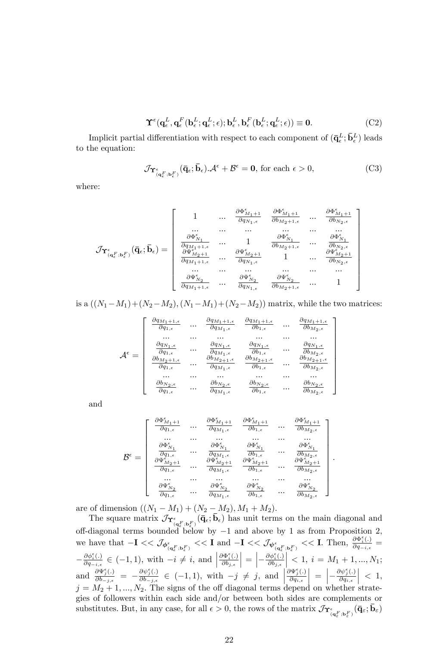$$
\Upsilon^{\epsilon}(\mathbf{q}_{\epsilon}^{L}, \mathbf{q}_{\epsilon}^{F}(\mathbf{b}_{\epsilon}^{L}; \mathbf{q}_{\epsilon}^{L}; \epsilon); \mathbf{b}_{\epsilon}^{L}, \mathbf{b}_{\epsilon}^{F}(\mathbf{b}_{\epsilon}^{L}; \mathbf{q}_{\epsilon}^{L}; \epsilon)) \equiv \mathbf{0}.
$$
 (C2)

Implicit partial differentiation with respect to each component of  $(\bar{\mathbf{q}}_{{\epsilon}}^L; \bar{\mathbf{b}}_{{\epsilon}}^L)$  leads to the equation:

$$
\mathcal{J}\Upsilon_{(\mathbf{q}_{\epsilon}^{F},\mathbf{b}_{\epsilon}^{F})}(\bar{\mathbf{q}}_{\epsilon};\bar{\mathbf{b}}_{\epsilon})\mathcal{A}^{\epsilon} + \mathcal{B}^{\epsilon} = \mathbf{0}, \text{ for each } \epsilon > 0,
$$
 (C3)

where:

$$
\mathcal{J}\mathbf{\Upsilon}_{(\mathbf{q}^F_\epsilon;\mathbf{b}^F_\epsilon)}^{\epsilon}(\mathbf{\bar{q}}_\epsilon;\mathbf{\bar{b}}_\epsilon)=\left[\begin{array}{cccc} 1 & ... & \frac{\partial \Phi^\epsilon_{M_1+1}}{\partial g_{N_1,\epsilon}} & \frac{\partial \Phi^\epsilon_{M_1+1}}{\partial b_{M_2+1,\epsilon}} & ... & \frac{\partial \Phi^\epsilon_{M_1+1}}{\partial b_{N_2,\epsilon}} \\ ... & ... & ... & ... & ... \\ \frac{\partial \Phi^\epsilon_{N_1}}{\partial q_{M_1+1,\epsilon}} & ... & 1 & \frac{\partial \Phi^\epsilon_{N_1}}{\partial b_{M_2+1,\epsilon}} & ... & \frac{\partial \Phi^\epsilon_{N_1}}{\partial b_{N_2,\epsilon}} \\ \frac{\partial \Psi^\epsilon_{M_2+1}}{\partial q_{M_1+1,\epsilon}} & ... & \frac{\partial \Psi^\epsilon_{M_2+1}}{\partial q_{N_1,\epsilon}} & 1 & ... & \frac{\partial \Psi^\epsilon_{M_2+1}}{\partial b_{N_2,\epsilon}} \\ ... & ... & ... & ... & ... \\ \frac{\partial \Psi^\epsilon_{N_2}}{\partial q_{M_1+1,\epsilon}} & ... & \frac{\partial \Psi^\epsilon_{N_2}}{\partial q_{N_{1,\epsilon}}} & \frac{\partial \Psi^\epsilon_{N_2}}{\partial b_{M_2+1,\epsilon}} & ... & 1 \end{array}\right]
$$

is a  $((N_1-M_1)+(N_2-M_2),(N_1-M_1)+(N_2-M_2))$  matrix, while the two matrices:

$$
\mathcal{A}^{\epsilon} = \left[\begin{array}{cccc} \frac{\partial q_{M_1+1,\epsilon}}{\partial q_{1,\epsilon}} & ... & \frac{\partial q_{M_1+1,\epsilon}}{\partial q_{M_1,\epsilon}} & \frac{\partial q_{M_1+1,\epsilon}}{\partial b_{1,\epsilon}} & ... & \frac{\partial q_{M_1+1,\epsilon}}{\partial b_{M_2,\epsilon}} \\ ... & ... & ... & ... & ... \\ \frac{\partial q_{N_1,\epsilon}}{\partial q_{1,\epsilon}} & ... & \frac{\partial q_{N_1,\epsilon}}{\partial q_{M_1,\epsilon}} & \frac{\partial q_{N_1,\epsilon}}{\partial b_{1,\epsilon}} & ... & \frac{\partial q_{N_1,\epsilon}}{\partial b_{M_2,\epsilon}} \\ \frac{\partial b_{M_2+1,\epsilon}}{\partial q_{1,\epsilon}} & ... & \frac{\partial b_{M_2+1,\epsilon}}{\partial q_{M_1,\epsilon}} & \frac{\partial b_{M_2+1,\epsilon}}{\partial b_{1,\epsilon}} & ... & \frac{\partial b_{M_2+1,\epsilon}}{\partial b_{M_2,\epsilon}} \\ ... & ... & ... & ... \\ \frac{\partial b_{N_2,\epsilon}}{\partial q_{1,\epsilon}} & ... & \frac{\partial b_{N_2,\epsilon}}{\partial q_{M_1,\epsilon}} & \frac{\partial b_{N_2,\epsilon}}{\partial b_{1,\epsilon}} & ... & \frac{\partial b_{N_2,\epsilon}}{\partial b_{M_2,\epsilon}} \end{array}\right]
$$

and

$$
\mathcal{B}^{\epsilon}=\left[\begin{array}{cccc} \frac{\partial\Phi_{M_{1}+1}^{\epsilon}}{\partial q_{1,\epsilon}} & \cdots & \frac{\partial\Phi_{M_{1}+1}^{\epsilon}}{\partial q_{M_{1},\epsilon}} & \frac{\partial\Phi_{M_{1}+1}^{\epsilon}}{\partial b_{1,\epsilon}} & \cdots & \frac{\partial\Phi_{M_{1}+1}^{\epsilon}}{\partial b_{M_{2},\epsilon}} \\ \cdots & \cdots & \cdots & \cdots & \cdots \\ \frac{\partial\Phi_{N_{1}}^{\epsilon}}{\partial q_{1,\epsilon}} & \cdots & \frac{\partial\Phi_{N_{1}}^{\epsilon}}{\partial q_{M_{1},\epsilon}} & \frac{\partial\Phi_{N_{1}}^{\epsilon}}{\partial b_{1,\epsilon}} & \cdots & \frac{\partial\Phi_{N_{1}}^{\epsilon}}{\partial b_{M_{2},\epsilon}} \\ \frac{\partial\Psi_{M_{2}+1}^{\epsilon}}{\partial q_{1,\epsilon}} & \cdots & \frac{\partial\Psi_{M_{2}+1}^{\epsilon}}{\partial q_{M_{1},\epsilon}} & \frac{\partial\Psi_{M_{2}+1}^{\epsilon}}{\partial b_{1,\epsilon}} & \cdots & \frac{\partial\Psi_{M_{2}+1}^{\epsilon}}{\partial b_{M_{2},\epsilon}} \\ \cdots & \cdots & \cdots & \cdots & \cdots \\ \frac{\partial\Psi_{N_{2}}^{\epsilon}}{\partial q_{1,\epsilon}} & \cdots & \frac{\partial\Psi_{N_{2}}^{\epsilon}}{\partial q_{M_{1},\epsilon}} & \frac{\partial\Psi_{N_{2}}^{\epsilon}}{\partial b_{1,\epsilon}} & \cdots & \frac{\partial\Psi_{N_{2}}^{\epsilon}}{\partial b_{M_{2},\epsilon}} \end{array}\right]
$$

.

are of dimension  $((N_1 - M_1) + (N_2 - M_2), M_1 + M_2)$ .

The square matrix  $\mathcal{J}_{\Upsilon^{\epsilon}_{(q^F_{\epsilon};b^F_{\epsilon})}}(\bar{q}_{\epsilon};\bar{b}_{\epsilon})$  has unit terms on the main diagonal and off-diagonal terms bounded below by  $-1$  and above by 1 as from Proposition 2, we have that  $-\mathbf{I} \ll \mathcal{J}_{\phi_{(q_{\epsilon}^F,b_{\epsilon}^F)}} \ll \mathbf{I}$  and  $-\mathbf{I} \ll \mathcal{J}_{\psi_{(q_{\epsilon}^F,b_{\epsilon}^F)}} \ll \mathbf{I}$ . Then,  $\frac{\partial \Phi_{i}^{\epsilon}(\cdot)}{\partial q_{-i,\epsilon}}$  $\frac{\partial \Psi_i(\cdot)}{\partial q_{-i,\epsilon}} =$  $-\frac{\partial \phi_i^{\epsilon}(.)}{\partial q_{-i,\epsilon}}$  $\frac{\partial \phi_i^{\epsilon}(.)}{\partial q_{-i,\epsilon}} \in (-1,1)$ , with  $-i \neq i$ , and  $\frac{\partial \Phi_i^{\epsilon}(\cdot)}{\partial \phi_i^{\epsilon}}$  $\partial b_{j,\epsilon}$  $\Big| = \Big| - \frac{\partial \phi_i^{\epsilon} (.)}{\partial b_{j,\epsilon}}$  $\partial b_{j,\epsilon}$  $\vert < 1, i = M_1 + 1, ..., N_1;$ and  $\frac{\partial \Psi_j^{\epsilon}(.)}{\partial h}$  $\frac{\partial \Psi_j^{\epsilon}(.)}{\partial b_{-j,\epsilon}} = -\frac{\partial \psi_j^{\epsilon}(.)}{\partial b_{-j,\epsilon}}$  $\frac{\partial \psi_j^{\epsilon}(.)}{\partial b_{-j,\epsilon}} \in (-1,1)$ , with  $-j \neq j$ , and  $\partial \Psi_j^\epsilon (.)$  $\partial q_{i,\epsilon}$  $\Big| = \Big| \partial \psi_j^{\epsilon}(.)$  $\partial q_{i,\epsilon}$  $\Big|$  < 1,  $j = M_2 + 1, ..., N_2$ . The signs of the off diagonal terms depend on whether strategies of followers within each side and/or between both sides are complements or substitutes. But, in any case, for all  $\epsilon > 0$ , the rows of the matrix  $\mathcal{J}_{\Upsilon^{\epsilon}_{(\mathbf{q}^F_\epsilon),\mathbf{b}^F_\epsilon)}}(\bar{\mathbf{q}}_{\varepsilon};\bar{\mathbf{b}}_{\varepsilon})$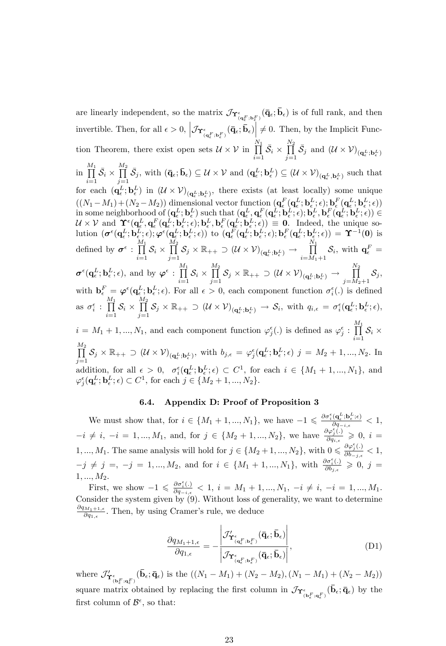are linearly independent, so the matrix  $\mathcal{J}_{\Upsilon^{\epsilon}_{(q^F_{\epsilon};b^F_{\epsilon})}}(\bar{q}_{\epsilon};\bar{b}_{\epsilon})$  is of full rank, and then invertible. Then, for all  $\epsilon > 0$ ,  $\left| \mathcal{J}_{\mathbf{\Upsilon}^{\epsilon}_{(\mathbf{q}^F_{\epsilon};\mathbf{b}^F_{\epsilon})}}(\bar{\mathbf{q}}_{\epsilon};\bar{\mathbf{b}}_{\epsilon}) \right| \neq 0$ . Then, by the Implicit Function Theorem, there exist open sets  $\mathcal{U} \times \mathcal{V}$  in  $\prod_{i=1}^{N_1}$  $\prod_{i=1}^{11} \bar{S}_i$  ×  $\frac{N_2}{\prod}$  $\prod_{j=1}^{N} \bar{S}_j$  and  $(\mathcal{U} \times \mathcal{V})_{(\mathbf{q}_{\epsilon}^L; \mathbf{b}_{\epsilon}^L)}$ in  $\prod^{M_1}$  $\prod_{i=1}^{m} \bar{S}_i$  ×  $\frac{M_2}{\prod}$  $\prod_{j=1}^{m} \bar{S}_j$ , with  $(\bar{q}_{\epsilon}, \bar{b}_{\epsilon}) \subseteq \mathcal{U} \times \mathcal{V}$  and  $(q_{\epsilon}^L; b_{\epsilon}^L) \subseteq (\mathcal{U} \times \mathcal{V})_{(q_{\epsilon}^L, b_{\epsilon}^L)}$  such that for each  $(\mathbf{q}_{\epsilon}^{L}; \mathbf{b}_{\epsilon}^{L})$  in  $(\mathcal{U} \times \mathcal{V})_{(\mathbf{q}_{\epsilon}^{L}; \mathbf{b}_{\epsilon}^{L})}$ , there exists (at least locally) some unique  $((N_1-M_1)+(N_2-M_2))$  dimensional vector function  $(\mathbf{q}^F_{\epsilon}(\mathbf{q}^L_{\epsilon};\mathbf{b}^L_{\epsilon},\epsilon);\mathbf{b}^F_{\epsilon}(\mathbf{q}^L_{\epsilon};\mathbf{b}^L_{\epsilon};\epsilon))$ in some neighborhood of  $(\mathbf{q}^L_\epsilon; \mathbf{b}^L_\epsilon)$  such that  $(\mathbf{q}^L_\epsilon, \mathbf{q}^F_\epsilon(\mathbf{q}^L_\epsilon; \mathbf{b}^L_\epsilon; \epsilon); \mathbf{b}^L_\epsilon, \mathbf{b}^F_\epsilon(\mathbf{q}^L_\epsilon; \mathbf{b}^L_\epsilon; \epsilon)) \in$  $\mathcal{U} \times \mathcal{V}$  and  $\Upsilon^{\epsilon}(\mathbf{q}_{\epsilon}^{L}, \mathbf{q}_{\epsilon}^{F}(\mathbf{q}_{\epsilon}^{L}; \mathbf{b}_{\epsilon}^{L}; \epsilon); \mathbf{b}_{\epsilon}^{L}, \mathbf{b}_{\epsilon}^{F}(\mathbf{q}_{\epsilon}^{L}; \mathbf{b}_{\epsilon}^{L}; \epsilon)) \equiv 0$ . Indeed, the unique so- $\begin{array}{c} \text{lution } \left( \sigma^\epsilon(\textbf{q}^L_\epsilon;\textbf{b}^L_\epsilon;\epsilon) ; \boldsymbol{\varphi}^\epsilon(\textbf{q}^L_\epsilon;\textbf{b}^L_\epsilon;\epsilon) \right) \text{ to } \left( \textbf{q}^F_\epsilon(\textbf{q}^L_\epsilon;\textbf{b}^L_\epsilon;\epsilon) ; \textbf{b}^F_\epsilon(\textbf{q}^L_\epsilon;\textbf{b}^L_\epsilon;\epsilon) \right) = \boldsymbol{\Upsilon}^{-1}(\textbf{0}) \text{ is} \end{array}$ defined by  $\boldsymbol{\sigma}^{\epsilon}$  :  $\prod^{M_1}$  $\prod_{i=1}$   $S_i$   $\times$  $\frac{M_2}{\prod}$  $\prod\limits_{j=1} \mathcal{S}_j \times \mathbb{R}_{++} \supset (\mathcal{U} \times \mathcal{V})_{(\mathbf{q}^L_\epsilon; \mathbf{b}^L_\epsilon)} \rightarrow$  $\prod^{N_1}$  $\prod_{i=M_1+1}^{\bullet} \mathcal{S}_i$ , with  $\mathbf{q}_{\epsilon}^F =$  $\boldsymbol{\sigma}^{\epsilon}(\mathbf{q}^L_{\epsilon};\mathbf{b}^L_{\epsilon};\epsilon)$ , and by  $\boldsymbol{\varphi}^{\epsilon}$  :  $\prod^{M_1}$  $\prod_{i=1}$   $\mathcal{O}_i$   $\times$  $\frac{M_2}{\prod}$  $\prod\limits_{j=1} \mathcal{S}_j \times \mathbb{R}_{++} \supset (\mathcal{U} \times \mathcal{V})_{(\mathbf{q}^L_\epsilon; \mathbf{b}^L_\epsilon)} \rightarrow$  $\frac{N_2}{\prod}$  $\prod_{j=M_2+1} \mathcal{S}_j,$ with  $\mathbf{b}_{\epsilon}^{F} = \boldsymbol{\varphi}^{\epsilon}(\mathbf{q}_{\epsilon}^{L}; \mathbf{b}_{\epsilon}^{L}; \epsilon)$ . For all  $\epsilon > 0$ , each component function  $\sigma_i^{\epsilon}(\cdot)$  is defined as  $\sigma_i^{\epsilon}$  :  $\prod^{M_1}$  $\prod_{i=1}$   $S_i$   $\times$  $\frac{M_2}{\prod}$  $\prod_{j=1}^{\tilde{l}} S_j \times \mathbb{R}_{++} \supset (\mathcal{U} \times \mathcal{V})_{(\mathbf{q}_{\epsilon}^L; \mathbf{b}_{\epsilon}^L)} \to \mathcal{S}_i$ , with  $q_{i,\epsilon} = \sigma_i^{\epsilon}(\mathbf{q}_{\epsilon}^L; \mathbf{b}_{\epsilon}^L; \epsilon)$ ,  $i = M_1 + 1, ..., N_1$ , and each component function  $\varphi_j^{\epsilon}(\cdot)$  is defined as  $\varphi_j^{\epsilon} : \prod^{M_1}$  $\prod_{i=1}$   $S_i$   $\times$  $\frac{M_2}{\prod}$  $\prod_{j=1}^{\tilde{l}}\mathcal{S}_j \times \mathbb{R}_{++} \supset (\mathcal{U} \times \mathcal{V})_{(\mathbf{q}_{\epsilon}^L; \mathbf{b}_{\epsilon}^L)}, \text{ with } b_{j,\epsilon} = \varphi_j^{\epsilon}(\mathbf{q}_{\epsilon}^L; \mathbf{b}_{\epsilon}^L; \epsilon) \; j = M_2 + 1, ..., N_2. \; \text{In}$ addition, for all  $\epsilon > 0$ ,  $\sigma_i^{\epsilon}(\mathbf{q}_{\epsilon}^L; \mathbf{b}_{\epsilon}^L; \epsilon) \subset C^1$ , for each  $i \in \{M_1 + 1, ..., M_1\}$ , and  $\varphi_j^{\epsilon}(\mathbf{q}_{\epsilon}^L; \mathbf{b}_{\epsilon}^L; \epsilon) \subset C^1$ , for each  $j \in \{M_2 + 1, ..., N_2\}$ .

#### 6.4. Appendix D: Proof of Proposition 3

We must show that, for  $i \in \{M_1 + 1, ..., N_1\}$ , we have  $-1 \leq \frac{\partial \sigma_i^{\epsilon}(\mathbf{q}_{\epsilon}^L; \mathbf{b}_{\epsilon}^L; \epsilon)}{\partial q_{-i,\epsilon}}$  $\frac{\partial q_{\epsilon} ; \mathbf{b}_{\epsilon} ; \epsilon)}{\partial q_{-i,\epsilon}} < 1,$  $i \neq i, -i = 1, ..., M_1$ , and, for  $j \in \{M_2 + 1, ..., N_2\}$ , we have  $\frac{\partial \varphi_j^{\epsilon}(\cdot)}{\partial q_{i,\epsilon}}$  $\frac{\partial \varphi_j(\cdot)}{\partial q_{i,\epsilon}} \geqslant 0, i =$ 1, ...,  $M_1$ . The same analysis will hold for  $j \in \{M_2+1, ..., N_2\}$ , with  $0 \leq \frac{\partial \varphi_j^{\epsilon}(\cdot)}{\partial b_{-j,\epsilon}}$  $\frac{\partial \varphi_j(\cdot)}{\partial b_{-j,\epsilon}} < 1,$  $-j \neq j =, -j = 1, ..., M_2$ , and for  $i \in \{M_1 + 1, ..., N_1\}$ , with  $\frac{\partial \sigma_i^{\epsilon}(.)}{\partial b_{j,\epsilon}}$  $\frac{\partial \sigma_i(\cdot)}{\partial b_{j,\epsilon}} \geqslant 0, \; j =$  $1, ..., M_2.$ 

First, we show  $-1 \leq \frac{\partial \sigma_i^{\epsilon}(\cdot)}{\partial q_{-i,\epsilon}}$  $\frac{\partial \sigma_i(\cdot)}{\partial q_{-i,\epsilon}} < 1, i = M_1 + 1, ..., N_1, -i \neq i, -i = 1, ..., M_1.$ Consider the system given by (9). Without loss of generality, we want to determine  $\frac{\partial q_{M_1+1,\epsilon}}{\partial q_{1,\epsilon}}$ . Then, by using Cramer's rule, we deduce

$$
\frac{\partial q_{M_1+1,\epsilon}}{\partial q_{1,\epsilon}} = -\frac{\left| \mathcal{J}'_{{\mathbf{Y}}_{({\mathbf{q}}^F_{\epsilon}; {\mathbf{b}}^F_{\epsilon})}}(\bar{\mathbf{q}}_{\epsilon}; \bar{\mathbf{b}}_{\epsilon}) \right|}{\left| \mathcal{J}_{{\mathbf{Y}}_{({\mathbf{q}}^F_{\epsilon}; {\mathbf{b}}^F_{\epsilon})}}(\bar{\mathbf{q}}_{\epsilon}; \bar{\mathbf{b}}_{\epsilon}) \right|},
$$
\n(D1)

where  $\mathcal{J}'_{{\bf\Upsilon}^{\epsilon}_{({\bf b}^F_{\epsilon};{\bf q}^F_{\epsilon})}}(\bar{{\bf b}}_{\epsilon};\bar{{\bf q}}_{\epsilon})$  is the  $((N_1-M_1)+(N_2-M_2),(N_1-M_1)+(N_2-M_2))$ square matrix obtained by replacing the first column in  $\mathcal{J}_{\Upsilon_{(\mathbf{b}_{\epsilon}^F,\mathbf{q}_{\epsilon}^F)}}(\bar{\mathbf{b}}_{\epsilon};\bar{\mathbf{q}}_{\epsilon})$  by the first column of  $\mathcal{B}^{\epsilon}$ , so that: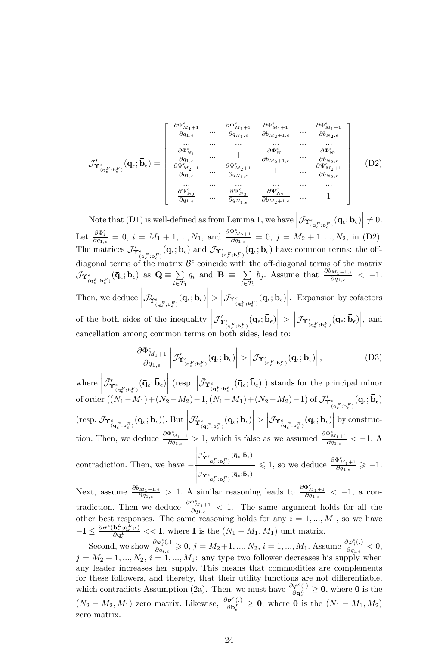$$
\mathcal{J}'_{\Upsilon^{\epsilon}_{(\mathbf{q}^F_{\epsilon};\mathbf{b}^F_{\epsilon})}}(\bar{\mathbf{q}}_{\epsilon};\bar{\mathbf{b}}_{\epsilon}) = \begin{bmatrix}\n\frac{\partial \Phi^{\epsilon}_{M_1+1}}{\partial q_{1,\epsilon}} & \cdots & \frac{\partial \Phi^{\epsilon}_{M_1+1}}{\partial q_{N_1,\epsilon}} & \frac{\partial \Phi^{\epsilon}_{M_1+1}}{\partial b_{M_2+1,\epsilon}} & \cdots & \frac{\partial \Phi^{\epsilon}_{M_1+1}}{\partial b_{N_2,\epsilon}} \\
\vdots & \cdots & \cdots & \cdots & \cdots & \cdots \\
\frac{\partial \Phi^{\epsilon}_{N_1}}{\partial q_{1,\epsilon}} & \cdots & \frac{\partial \Phi^{\epsilon}_{N_1}}{\partial b_{M_2+1,\epsilon}} & \cdots & \frac{\partial \Phi^{\epsilon}_{N_1}}{\partial b_{N_2,\epsilon}} \\
\frac{\partial \Psi^{\epsilon}_{M_2+1}}{\partial q_{1,\epsilon}} & \cdots & \frac{\partial \Psi^{\epsilon}_{M_2+1}}{\partial q_{N_1,\epsilon}} & \frac{\partial \Psi^{\epsilon}_{M_2+1}}{\partial b_{N_2,\epsilon}} \\
\vdots & \cdots & \cdots & \cdots & \cdots \\
\frac{\partial \Psi^{\epsilon}_{N_2}}{\partial q_{1,\epsilon}} & \cdots & \frac{\partial \Psi^{\epsilon}_{N_2}}{\partial q_{N_1,\epsilon}} & \frac{\partial \Psi^{\epsilon}_{N_2}}{\partial b_{M_2+1,\epsilon}} & \cdots & 1\n\end{bmatrix} (D2)
$$

Note that (D1) is well-defined as from Lemma 1, we have  $\left|\mathcal{J}\mathbf{\gamma}_{(\mathbf{q}_{\epsilon}^F;\mathbf{b}_{\epsilon}^F)}\left(\mathbf{\bar{q}}_{\epsilon};\mathbf{\bar{b}}_{\epsilon}\right)\right| \neq 0.$ Let  $\frac{\partial \Phi_i^{\epsilon}}{\partial q_{1,\epsilon}} = 0$ ,  $i = M_1 + 1, ..., N_1$ , and  $\frac{\partial \Psi_{M_2+1}^{\epsilon}}{\partial q_{1,\epsilon}} = 0$ ,  $j = M_2 + 1, ..., N_2$ , in (D2). The matrices  $\mathcal{J}'_{{\bf\Upsilon}^{\epsilon}_{({\bf q}^F_\epsilon;{\bf b}^F_\epsilon)}}({\bf \bar{q}}_\epsilon;{\bf \bar{b}}_\epsilon)$  and  $\mathcal{J}_{{\bf\Upsilon}^{\epsilon}_{{({\bf q}^F_\epsilon;{\bf b}^F_\epsilon)}}}({\bf \bar{q}}_\epsilon;{\bf \bar{b}}_\epsilon)$  have common terms: the offdiagonal terms of the matrix  $\mathcal{B}^{\epsilon}$  coincide with the off-diagonal terms of the matrix  $\mathcal{J}_{\Upsilon_{(\mathbf{q}_{\epsilon}^F;\mathbf{b}_{\epsilon}^F)}}(\bar{\mathbf{q}}_{\epsilon};\bar{\mathbf{b}}_{\epsilon})$  as  $\mathbf{Q} \equiv \sum_{i \in T}$  $\sum_{i \in T_1} q_i$  and  $\mathbf{B} \equiv \sum_{j \in T}$  $j \in T_2$  $b_j$ . Assume that  $\frac{\partial b_{M_1+1,\epsilon}}{\partial q_{1,\epsilon}} < -1$ . Then, we deduce  $\left|\mathcal{J}'_{{\mathbf{Y}}^{\epsilon}_{({\mathbf{q}}_{\epsilon}^{F}; {\mathbf{b}}_{\epsilon}^{F})}}(\mathbf{\bar{q}}_{\epsilon};\mathbf{\bar{b}}_{\epsilon})\right|$  $> \left| \mathcal{J}\! \mathbf{\Upsilon}_{(\mathbf{q}^F_{\epsilon};\mathbf{b}^F_{\epsilon})}^{\epsilon}(\bar{\mathbf{q}}_{\epsilon};\bar{\mathbf{b}}_{\epsilon}) \right|$ . Expansion by cofactors of the both sides of the inequality  $\left|\mathcal{J}^{\prime}_{\Upsilon_{(\mathbf{q}^F_{\epsilon};\mathbf{b}^F_{\epsilon})}}(\mathbf{\bar{q}}_{\epsilon};\mathbf{\bar{b}}_{\epsilon})\right|$  $> \Big|\mathcal{J}\mathbf{\Upsilon}_{(\mathbf{q}^F_{\epsilon};\mathbf{b}^F_{\epsilon})}(\mathbf{\bar{q}}_{\epsilon};\mathbf{\bar{b}}_{\epsilon})\Big|, \text{ and}$ cancellation among common terms on both sides,

$$
\frac{\partial \Phi^{\epsilon}_{M_1+1}}{\partial q_{1,\epsilon}} \left| \bar{\mathcal{J}}'_{\Upsilon^{\epsilon}_{(\mathbf{q}^F_{\epsilon};\mathbf{b}^F_{\epsilon})}}(\bar{\mathbf{q}}_{\epsilon};\bar{\mathbf{b}}_{\epsilon}) \right| > \left| \bar{\mathcal{J}}_{\Upsilon^{\epsilon}_{(\mathbf{q}^F_{\epsilon};\mathbf{b}^F_{\epsilon})}}(\bar{\mathbf{q}}_{\epsilon};\bar{\mathbf{b}}_{\epsilon}) \right|, \tag{D3}
$$

where  $\left| \bar{\mathcal{J}}'_{\Upsilon_{({\mathbf{q}}_{\epsilon}^{F}; {\mathbf{b}}_{\epsilon}^{F})}}(\bar{\mathbf{q}}_{\epsilon};\bar{\mathbf{b}}_{\epsilon}) \right|$  $(\text{resp.}\left\vert \bar{\mathcal{J}}\pmb{\gamma}_{(\mathbf{q}^F_{\epsilon};\mathbf{b}^F_{\epsilon})}^{\epsilon}(\bar{\mathbf{q}}_{\epsilon};\mathbf{\bar{b}}_{\epsilon})\right\vert)$  stands for the principal minor of order  $((N_1-M_1)+(N_2-M_2)-1,(N_1-M_1)+(N_2-M_2)-1)$  of  $\mathcal{J}'_{{\bf Y}^\epsilon_{({\bf q}^F_\epsilon),{\bf b}^F_\epsilon})}(\bar{{\bf q}}_\epsilon;\bar{{\bf b}}_\epsilon)$  $(\text{resp.}\; \mathcal{J}_{{\mathbf{\boldsymbol{\Upsilon}}}^{\epsilon}_{({\mathbf{q}}_{\epsilon}^F; {\mathbf{b}}_{\epsilon}^F})}(\bar{\mathbf{q}}_{\epsilon};\bar{\mathbf{b}}_{\epsilon}))\text{.} \text{ But }\left|\bar{\mathcal{J}}'_{{\mathbf{\boldsymbol{\Upsilon}}}^{\epsilon}_{({\mathbf{q}}_{\epsilon}^F; {\mathbf{b}}_{\epsilon}^F})}(\bar{\mathbf{q}}_{\epsilon};\bar{\mathbf{b}}_{\epsilon})\right|$  $> \left| \bar{\mathcal{J}} \Upsilon_{(q^F_{\epsilon},b^F_{\epsilon})}^{\epsilon}(\bar{q}_{\epsilon};\bar{b}_{\epsilon}) \right|$  by construction. Then, we deduce  $\frac{\partial \Phi_{M_1+1}^{\epsilon}}{\partial q_{1,\epsilon}} > 1$ , which is false as we assumed  $\frac{\partial \Phi_{M_1+1}^{\epsilon}}{\partial q_{1,\epsilon}} < -1$ . A contradiction. Then, we have  $\frac{\left|\mathcal{\mathcal{J}}_{\Upsilon\epsilon}^{\prime}(\boldsymbol{q}_{\epsilon}^{F};\boldsymbol{b}_{\epsilon}^{F})\left(\boldsymbol{\bar{q}}_{\epsilon};\boldsymbol{\bar{b}}_{\epsilon}\right)\right|}{\left|\mathcal{\mathcal{J}}_{\Upsilon\epsilon}^{\epsilon}(\boldsymbol{q}_{\epsilon}^{F};\boldsymbol{b}_{\epsilon}^{F})\left(\boldsymbol{\bar{q}}_{\epsilon};\boldsymbol{\bar{b}}_{\epsilon}\right)\right|}$  $\leq 1$ , so we deduce  $\frac{\partial \Phi_{M_1+1}^{\epsilon}}{\partial q_{1,\epsilon}} \geq -1$ . Next, assume  $\frac{\partial b_{M_1+1,\epsilon}}{\partial q_{1,\epsilon}} > 1$ . A similar reasoning leads to  $\frac{\partial \Phi_{M_1+1}^{\epsilon}}{\partial q_{1,\epsilon}} < -1$ , a con-

tradiction. Then we deduce  $\frac{\partial \Phi_{M_1+1}^{\epsilon}}{\partial q_{1,\epsilon}}$  < 1. The same argument holds for all the other best responses. The same reasoning holds for any  $i = 1, ..., M_1$ , so we have  $-{\rm I} \le \frac{\partial \pmb{\sigma}^{\epsilon}(\mathbf{b}^L_{\epsilon}; \mathbf{q}_{\epsilon}^L; \epsilon)}{\partial \mathbf{q}_{\epsilon}^L}$  $\frac{\partial_{\epsilon} \{ \mathbf{q}_{\epsilon} \}_{\epsilon}^{L}}{\partial \mathbf{q}_{\epsilon}^{L}} << \mathbf{I}$ , where **I** is the  $(N_1 - M_1, M_1)$  unit matrix.

Second, we show  $\frac{\partial \varphi_i^{\epsilon}(\cdot)}{\partial \alpha}$  $\frac{\partial \varphi_j^{\epsilon}(.)}{\partial q_{i,\epsilon}} \geqslant 0, j = M_2+1, ..., N_2, i = 1, ..., M_1$ . Assume  $\frac{\partial \varphi_j^{\epsilon}(.)}{\partial q_{i,\epsilon}}$  $\frac{\partial \varphi_j(\cdot)}{\partial q_{i,\epsilon}} < 0,$  $j = M_2 + 1, ..., N_2, i = 1, ..., M_1$ : any type two follower decreases his supply when any leader increases her supply. This means that commodities are complements for these followers, and thereby, that their utility functions are not differentiable. which contradicts Assumption (2a). Then, we must have  $\frac{\partial \varphi^{\epsilon}(\cdot)}{\partial q_{\epsilon}^{L}} \ge 0$ , where 0 is the  $(N_2 - M_2, M_1)$  zero matrix. Likewise,  $\frac{\partial \sigma^{\epsilon}(\cdot)}{\partial b_e^L} \geq 0$ , where **0** is the  $(N_1 - M_1, M_2)$ zero matrix.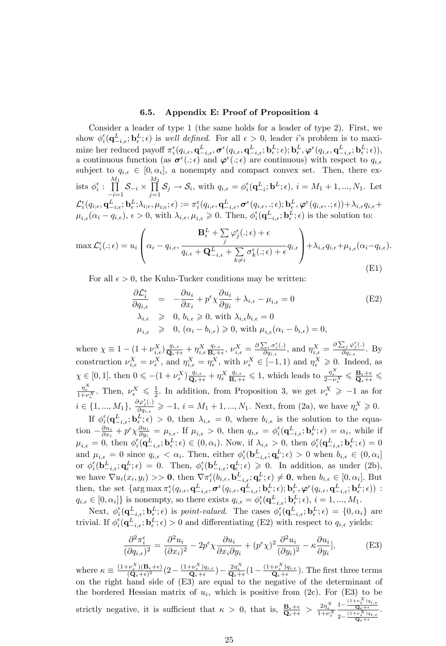#### 6.5. Appendix E: Proof of Proposition 4

Consider a leader of type 1 (the same holds for a leader of type 2). First, we show  $\phi_i^{\epsilon}(\mathbf{q}_{-i,\epsilon}^L;\mathbf{b}_{\epsilon}^L;\epsilon)$  is *well defined*. For all  $\epsilon > 0$ , leader *i*'s problem is to maximize her reduced payoff  $\pi_i^{\epsilon}(q_{i,\epsilon}, \mathbf{q}_{-i,\epsilon}^L, \pmb{\sigma}^{\epsilon}(q_{i,\epsilon}, \mathbf{q}_{-i,\epsilon}^L; \mathbf{b}_{\epsilon}^L; \epsilon); \mathbf{b}_{\epsilon}^L, \pmb{\varphi}^{\epsilon}(q_{i,\epsilon}, \mathbf{q}_{-i,\epsilon}^L; \mathbf{b}_{\epsilon}^L; \epsilon)),$ a continuous function (as  $\sigma^{\epsilon}(.\;,\epsilon)$  and  $\varphi^{\epsilon}(.\;,\epsilon)$  are continuous) with respect to  $q_{i,\epsilon}$ subject to  $q_{i,\epsilon} \in [0, \alpha_i]$ , a nonempty and compact convex set. Then, there exists  $\phi_i^{\epsilon}$  :  $\prod^{M_1}$  $\prod_{i=1}^{\infty}$   $\delta_{-i} \times$  $\frac{M_2}{\prod}$  $\prod_{j=1}^{\infty} S_j \to S_i$ , with  $q_{i,\epsilon} = \phi_i^{\epsilon}(\mathbf{q}_{-i}^L; \mathbf{b}^L; \epsilon)$ ,  $i = M_1 + 1, ..., N_1$ . Let  $\mathcal{L}_i^\epsilon\big(q_{i;\epsilon}, \mathbf{q}_{-i;\epsilon}^L; \mathbf{b}_\epsilon^L; \lambda_{i;\epsilon}, \mu_{i;\epsilon}; \epsilon) := \pi_i^\epsilon\big(q_{i,\epsilon}, \mathbf{q}_{-i,\epsilon}^L, \boldsymbol{\sigma}^\epsilon(q_{i,\epsilon},.;\epsilon); \mathbf{b}_\epsilon^L, \boldsymbol{\varphi}^\epsilon(q_{i,\epsilon},.;\epsilon)\big) + \lambda_{i,\epsilon} q_{i,\epsilon} + \epsilon \sum_{i=1}^{L} \pi_i^\epsilon \mathbf{q}_{i,\epsilon}^L, \mathbf{q}_{i,\epsilon}^L, \boldsymbol{\sigma}^\epsilon(q_{i,\epsilon},.;\epsilon; \epsilon)$  $\mu_{i,\epsilon}(\alpha_i - q_{i,\epsilon}), \epsilon > 0$ , with  $\lambda_{i,\epsilon}, \mu_{i,\epsilon} \geq 0$ . Then,  $\phi_i^{\epsilon}(\mathbf{q}_{-i,\epsilon}^L; \mathbf{b}_{\epsilon}^L; \epsilon)$  is the solution to:

$$
\max \mathcal{L}_{i}^{\epsilon}(.; \epsilon) = u_{i} \left( \alpha_{i} - q_{i,\epsilon}, \frac{\mathbf{B}_{\epsilon}^{L} + \sum_{j} \varphi_{j}^{\epsilon}(.; \epsilon) + \epsilon}{q_{i,\epsilon} + \mathbf{Q}_{-i,\epsilon}^{L} + \sum_{k \neq i} \sigma_{k}^{\epsilon}(.; \epsilon) + \epsilon} q_{i,\epsilon} \right) + \lambda_{i,\epsilon} q_{i,\epsilon} + \mu_{i,\epsilon} (\alpha_{i} - q_{i,\epsilon}).
$$
\n(E1)

For all  $\epsilon > 0$ , the Kuhn-Tucker conditions may be written:

$$
\frac{\partial \mathcal{L}_{i}^{\epsilon}}{\partial q_{i,\epsilon}} = -\frac{\partial u_{i}}{\partial x_{i}} + p^{\epsilon} \chi \frac{\partial u_{i}}{\partial y_{i}} + \lambda_{i,\epsilon} - \mu_{i,\epsilon} = 0
$$
\n
$$
\lambda_{i,\epsilon} \geq 0, b_{i,\epsilon} \geq 0, \text{ with } \lambda_{i,\epsilon} b_{i,\epsilon} = 0
$$
\n
$$
\mu_{i,\epsilon} \geq 0, (\alpha_{i} - b_{i,\epsilon}) \geq 0, \text{ with } \mu_{i,\epsilon} (\alpha_{i} - b_{i,\epsilon}) = 0,
$$
\n
$$
(E2)
$$

where  $\chi \equiv 1 - (1 + \nu_{i,\epsilon}^X) \frac{q_{i,\epsilon}}{\mathbf{Q}_{\epsilon} + \epsilon} + \eta_{i,\epsilon}^X \frac{q_{i,\epsilon}}{\mathbf{B}_{\epsilon} + \epsilon}$  $\frac{q_{i,\epsilon}}{\mathbf{B}_{\epsilon}+\epsilon}$ ,  $\nu_{i,\epsilon}^X = \frac{\partial \sum_i \sigma_i^{\epsilon}(.)}{\partial q_{i,\epsilon}}$  $\frac{\sum_i \sigma_i^{\epsilon}(.)}{\partial q_{i,\epsilon}},$  and  $\eta_{i,\epsilon}^X = \frac{\partial \sum_j \varphi_j^{\epsilon}(.)}{\partial q_{i,\epsilon}}$  $\frac{\Delta_j \Psi_j(\cdot)}{\partial q_{i,\epsilon}}$ . By construction  $\nu_{i,\epsilon}^X = \nu_{\epsilon}^X$ , and  $\eta_{i,\epsilon}^X = \eta_{\epsilon}^X$ , with  $\nu_{\epsilon}^X \in [-1,1)$  and  $\eta_{\epsilon}^X \geq 0$ . Indeed, as  $\chi \in [0, 1]$ , then  $0 \leqslant -(1 + \nu_{\epsilon}^{X}) \frac{q_{i,\epsilon}}{\mathbf{Q}_{\epsilon} + \epsilon} + \eta_{\epsilon}^{X} \frac{q_{i,\epsilon}}{\mathbf{B}_{\epsilon} + \epsilon} \leqslant 1$ , which leads to  $\frac{\eta_{\epsilon}^{X}}{2 - \nu_{\epsilon}^{X}} \leqslant \frac{\mathbf{B}_{\epsilon} + \epsilon}{\mathbf{Q}_{\epsilon} + \epsilon} \leqslant$  $\frac{\eta_{\epsilon}^X}{1+\nu_{\epsilon}^X}$ . Then,  $\nu_{\epsilon}^X \leq \frac{1}{2}$ . In addition, from Proposition 3, we get  $\nu_{\epsilon}^X \geq -1$  as for  $i \in \{1, ..., M_1\}, \frac{\partial \varphi_j^{\epsilon}(.)}{\partial q_{i,\epsilon}}$  $\frac{\partial \varphi_j(.)}{\partial q_{i,\epsilon}} \geqslant -1, i = M_1 + 1, ..., N_1$ . Next, from (2a), we have  $\eta_{\epsilon}^X \geqslant 0$ .

If  $\phi_i^{\epsilon}(\mathbf{q}_{-i,\epsilon}^L;\mathbf{b}_{\epsilon}^L;\epsilon) > 0$ , then  $\lambda_{i,\epsilon} = 0$ , where  $b_{i,\epsilon}$  is the solution to the equation  $-\frac{\partial u_i}{\partial x_i} + p^{\epsilon} \chi \frac{\partial u_i}{\partial y_i} = \mu_{i,\epsilon}$ . If  $\mu_{i,\epsilon} > 0$ , then  $q_{i,\epsilon} = \phi_i^{\epsilon} (\mathbf{q}_{-i,\epsilon}^L; \mathbf{b}_{\epsilon}^L; \epsilon) = \alpha_i$ , while if  $\mu_{i,\epsilon} = 0$ , then  $\phi_i^{\epsilon}(\mathbf{q}_{-i,\epsilon}^L;\mathbf{b}_{\epsilon}^L;\epsilon) \in (0,\alpha_i)$ . Now, if  $\lambda_{i,\epsilon} > 0$ , then  $\phi_i^{\epsilon}(\mathbf{q}_{-i,\epsilon}^L;\mathbf{b}_{\epsilon}^L;\epsilon) = 0$ and  $\mu_{i,\epsilon} = 0$  since  $q_{i,\epsilon} < \alpha_i$ . Then, either  $\phi_i^{\epsilon}(\mathbf{b}_{-i,\epsilon}^L; \mathbf{q}_{\epsilon}^L; \epsilon) > 0$  when  $b_{i,\epsilon} \in (0, \alpha_i]$ or  $\phi_i^{\epsilon}(\mathbf{b}^L_{-i,\epsilon}; \mathbf{q}^L_{\epsilon}; \epsilon) = 0$ . Then,  $\phi_i^{\epsilon}(\mathbf{b}^L_{-i,\epsilon}; \mathbf{q}^L_{\epsilon}; \epsilon) \geq 0$ . In addition, as under (2b), we have  $\nabla u_i(x_i, y_i) >> \mathbf{0}$ , then  $\nabla \pi_i^{\epsilon}(b_{i,\epsilon}, \mathbf{b}_{-i,\epsilon}^L, \mathbf{q}_{\epsilon}^L; \epsilon) \neq \mathbf{0}$ , when  $b_{i,\epsilon} \in [0, \alpha_i]$ . But then, the set  $\{\arg \max \pi_i^{\epsilon}(q_{i,\epsilon}, \mathbf{q}_{-i,\epsilon}^L, \boldsymbol{\sigma}^{\epsilon}(q_{i,\epsilon}, \mathbf{q}_{-i,\epsilon}^L; \mathbf{b}_{\epsilon}^L; \epsilon); \mathbf{b}_{\epsilon}^L, \boldsymbol{\varphi}^{\epsilon}(q_{i,\epsilon}, \mathbf{q}_{-i,\epsilon}^L; \mathbf{b}_{\epsilon}^L; \epsilon))\;$  $q_{i,\epsilon} \in [0, \alpha_i]$  is nonempty, so there exists  $q_{i,\epsilon} = \phi_i^{\epsilon}(\mathbf{q}_{-i,\epsilon}^L; \mathbf{b}_{\epsilon}^L; \epsilon), i = 1, ..., M_1$ .

Next,  $\phi_i^{\epsilon}(\mathbf{q}_{-i,\epsilon}^L;\mathbf{b}_{\epsilon}^L;\epsilon)$  is *point-valued*. The cases  $\phi_i^{\epsilon}(\mathbf{q}_{-i,\epsilon}^L;\mathbf{b}_{\epsilon}^L;\epsilon) = \{0,\alpha_i\}$  are trivial. If  $\phi_i^{\epsilon}(\mathbf{q}_{-i,\epsilon}^L;\mathbf{b}_\epsilon^L;\epsilon) > 0$  and differentiating (E2) with respect to  $q_{i,\epsilon}$  yields:

$$
\frac{\partial^2 \pi_i^{\epsilon}}{(\partial q_{i,\epsilon})^2} = \frac{\partial^2 u_i}{(\partial x_i)^2} - 2p^{\epsilon} \chi \frac{\partial u_i}{\partial x_i \partial y_i} + (p^{\epsilon} \chi)^2 \frac{\partial^2 u_i}{(\partial y_i)^2} - \kappa \frac{\partial u_i}{\partial y_i},
$$
(E3)

where  $\kappa \equiv \frac{(1+\nu_{\epsilon}^{X})(\mathbf{B}_{\epsilon}+\epsilon)}{(Q_{\epsilon}+\epsilon)^{2}}$  $\frac{(\mathbf{Q}_{\epsilon} - \epsilon)^X(\mathbf{B}_{\epsilon} + \epsilon)}{(\mathbf{Q}_{\epsilon} + \epsilon)^2} (2 - \frac{(1 + \nu_{\epsilon}^X)q_{i,\epsilon}}{\mathbf{Q}_{\epsilon} + \epsilon})$  $\frac{(\mathbf{p}^X_{\epsilon})q_{i,\epsilon}}{\mathbf{Q}_{\epsilon}+\epsilon}$   $\big) - \frac{2\eta_{\epsilon}^X}{\mathbf{Q}_{\epsilon}+\epsilon} \big(1 - \frac{(1+\nu_{\epsilon}^X)q_{i,\epsilon}}{\mathbf{Q}_{\epsilon}+\epsilon} \big)$  $\frac{\partial^2 \mathbf{p}_{\epsilon} \cdot \mathbf{q}_{i,\epsilon}}{\mathbf{Q}_{\epsilon} + \epsilon}$ . The first three terms on the right hand side of (E3) are equal to the negative of the determinant of the bordered Hessian matrix of  $u_i$ , which is positive from (2c). For (E3) to be strictly negative, it is sufficient that  $\kappa > 0$ , that is,  $\frac{\mathbf{B}_{\epsilon} + \epsilon}{\mathbf{Q}_{\epsilon} + \epsilon} > \frac{2\eta_{\epsilon}^X}{1 + \nu_{\epsilon}^X}$  $\frac{1-\frac{(1+\nu\frac{X}{\epsilon})q_{i,\epsilon}}{\mathbf{Q}_{\epsilon}+\epsilon}}$  $2-\frac{(1+\nu\frac{X}{\epsilon})q_{i,\epsilon}}{\mathbf{Q}_{\epsilon}+\epsilon}$ .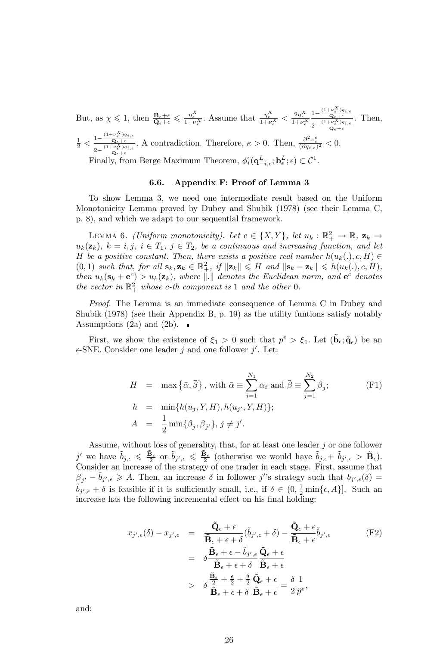But, as  $\chi \leq 1$ , then  $\frac{\mathbf{B}_{\epsilon}+\epsilon}{\mathbf{Q}_{\epsilon}+\epsilon} \leq \frac{\eta_{\epsilon}^{X}}{1+\nu_{\epsilon}^{X}}$ . Assume that  $\frac{\eta_{\epsilon}^{X}}{1+\nu_{\epsilon}^{X}} < \frac{2\eta_{\epsilon}^{X}}{1+\nu_{\epsilon}^{X}}$  $\frac{1-\frac{(1+\nu\frac{X}{\epsilon})q_{i,\epsilon}}{\mathbf{Q}_{\epsilon}+\epsilon}}{K}$  $\frac{\mathbf{Q}_{\epsilon}+\epsilon}{2-\frac{(1+\nu_{\epsilon}^{X})q_{i,\epsilon}}{\mathbf{Q}_{\epsilon}+\epsilon}}$ . Then,  $\mathbf{Q}_{\epsilon}+\epsilon$  $\frac{1}{2} < \frac{1 - \frac{(1+\nu_{\epsilon}^{X})q_{i,\epsilon}}{\mathbf{Q}_{\epsilon} + \epsilon}}{2 \cdot \frac{(1+\nu_{\epsilon}^{X})q_{i,\epsilon}}{(1+\nu_{\epsilon}^{X})q_{i,\epsilon}}}$  $2-\frac{(1+\nu\frac{X}{\epsilon})q_{i,\epsilon}}{\mathbf{Q}_{\epsilon}+\epsilon}$ A contradiction. Therefore,  $\kappa > 0$ . Then,  $\frac{\partial^2 \pi_i^{\epsilon}}{(\partial q_{i,\epsilon})^2} < 0$ . Finally, from Berge Maximum Theorem,  $\phi_i^{\epsilon}(\mathbf{q}_{-i,\epsilon}^L; \mathbf{b}_{\epsilon}^L; \epsilon) \subset \mathcal{C}^1$ .

#### 6.6. Appendix F: Proof of Lemma 3

To show Lemma 3, we need one intermediate result based on the Uniform Monotonicity Lemma proved by Dubey and Shubik (1978) (see their Lemma C, p. 8), and which we adapt to our sequential framework.

LEMMA 6. (Uniform monotonicity). Let  $c \in \{X, Y\}$ , let  $u_k : \mathbb{R}_+^2 \to \mathbb{R}$ ,  $\mathbf{z}_k \to$  $u_k(\mathbf{z}_k)$ ,  $k = i, j, i \in T_1, j \in T_2$ , be a continuous and increasing function, and let H be a positive constant. Then, there exists a positive real number  $h(u_k(.), c, H) \in$  $(0,1)$  such that, for all  $\mathbf{s}_k, \mathbf{z}_k \in \mathbb{R}_+^2$ , if  $\|\mathbf{z}_k\| \leq H$  and  $\|\mathbf{s}_k - \mathbf{z}_k\| \leq h(u_k(.), c, H)$ , then  $u_k(\mathbf{s}_k + \mathbf{e}^c) > u_k(\mathbf{z}_k)$ , where  $\|\cdot\|$  denotes the Euclidean norm, and  $\mathbf{e}^c$  denotes the vector in  $\mathbb{R}^2_+$  whose c-th component is 1 and the other 0.

Proof. The Lemma is an immediate consequence of Lemma C in Dubey and Shubik (1978) (see their Appendix B, p. 19) as the utility funtions satisfy notably Assumptions (2a) and (2b).  $\blacksquare$ 

First, we show the existence of  $\xi_1 > 0$  such that  $p^{\epsilon} > \xi_1$ . Let  $(\tilde{\mathbf{b}}_{\epsilon}; \tilde{\mathbf{q}}_{\epsilon})$  be an  $\epsilon$ -SNE. Consider one leader j and one follower j'. Let:

$$
H = \max \{\bar{\alpha}, \bar{\beta}\}, \text{ with } \bar{\alpha} \equiv \sum_{i=1}^{N_1} \alpha_i \text{ and } \bar{\beta} \equiv \sum_{j=1}^{N_2} \beta_j; \\
h = \min \{h(u_j, Y, H), h(u_{j'}, Y, H)\}; \\
A = \frac{1}{2} \min \{\beta_j, \beta_{j'}\}, j \neq j'.
$$
\n
$$
(F1)
$$

Assume, without loss of generality, that, for at least one leader  $j$  or one follower j' we have  $\tilde{b}_{j,\epsilon} \leqslant \frac{\tilde{\mathbf{B}}_{\epsilon}}{2}$  or  $\tilde{b}_{j',\epsilon} \leqslant \frac{\tilde{\mathbf{B}}_{\epsilon}}{2}$  (otherwise we would have  $\tilde{b}_{j,\epsilon} + \tilde{b}_{j',\epsilon} > \tilde{\mathbf{B}}_{\epsilon}$ ). Consider an increase of the strategy of one trader in each stage. First, assume that  $\beta_{j'} - \tilde{b}_{j',\epsilon} \geqslant A$ . Then, an increase  $\delta$  in follower j''s strategy such that  $b_{j',\epsilon}(\delta) =$  $\tilde{b}_{j',\epsilon} + \delta$  is feasible if it is sufficiently small, i.e., if  $\delta \in (0, \frac{1}{2} \min{\{\epsilon, A\}}]$ . Such an increase has the following incremental effect on his final holding:

$$
x_{j',\epsilon}(\delta) - x_{j',\epsilon} = \frac{\tilde{\mathbf{Q}}_{\epsilon} + \epsilon}{\tilde{\mathbf{B}}_{\epsilon} + \epsilon + \delta} (\tilde{b}_{j',\epsilon} + \delta) - \frac{\tilde{\mathbf{Q}}_{\epsilon} + \epsilon}{\tilde{\mathbf{B}}_{\epsilon} + \epsilon} \tilde{b}_{j',\epsilon}
$$
(F2)  

$$
= \delta \frac{\tilde{\mathbf{B}}_{\epsilon} + \epsilon - \tilde{b}_{j',\epsilon}}{\tilde{\mathbf{B}}_{\epsilon} + \epsilon + \delta} \frac{\tilde{\mathbf{Q}}_{\epsilon} + \epsilon}{\tilde{\mathbf{B}}_{\epsilon} + \epsilon}
$$
  

$$
> \delta \frac{\tilde{\mathbf{B}}_{\epsilon}}{\tilde{\mathbf{B}}_{\epsilon} + \epsilon + \delta} \frac{\tilde{\mathbf{Q}}_{\epsilon} + \epsilon}{\tilde{\mathbf{B}}_{\epsilon} + \epsilon} = \frac{\delta}{2} \frac{1}{\tilde{p}^{\epsilon}},
$$

and: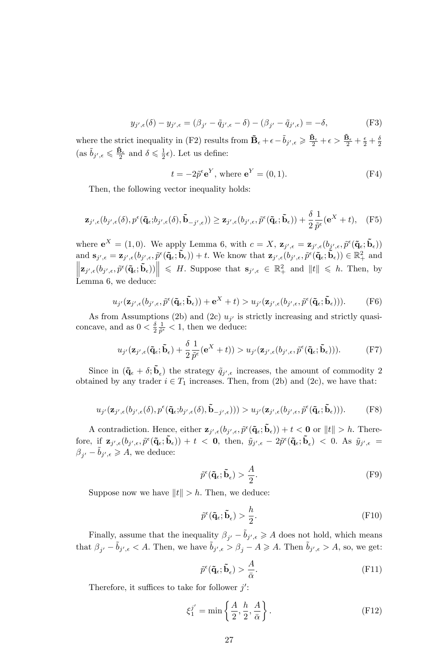$$
y_{j',\epsilon}(\delta) - y_{j',\epsilon} = (\beta_{j'} - \tilde{q}_{j',\epsilon} - \delta) - (\beta_{j'} - \tilde{q}_{j',\epsilon}) = -\delta,
$$
 (F3)

where the strict inequality in (F2) results from  $\tilde{\mathbf{B}}_{\epsilon} + \epsilon - \tilde{b}_{j',\epsilon} \geq \frac{\tilde{\mathbf{B}}_{\epsilon}}{2} + \epsilon > \frac{\tilde{\mathbf{B}}_{\epsilon}}{2} + \frac{\epsilon}{2} + \frac{\delta}{2}$  $(\text{as } \tilde{b}_{j',\epsilon} \leq \frac{\tilde{B}_{\epsilon}}{2} \text{ and } \delta \leq \frac{1}{2}\epsilon).$  Let us define:

$$
t = -2\tilde{p}^{\epsilon} \mathbf{e}^{Y}, \text{ where } \mathbf{e}^{Y} = (0, 1). \tag{F4}
$$

Then, the following vector inequality holds:

$$
\mathbf{z}_{j',\epsilon}(b_{j',\epsilon}(\delta),p^{\epsilon}(\tilde{\mathbf{q}}_{\epsilon};b_{j',\epsilon}(\delta),\tilde{\mathbf{b}}_{-j',\epsilon}))\geq \mathbf{z}_{j',\epsilon}(b_{j',\epsilon},\tilde{p}^{\epsilon}(\tilde{\mathbf{q}}_{\epsilon};\tilde{\mathbf{b}}_{\epsilon}))+\frac{\delta}{2}\frac{1}{\tilde{p}^{\epsilon}}(\mathbf{e}^{X}+t),\quad(\text{F5})
$$

where  $e^X = (1,0)$ . We apply Lemma 6, with  $c = X$ ,  $\mathbf{z}_{j',\epsilon} = \mathbf{z}_{j',\epsilon}(b_{j',\epsilon}, \tilde{p}^{\epsilon}(\tilde{\mathbf{q}}_{\epsilon}; \tilde{\mathbf{b}}_{\epsilon}))$ and  $\mathbf{s}_{j',\epsilon} = \mathbf{z}_{j',\epsilon}(b_{j',\epsilon}, \tilde{p}^{\epsilon}(\tilde{\mathbf{q}}_{\epsilon}; \tilde{\mathbf{b}}_{\epsilon})) + t$ . We know that  $\mathbf{z}_{j',\epsilon}(b_{j',\epsilon}, \tilde{p}^{\epsilon}(\tilde{\mathbf{q}}_{\epsilon}; \tilde{\mathbf{b}}_{\epsilon})) \in \mathbb{R}^{2}_{+}$  and  $\left\|\mathbf{z}_{j',\epsilon}(b_{j',\epsilon},\tilde{p}^{\epsilon}(\tilde{\mathbf{q}}_{\epsilon};\tilde{\mathbf{b}}_{\epsilon}))\right\| \leqslant H.$  Suppose that  $\mathbf{s}_{j',\epsilon} \in \mathbb{R}^{2}_{+}$  and  $\|t\| \leqslant h.$  Then, by Lemma 6, we deduce:

$$
u_{j'}(\mathbf{z}_{j',\epsilon}(b_{j',\epsilon},\widetilde{p}^{\epsilon}(\mathbf{\tilde{q}}_{\epsilon};\widetilde{\mathbf{b}}_{\epsilon}))+\mathbf{e}^{X}+t)>u_{j'}(\mathbf{z}_{j',\epsilon}(b_{j',\epsilon},\widetilde{p}^{\epsilon}(\mathbf{\tilde{q}}_{\epsilon};\widetilde{\mathbf{b}}_{\epsilon}))).
$$
 (F6)

As from Assumptions (2b) and (2c)  $u_{j'}$  is strictly increasing and strictly quasiconcave, and as  $0 < \frac{\delta}{2} \frac{1}{\tilde{p}^{\epsilon}} < 1$ , then we deduce:

$$
u_{j'}(\mathbf{z}_{j',\epsilon}(\tilde{\mathbf{q}}_{\epsilon};\tilde{\mathbf{b}}_{\epsilon}) + \frac{\delta}{2} \frac{1}{\tilde{p}^{\epsilon}}(\mathbf{e}^{X} + t)) > u_{j'}(\mathbf{z}_{j',\epsilon}(b_{j',\epsilon},\tilde{p}^{\epsilon}(\tilde{\mathbf{q}}_{\epsilon};\tilde{\mathbf{b}}_{\epsilon}))).
$$
 (F7)

Since in  $({\bf \tilde{q}}_{\epsilon} + \delta; {\bf \tilde{b}}_{\epsilon})$  the strategy  $\tilde{q}_{j',\epsilon}$  increases, the amount of commodity 2 obtained by any trader  $i \in T_1$  increases. Then, from (2b) and (2c), we have that:

$$
u_{j'}(\mathbf{z}_{j',\epsilon}(b_{j',\epsilon}(\delta),p^{\epsilon}(\tilde{\mathbf{q}}_{\epsilon};b_{j',\epsilon}(\delta),\tilde{\mathbf{b}}_{-j',\epsilon}))) > u_{j'}(\mathbf{z}_{j',\epsilon}(b_{j',\epsilon},\tilde{p}^{\epsilon}(\tilde{\mathbf{q}}_{\epsilon};\tilde{\mathbf{b}}_{\epsilon}))).
$$
 (F8)

A contradiction. Hence, either  $\mathbf{z}_{j',\epsilon}(b_{j',\epsilon}, \tilde{p}^{\epsilon}(\tilde{\mathbf{q}}_{\epsilon}; \tilde{\mathbf{b}}_{\epsilon})) + t < 0$  or  $||t|| > h$ . Therefore, if  $\mathbf{z}_{j',\epsilon}(b_{j',\epsilon}, \tilde{p}^{\epsilon}(\tilde{\mathbf{q}}_{\epsilon}; \tilde{\mathbf{b}}_{\epsilon})) + t < 0$ , then,  $\tilde{y}_{j',\epsilon} - 2\tilde{p}^{\epsilon}(\tilde{\mathbf{q}}_{\epsilon}; \tilde{\mathbf{b}}_{\epsilon}) < 0$ . As  $\tilde{y}_{j',\epsilon} =$  $\beta_{j'} - \tilde{b}_{j',\epsilon} \geqslant A$ , we deduce:

$$
\tilde{p}^{\epsilon}(\tilde{\mathbf{q}}_{\epsilon};\tilde{\mathbf{b}}_{\epsilon}) > \frac{A}{2}.
$$
 (F9)

Suppose now we have  $||t|| > h$ . Then, we deduce:

$$
\tilde{p}^{\epsilon}(\tilde{\mathbf{q}}_{\epsilon}; \tilde{\mathbf{b}}_{\epsilon}) > \frac{h}{2}.
$$
\n(F10)

Finally, assume that the inequality  $\beta_{j'} - \tilde{b}_{j',\epsilon} \geqslant A$  does not hold, which means that  $\beta_{j'} - \tilde{b}_{j',\epsilon} < A$ . Then, we have  $\tilde{b}_{j',\epsilon} > \beta_j - A \geqslant A$ . Then  $\tilde{b}_{j',\epsilon} > A$ , so, we get:

$$
\tilde{p}^{\epsilon}(\tilde{\mathbf{q}}_{\epsilon}; \tilde{\mathbf{b}}_{\epsilon}) > \frac{A}{\bar{\alpha}}.\tag{F11}
$$

Therefore, it suffices to take for follower  $j'$ :

$$
\xi_1^{j'} = \min\left\{\frac{A}{2}, \frac{h}{2}, \frac{A}{\bar{\alpha}}\right\}.
$$
 (F12)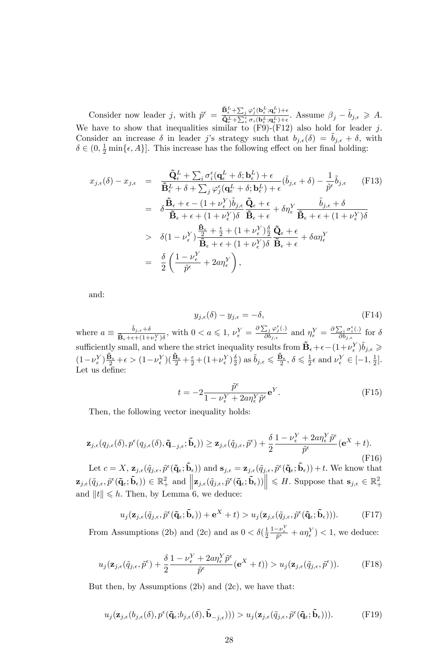Consider now leader j, with  $\tilde{p}^{\epsilon} = \frac{\tilde{\mathbf{B}}_{\epsilon}^{L} + \sum_{j} \varphi_{j}^{\epsilon}(\mathbf{b}_{\epsilon}^{L}, \mathbf{q}_{\epsilon}^{L}) + \epsilon}{\tilde{\mathbf{B}}_{\epsilon}^{L} + \sum_{j} \varphi_{j}^{\epsilon}(\mathbf{b}_{\epsilon}^{L}, \mathbf{q}_{\epsilon}^{L}) + \epsilon}$  $\frac{\mathbf{B}_{\epsilon}^{\mathcal{L}} + \sum_{j} \varphi_{j}^{\epsilon}(\mathbf{b}_{\epsilon}^{\mathcal{L}}; \mathbf{q}_{\epsilon}^{\mathcal{L}}) + \epsilon}{\tilde{\mathbf{Q}}_{\epsilon}^{\mathcal{L}} + \sum_{i}^{\epsilon} \sigma_{i}(\mathbf{b}_{\epsilon}^{\mathcal{L}}; \mathbf{q}_{\epsilon}^{\mathcal{L}}) + \epsilon}$ . Assume  $\beta_{j} - \tilde{b}_{j,\epsilon} \geqslant A$ . We have to show that inequalities similar to  $(F9)-(F12)$  also hold for leader j. Consider an increase  $\delta$  in leader j's strategy such that  $b_{j,\epsilon}(\delta) = b_{j,\epsilon} + \delta$ , with  $\delta \in (0, \frac{1}{2} \min{\{\epsilon, A\}}]$ . This increase has the following effect on her final holding:

$$
x_{j,\epsilon}(\delta) - x_{j,\epsilon} = \frac{\tilde{\mathbf{Q}}_{\epsilon}^{L} + \sum_{i} \sigma_{i}^{\epsilon} (\mathbf{q}_{\epsilon}^{L} + \delta; \mathbf{b}_{\epsilon}^{L}) + \epsilon}{\tilde{\mathbf{B}}_{\epsilon}^{L} + \delta + \sum_{j} \varphi_{j}^{\epsilon} (\mathbf{q}_{\epsilon}^{L} + \delta; \mathbf{b}_{\epsilon}^{L}) + \epsilon} (\tilde{b}_{j,\epsilon} + \delta) - \frac{1}{\tilde{p}^{\epsilon}} \tilde{b}_{j,\epsilon}
$$
(F13)  
\n
$$
= \delta \frac{\tilde{\mathbf{B}}_{\epsilon} + \epsilon - (1 + \nu_{\epsilon}^{Y}) \tilde{b}_{j,\epsilon}}{\tilde{\mathbf{B}}_{\epsilon} + \epsilon + (1 + \nu_{\epsilon}^{Y}) \delta} \frac{\tilde{\mathbf{B}}_{\epsilon} + \epsilon}{\tilde{\mathbf{B}}_{\epsilon} + \epsilon} + \delta \eta_{\epsilon}^{Y} \frac{\tilde{b}_{j,\epsilon} + \delta}{\tilde{\mathbf{B}}_{\epsilon} + \epsilon + (1 + \nu_{\epsilon}^{Y}) \delta}
$$
  
\n
$$
> \delta (1 - \nu_{\epsilon}^{Y}) \frac{\frac{\tilde{\mathbf{B}}_{\epsilon}}{2} + \frac{\epsilon}{2} + (1 + \nu_{\epsilon}^{Y}) \frac{\delta}{2}}{\tilde{\mathbf{B}}_{\epsilon} + \epsilon + (1 + \nu_{\epsilon}^{Y}) \delta} \frac{\tilde{\mathbf{Q}}_{\epsilon} + \epsilon}{\tilde{\mathbf{B}}_{\epsilon} + \epsilon} + \delta a \eta_{\epsilon}^{Y}
$$
  
\n
$$
= \frac{\delta}{2} \left( \frac{1 - \nu_{\epsilon}^{Y}}{\tilde{p}^{\epsilon}} + 2a \eta_{\epsilon}^{Y} \right),
$$
(F13)

and:

$$
y_{j,\epsilon}(\delta) - y_{j,\epsilon} = -\delta,\tag{F14}
$$

where  $a \equiv \frac{\tilde{b}_{j,\epsilon}+\delta}{\tilde{\mathbf{B}}_{\epsilon}+\epsilon+(1+\epsilon)}$  $\frac{\tilde{b}_{j,\epsilon}+\delta}{\tilde{\mathbf{B}}_{\epsilon}+\epsilon+(1+\nu_{\epsilon}^{\mathbf{y}})\delta}$ , with  $0 < a \leqslant 1$ ,  $\nu_{\epsilon}^Y = \frac{\partial \sum_j \varphi_j^{\epsilon}(\cdot)}{\partial b_{j,\epsilon}}$  $\frac{\sum_j \varphi_j^{\epsilon}(.)}{\partial b_{j,\epsilon}}$  and  $\eta_{\epsilon}^Y = \frac{\partial \sum_i \sigma_i^{\epsilon}(.)}{\partial b_{j,\epsilon}}$  $\frac{\sum_i \sigma_i(.)}{\partial b_{j,\epsilon}}$  for  $\delta$ sufficiently small, and where the strict inequality results from  $\tilde{\mathbf{B}}_{\epsilon} + \epsilon - (1+\nu_{\epsilon}^{Y})\tilde{b}_{j,\epsilon} \geqslant$  $\label{eq:3.12} \big(1-\nu_{\epsilon}^{Y}\big)\frac{\tilde{\mathbf{B}}_{\epsilon}}{2}+\epsilon > \big(1-\nu_{\epsilon}^{Y}\big)\big(\frac{\tilde{\mathbf{B}}_{\epsilon}}{2}+\frac{\epsilon}{2}+\big(1+\nu_{\epsilon}^{Y}\big)\frac{\delta}{2}\big) \text{ as } \tilde{b}_{j,\epsilon} \leqslant \frac{\tilde{\mathbf{B}}_{\epsilon}}{2},\, \delta \leqslant \frac{1}{2}\epsilon \text{ and } \nu_{\epsilon}^{Y} \in [-1,\frac{1}{2}].$ Let us define:

$$
t = -2 \frac{\tilde{p}^{\epsilon}}{1 - \nu_{\epsilon}^{Y} + 2a\eta_{\epsilon}^{Y}\tilde{p}^{\epsilon}} \mathbf{e}^{Y}.
$$
 (F15)

Then, the following vector inequality holds:

$$
\mathbf{z}_{j,\epsilon}(q_{j,\epsilon}(\delta), p^{\epsilon}(q_{j,\epsilon}(\delta), \tilde{\mathbf{q}}_{-j,\epsilon}; \tilde{\mathbf{b}}_{\epsilon})) \geq \mathbf{z}_{j,\epsilon}(\tilde{q}_{j,\epsilon}, \tilde{p}^{\epsilon}) + \frac{\delta}{2} \frac{1 - \nu_{\epsilon}^{Y} + 2a\eta_{\epsilon}^{Y}\tilde{p}^{\epsilon}}{\tilde{p}^{\epsilon}}(\mathbf{e}^{X} + t). \tag{F16}
$$

Let  $c = X$ ,  $\mathbf{z}_{j,\epsilon}(\tilde{q}_{j,\epsilon}, \tilde{p}^{\epsilon}(\mathbf{\tilde{q}}_{\epsilon}; \tilde{\mathbf{b}}_{\epsilon}))$  and  $\mathbf{s}_{j,\epsilon} = \mathbf{z}_{j,\epsilon}(\tilde{q}_{j,\epsilon}, \tilde{p}^{\epsilon}(\mathbf{\tilde{q}}_{\epsilon}; \tilde{\mathbf{b}}_{\epsilon})) + t$ . We know that  $\left\|\mathbf{z}_{j,\epsilon}(\tilde{q}_{j,\epsilon},\tilde{p}^{\epsilon}(\mathbf{\tilde{q}}_{\epsilon};\tilde{\mathbf{b}}_{\epsilon}))\right\|\leq \mathbb{R}^{2}_{+} \text{ and }\left\|\mathbf{z}_{j,\epsilon}(\tilde{q}_{j,\epsilon},\tilde{p}^{\epsilon}(\mathbf{\tilde{q}}_{\epsilon};\tilde{\mathbf{b}}_{\epsilon}))\right\|\leqslant H. \text{ Suppose that } \mathbf{s}_{j,\epsilon}\in\mathbb{R}^{2}_{+}$ and  $||t|| \leq h$ . Then, by Lemma 6, we deduce:

$$
u_j(\mathbf{z}_{j,\epsilon}(\tilde{q}_{j,\epsilon}, \tilde{p}^{\epsilon}(\mathbf{\tilde{q}}_{\epsilon}; \tilde{\mathbf{b}}_{\epsilon})) + \mathbf{e}^X + t) > u_j(\mathbf{z}_{j,\epsilon}(\tilde{q}_{j,\epsilon}, \tilde{p}^{\epsilon}(\mathbf{\tilde{q}}_{\epsilon}; \tilde{\mathbf{b}}_{\epsilon}))).
$$
 (F17)

From Assumptions (2b) and (2c) and as  $0 < \delta(\frac{1}{2} \frac{1-\nu_{\epsilon}^{Y}}{\tilde{p}^{\epsilon}} + a\eta_{\epsilon}^{Y}) < 1$ , we deduce:

$$
u_j(\mathbf{z}_{j,\epsilon}(\tilde{q}_{j,\epsilon},\tilde{p}^{\epsilon}) + \frac{\delta}{2} \frac{1 - \nu_{\epsilon}^Y + 2a\eta_{\epsilon}^Y \tilde{p}^{\epsilon}}{\tilde{p}^{\epsilon}}(\mathbf{e}^X + t)) > u_j(\mathbf{z}_{j,\epsilon}(\tilde{q}_{j,\epsilon},\tilde{p}^{\epsilon})).
$$
 (F18)

But then, by Assumptions  $(2b)$  and  $(2c)$ , we have that:

$$
u_j(\mathbf{z}_{j,\epsilon}(b_{j,\epsilon}(\delta), p^{\epsilon}(\tilde{\mathbf{q}}_{\epsilon}; b_{j,\epsilon}(\delta), \tilde{\mathbf{b}}_{-j,\epsilon}))) > u_j(\mathbf{z}_{j,\epsilon}(\tilde{q}_{j,\epsilon}, \tilde{p}^{\epsilon}(\tilde{\mathbf{q}}_{\epsilon}; \tilde{\mathbf{b}}_{\epsilon}))).
$$
 (F19)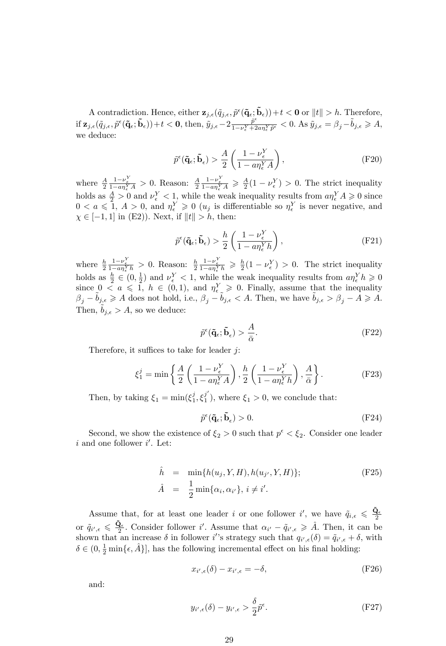A contradiction. Hence, either  $\mathbf{z}_{j,\epsilon}(\tilde{q}_{j,\epsilon}, \tilde{p}^{\epsilon}(\mathbf{\tilde{q}}_{\epsilon}; \mathbf{\tilde{b}}_{\epsilon})) + t < 0$  or  $||t|| > h$ . Therefore, if  $\mathbf{z}_{j,\epsilon}(\tilde{q}_{j,\epsilon},\tilde{p}^{\epsilon}(\mathbf{\tilde{q}}_{\epsilon};\mathbf{\tilde{b}}_{\epsilon}))+t<\mathbf{0},$  then,  $\tilde{y}_{j,\epsilon}-2\frac{\tilde{p}^{\epsilon}}{1-\nu_{\epsilon}^Y+2}$  $\frac{\tilde{p}^{\epsilon}}{1-\nu_{\epsilon}^{Y}+2a\eta_{\epsilon}^{Y}\tilde{p}^{\epsilon}} < 0$ . As  $\tilde{y}_{j,\epsilon} = \beta_{j} - \tilde{b}_{j,\epsilon} \geqslant A$ , we deduce:

$$
\tilde{p}^{\epsilon}(\tilde{\mathbf{q}}_{\epsilon}; \tilde{\mathbf{b}}_{\epsilon}) > \frac{A}{2} \left( \frac{1 - \nu_{\epsilon}^{Y}}{1 - a\eta_{\epsilon}^{Y} A} \right),\tag{F20}
$$

where  $\frac{A}{2} \frac{1-\nu_{\epsilon}^{Y}}{1-\alpha \eta_{\epsilon}^{Y} A} > 0$ . Reason:  $\frac{A}{2} \frac{1-\nu_{\epsilon}^{Y}}{1-\alpha \eta_{\epsilon}^{Y} A} \ge \frac{A}{2} (1-\nu_{\epsilon}^{Y}) > 0$ . The strict inequality holds as  $\frac{A}{2} > 0$  and  $\nu_{\epsilon}^{Y} < 1$ , while the weak inequality results from  $a\eta_{\epsilon}^{Y} A \geq 0$  since  $0 < a \leq 1, A > 0$ , and  $\eta_{\epsilon}^{Y} \geq 0$  ( $u_j$  is differentiable so  $\eta_{\epsilon}^{Y}$  is never negative, and  $\chi \in [-1, 1]$  in (E2)). Next, if  $||t|| > h$ , then:

$$
\tilde{p}^{\epsilon}(\tilde{\mathbf{q}}_{\epsilon}; \tilde{\mathbf{b}}_{\epsilon}) > \frac{h}{2} \left( \frac{1 - \nu_{\epsilon}^{Y}}{1 - a\eta_{\epsilon}^{Y} h} \right),\tag{F21}
$$

where  $\frac{h}{2} \frac{1-\nu_{\epsilon}^{Y}}{1-a\eta_{\epsilon}^{Y}h} > 0$ . Reason:  $\frac{h}{2} \frac{1-\nu_{\epsilon}^{Y}}{1-a\eta_{\epsilon}^{Y}h} \geq \frac{h}{2}(1-\nu_{\epsilon}^{Y}) > 0$ . The strict inequality holds as  $\frac{h}{2} \in (0, \frac{1}{2})$  and  $\nu_{\epsilon}^{Y} < 1$ , while the weak inequality results from  $a\eta_{\epsilon}^{Y}h \geqslant 0$ since  $0 \le a \le 1$ ,  $h \in (0,1)$ , and  $\eta_{\epsilon}^Y \ge 0$ . Finally, assume that the inequality  $\beta_j - \tilde{b}_{j,\epsilon} \geqslant A$  does not hold, i.e.,  $\beta_j - \tilde{b}_{j,\epsilon} < A$ . Then, we have  $\tilde{b}_{j,\epsilon} > \beta_j - A \geqslant A$ . Then,  $b_{j,\epsilon} > A$ , so we deduce:

$$
\tilde{p}^{\epsilon}(\tilde{\mathbf{q}}_{\epsilon}; \tilde{\mathbf{b}}_{\epsilon}) > \frac{A}{\bar{\alpha}}.
$$
\n(F22)

Therefore, it suffices to take for leader  $i$ :

$$
\xi_1^j = \min\left\{\frac{A}{2}\left(\frac{1-\nu_{\epsilon}^Y}{1-a\eta_{\epsilon}^Y A}\right), \frac{h}{2}\left(\frac{1-\nu_{\epsilon}^Y}{1-a\eta_{\epsilon}^Y h}\right), \frac{A}{\bar{\alpha}}\right\}.
$$
 (F23)

Then, by taking  $\xi_1 = \min(\xi_1^j, \xi_1^{j'})$ , where  $\xi_1 > 0$ , we conclude that:

$$
\tilde{p}^{\epsilon}(\tilde{\mathbf{q}}_{\epsilon}; \tilde{\mathbf{b}}_{\epsilon}) > 0. \tag{F24}
$$

Second, we show the existence of  $\xi_2 > 0$  such that  $p^{\epsilon} < \xi_2$ . Consider one leader  $i$  and one follower  $i'$ . Let:

$$
\hat{h} = \min\{h(u_j, Y, H), h(u_{j'}, Y, H)\};
$$
\n
$$
\hat{A} = \frac{1}{2}\min\{\alpha_i, \alpha_{i'}\}, i \neq i'.
$$
\n(F25)

Assume that, for at least one leader i or one follower i', we have  $\tilde{q}_{i,\epsilon} \leq \frac{\tilde{Q}_{\epsilon}}{2}$ or  $\tilde{q}_{i',\epsilon} \leq \frac{\tilde{\mathbf{Q}}_{\epsilon}}{2}$ . Consider follower i'. Assume that  $\alpha_{i'} - \tilde{q}_{i',\epsilon} \geq \hat{A}$ . Then, it can be shown that an increase  $\delta$  in follower i's strategy such that  $q_{i',\epsilon}(\delta) = \tilde{q}_{i',\epsilon} + \delta$ , with  $\delta \in (0, \frac{1}{2} \min{\{\epsilon, \hat{A}\}}]$ , has the following incremental effect on his final holding:

$$
x_{i',\epsilon}(\delta) - x_{i',\epsilon} = -\delta,\tag{F26}
$$

and:

$$
y_{i',\epsilon}(\delta) - y_{i',\epsilon} > \frac{\delta}{2}\tilde{p}^{\epsilon}.\tag{F27}
$$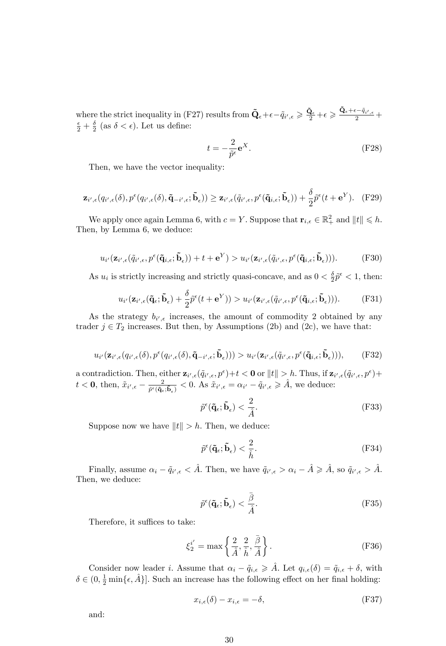where the strict inequality in (F27) results from  $\tilde{\mathbf{Q}}_{\epsilon} + \epsilon - \tilde{q}_{i',\epsilon} \geqslant \frac{\tilde{\mathbf{Q}}_{\epsilon}}{2} + \epsilon \geqslant \frac{\tilde{\mathbf{Q}}_{\epsilon} + \epsilon - \tilde{q}_{i',\epsilon}}{2} + \epsilon$  $\frac{\epsilon}{2} + \frac{\delta}{2}$  (as  $\delta < \epsilon$ ). Let us define:

$$
t = -\frac{2}{\tilde{p}^{\epsilon}} \mathbf{e}^{X}.
$$
 (F28)

Then, we have the vector inequality:

$$
\mathbf{z}_{i',\epsilon}(q_{i',\epsilon}(\delta),p^{\epsilon}(q_{i',\epsilon}(\delta),\tilde{\mathbf{q}}_{-i',\epsilon};\tilde{\mathbf{b}}_{\epsilon})) \geq \mathbf{z}_{i',\epsilon}(\tilde{q}_{i',\epsilon},p^{\epsilon}(\tilde{\mathbf{q}}_{i,\epsilon};\tilde{\mathbf{b}}_{\epsilon})) + \frac{\delta}{2}\tilde{p}^{\epsilon}(t+\mathbf{e}^{Y}). \tag{F29}
$$

We apply once again Lemma 6, with  $c = Y$ . Suppose that  $\mathbf{r}_{i,\epsilon} \in \mathbb{R}_+^2$  and  $||t|| \leq h$ . Then, by Lemma 6, we deduce:

$$
u_{i'}(\mathbf{z}_{i',\epsilon}(\tilde{q}_{i',\epsilon},p^{\epsilon}(\tilde{\mathbf{q}}_{i,\epsilon};\tilde{\mathbf{b}}_{\epsilon}))+t+\mathbf{e}^{Y})>u_{i'}(\mathbf{z}_{i',\epsilon}(\tilde{q}_{i',\epsilon},p^{\epsilon}(\tilde{\mathbf{q}}_{i,\epsilon};\tilde{\mathbf{b}}_{\epsilon}))).
$$
(F30)

As  $u_i$  is strictly increasing and strictly quasi-concave, and as  $0 < \frac{\delta}{2} \tilde{p}^{\epsilon} < 1$ , then:

$$
u_{i'}(\mathbf{z}_{i',\epsilon}(\tilde{\mathbf{q}}_{\epsilon};\tilde{\mathbf{b}}_{\epsilon}) + \frac{\delta}{2}\tilde{p}^{\epsilon}(t + \mathbf{e}^{Y})) > u_{i'}(\mathbf{z}_{i',\epsilon}(\tilde{q}_{i',\epsilon},p^{\epsilon}(\tilde{\mathbf{q}}_{i,\epsilon};\tilde{\mathbf{b}}_{\epsilon}))).
$$
 (F31)

As the strategy  $b_{i',\epsilon}$  increases, the amount of commodity 2 obtained by any trader  $j \in T_2$  increases. But then, by Assumptions (2b) and (2c), we have that:

$$
u_{i'}(\mathbf{z}_{i',\epsilon}(q_{i',\epsilon}(\delta),p^{\epsilon}(q_{i',\epsilon}(\delta),\tilde{\mathbf{q}}_{-i',\epsilon};\tilde{\mathbf{b}}_{\epsilon}))) > u_{i'}(\mathbf{z}_{i',\epsilon}(\tilde{q}_{i',\epsilon},p^{\epsilon}(\tilde{\mathbf{q}}_{i,\epsilon};\tilde{\mathbf{b}}_{\epsilon}))),
$$
 (F32)

a contradiction. Then, either  $\mathbf{z}_{i',\epsilon}(\tilde{q}_{i',\epsilon}, p^{\epsilon})+t < 0$  or  $||t|| > h$ . Thus, if  $\mathbf{z}_{i',\epsilon}(\tilde{q}_{i',\epsilon}, p^{\epsilon})+$  $t < 0$ , then,  $\tilde{x}_{i',\epsilon} - \frac{2}{\tilde{p}^{\epsilon}(\tilde{\mathbf{q}}_{\epsilon})}$  $\frac{2}{\tilde{p}^{\epsilon}(\tilde{\mathbf{q}}_{\epsilon};\tilde{\mathbf{b}}_{\epsilon})}$  < 0. As  $\tilde{x}_{i',\epsilon} = \alpha_{i'} - \tilde{q}_{i',\epsilon} \geq \hat{A}$ , we deduce:

$$
\tilde{p}^{\epsilon}(\tilde{\mathbf{q}}_{\epsilon};\tilde{\mathbf{b}}_{\epsilon}) < \frac{2}{\hat{A}}.\tag{F33}
$$

Suppose now we have  $||t|| > h$ . Then, we deduce:

$$
\tilde{p}^{\epsilon}(\tilde{\mathbf{q}}_{\epsilon};\tilde{\mathbf{b}}_{\epsilon}) < \frac{2}{\hat{h}}.\tag{F34}
$$

Finally, assume  $\alpha_i - \tilde{q}_{i',\epsilon} < \hat{A}$ . Then, we have  $\tilde{q}_{i',\epsilon} > \alpha_i - \hat{A} \geq \hat{A}$ , so  $\tilde{q}_{i',\epsilon} > \hat{A}$ . Then, we deduce:

$$
\tilde{p}^{\epsilon}(\tilde{\mathbf{q}}_{\epsilon};\tilde{\mathbf{b}}_{\epsilon}) < \frac{\bar{\beta}}{\hat{A}}.\tag{F35}
$$

Therefore, it suffices to take:

$$
\xi_2^{i'} = \max\left\{\frac{2}{\hat{A}}, \frac{2}{\hat{h}}, \frac{\bar{\beta}}{\hat{A}}\right\}.
$$
 (F36)

Consider now leader *i*. Assume that  $\alpha_i - \tilde{q}_{i,\epsilon} \geqslant \tilde{A}$ . Let  $q_{i,\epsilon}(\delta) = \tilde{q}_{i,\epsilon} + \delta$ , with  $\delta \in (0, \frac{1}{2} \min{\{\epsilon, \hat{A}\}}]$ . Such an increase has the following effect on her final holding:

$$
x_{i,\epsilon}(\delta) - x_{i,\epsilon} = -\delta,\tag{F37}
$$

and: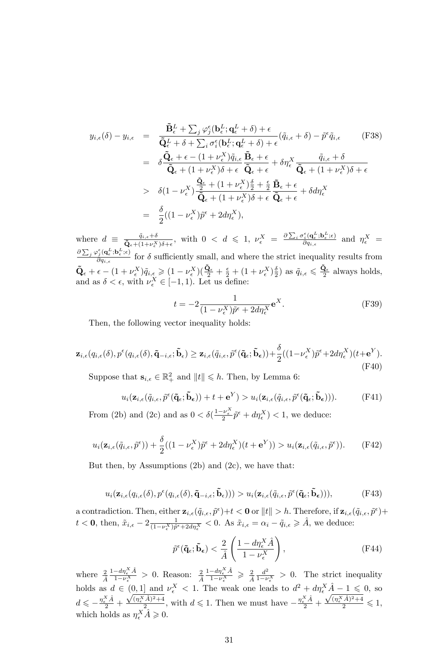$$
y_{i,\epsilon}(\delta) - y_{i,\epsilon} = \frac{\tilde{\mathbf{B}}_{\epsilon}^{L} + \sum_{j} \varphi_{j}^{\epsilon}(\mathbf{b}_{\epsilon}^{L}; \mathbf{q}_{\epsilon}^{L} + \delta) + \epsilon}{\tilde{\mathbf{Q}}_{\epsilon}^{L} + \delta + \sum_{i} \sigma_{i}^{\epsilon}(\mathbf{b}_{\epsilon}^{L}; \mathbf{q}_{\epsilon}^{L} + \delta) + \epsilon} (\tilde{q}_{i,\epsilon} + \delta) - \tilde{p}^{\epsilon} \tilde{q}_{i,\epsilon}
$$
(F38)  
\n
$$
= \delta \frac{\tilde{\mathbf{Q}}_{\epsilon} + \epsilon - (1 + \nu_{\epsilon}^{X}) \tilde{q}_{i,\epsilon}}{\tilde{\mathbf{Q}}_{\epsilon} + (1 + \nu_{\epsilon}^{X})\delta + \epsilon} \frac{\tilde{\mathbf{B}}_{\epsilon} + \epsilon}{\tilde{\mathbf{Q}}_{\epsilon} + \epsilon} + \delta \eta_{\epsilon}^{X} \frac{\tilde{q}_{i,\epsilon} + \delta}{\tilde{\mathbf{Q}}_{\epsilon} + (1 + \nu_{\epsilon}^{X})\delta + \epsilon}
$$
  
\n
$$
> \delta (1 - \nu_{\epsilon}^{X}) \frac{\tilde{\mathbf{Q}}_{\epsilon}}{\tilde{\mathbf{Q}}_{\epsilon} + (1 + \nu_{\epsilon}^{X})\delta + \epsilon} \frac{\tilde{\mathbf{Q}}_{\epsilon} + \epsilon}{\tilde{\mathbf{Q}}_{\epsilon} + \epsilon} + \delta d \eta_{\epsilon}^{X}
$$
  
\n
$$
= \frac{\delta}{2} ((1 - \nu_{\epsilon}^{X}) \tilde{p}^{\epsilon} + 2 d \eta_{\epsilon}^{X}),
$$
(F38)

where  $d \equiv \frac{\tilde{q}_{i,\epsilon} + \delta}{\tilde{Q}_{\epsilon} + (1 + \nu_{\epsilon}^X)\delta + \epsilon}$ , with  $0 < d \leq 1$ ,  $\nu_{\epsilon}^X = \frac{\partial \sum_i \sigma_i^{\epsilon} (\mathbf{q}_{\epsilon}^L; \mathbf{b}_{\epsilon}^L; \epsilon)}{\partial q_{i,\epsilon}}$  $\frac{\partial \vec{i} \cdot (\mathbf{q}_{\epsilon}^2; \mathbf{b}_{\epsilon}^2; \epsilon)}{\partial q_{i,\epsilon}}$  and  $\eta_{\epsilon}^X$  =  $\partial \sum_j \varphi^{\epsilon}_j ({\bf q}_{\epsilon}^L; {\bf b}_{\epsilon}^L; \epsilon)$  $\frac{\partial f(\mathbf{q}_{\epsilon},\mathbf{b}_{\epsilon},\epsilon)}{\partial q_{i,\epsilon}}$  for  $\delta$  sufficiently small, and where the strict inequality results from  $\tilde{\mathbf{Q}}_{\epsilon} + \epsilon - (1 + \nu_{\epsilon}^{X}) \tilde{q}_{i,\epsilon} \geqslant (1 - \nu_{\epsilon}^{X})(\frac{\tilde{\mathbf{Q}}_{\epsilon}}{2} + \frac{\epsilon}{2} + (1 + \nu_{\epsilon}^{X})\frac{\delta}{2})$  as  $\tilde{q}_{i,\epsilon} \leqslant \frac{\tilde{\mathbf{Q}}_{\epsilon}}{2}$  always holds, and as  $\delta < \epsilon$ , with  $\nu_{\epsilon}^X \in [-1, 1)$ . Let us define:

$$
t = -2 \frac{1}{(1 - \nu_{\epsilon}^X)\tilde{p}^{\epsilon} + 2d\eta_{\epsilon}^X} \mathbf{e}^X.
$$
 (F39)

Then, the following vector inequality holds:

$$
\mathbf{z}_{i,\epsilon}(q_{i,\epsilon}(\delta),p^{\epsilon}(q_{i,\epsilon}(\delta),\tilde{\mathbf{q}}_{-i,\epsilon};\tilde{\mathbf{b}}_{\epsilon}) \geq \mathbf{z}_{i,\epsilon}(\tilde{q}_{i,\epsilon},\tilde{p}^{\epsilon}(\tilde{\mathbf{q}}_{\epsilon};\tilde{\mathbf{b}}_{\epsilon})) + \frac{\delta}{2}((1-\nu_{\epsilon}^{X})\tilde{p}^{\epsilon} + 2d\eta_{\epsilon}^{X})(t+\mathbf{e}^{Y}).
$$
\n(F40)

Suppose that  $\mathbf{s}_{i,\epsilon} \in \mathbb{R}_+^2$  and  $||t|| \leq h$ . Then, by Lemma 6:

$$
u_i(\mathbf{z}_{i,\epsilon}(\tilde{q}_{i,\epsilon},\tilde{p}^{\epsilon}(\mathbf{\tilde{q}}_{\epsilon};\tilde{\mathbf{b}}_{\epsilon}))+t+\mathbf{e}^Y) > u_i(\mathbf{z}_{i,\epsilon}(\tilde{q}_{i,\epsilon},\tilde{p}^{\epsilon}(\mathbf{\tilde{q}}_{\epsilon};\tilde{\mathbf{b}}_{\epsilon}))).
$$
 (F41)

From (2b) and (2c) and as  $0 < \delta(\frac{1-\nu_{\epsilon}^X}{2}\tilde{p}^{\epsilon} + d\eta_{\epsilon}^X) < 1$ , we deduce:

$$
u_i(\mathbf{z}_{i,\epsilon}(\tilde{q}_{i,\epsilon},\tilde{p}^{\epsilon})) + \frac{\delta}{2}((1 - \nu_{\epsilon}^X)\tilde{p}^{\epsilon} + 2d\eta_{\epsilon}^X)(t + \mathbf{e}^Y)) > u_i(\mathbf{z}_{i,\epsilon}(\tilde{q}_{i,\epsilon},\tilde{p}^{\epsilon})).
$$
 (F42)

But then, by Assumptions  $(2b)$  and  $(2c)$ , we have that:

$$
u_i(\mathbf{z}_{i,\epsilon}(q_{i,\epsilon}(\delta),p^{\epsilon}(q_{i,\epsilon}(\delta),\tilde{\mathbf{q}}_{-i,\epsilon};\tilde{\mathbf{b}}_{\epsilon}))) > u_i(\mathbf{z}_{i,\epsilon}(\tilde{q}_{i,\epsilon},p^{\epsilon}(\tilde{\mathbf{q}}_{\epsilon};\tilde{\mathbf{b}}_{\epsilon}))),
$$
 (F43)

a contradiction. Then, either  $\mathbf{z}_{i,\epsilon}(\tilde{q}_{i,\epsilon}, \tilde{p}^{\epsilon})+t < 0$  or  $||t|| > h$ . Therefore, if  $\mathbf{z}_{i,\epsilon}(\tilde{q}_{i,\epsilon}, \tilde{p}^{\epsilon})+$  $t < \mathbf{0}$ , then,  $\tilde{x}_{i,\epsilon} - 2 \frac{1}{(1 - \nu_{\epsilon}^X)\tilde{p}^{\epsilon} + 2d\eta_{\epsilon}^X} < 0$ . As  $\tilde{x}_{i,\epsilon} = \alpha_i - \tilde{q}_{i,\epsilon} \geq \hat{A}$ , we deduce:

$$
\tilde{p}^{\epsilon}(\tilde{\mathbf{q}}_{\epsilon}; \tilde{\mathbf{b}}_{\epsilon}) < \frac{2}{\hat{A}} \left( \frac{1 - d\eta_{\epsilon}^{X} \hat{A}}{1 - \nu_{\epsilon}^{X}} \right), \tag{F44}
$$

where  $\frac{2}{\hat{A}} \frac{1-d\eta_{\epsilon}^{X} \hat{A}}{1-\nu_{\epsilon}^{X}}$  $\frac{-d\eta_{\epsilon}^{X}\hat{A}}{1-\nu_{\epsilon}^{X}} > 0$ . Reason:  $\frac{2}{\hat{A}}\frac{1-d\eta_{\epsilon}^{X}\hat{A}}{1-\nu_{\epsilon}^{X}}$  $\frac{-d\eta_{\epsilon}^{X}\hat{A}}{1-\nu_{\epsilon}^{X}} \geqslant \frac{2}{\hat{A}}\frac{d^{2}}{1-\nu_{\epsilon}}$  $\frac{d^2}{1-\nu_{\epsilon}^X} > 0$ . The strict inequality holds as  $d \in (0,1]$  and  $\nu_{\epsilon}^X < 1$ . The weak one leads to  $d^2 + d\eta_{\epsilon}^X \hat{A} - 1 \leq 0$ , so  $d \leqslant -\frac{\eta_{\epsilon}^X \hat{A}}{2} +$  $\sqrt{(\eta_{\epsilon}^X \hat{A})^2+4}$  $\frac{(\hat{A})^2 + 4}{2}$ , with  $d \leq 1$ . Then we must have  $-\frac{\eta_{\epsilon}^X \hat{A}}{2}$  +  $\frac{\sqrt{(\eta_{\epsilon}^X \hat{A})^2+4}}{2} \leqslant 1,$ which holds as  $\eta_{\epsilon}^X \hat{A} \geqslant 0$ .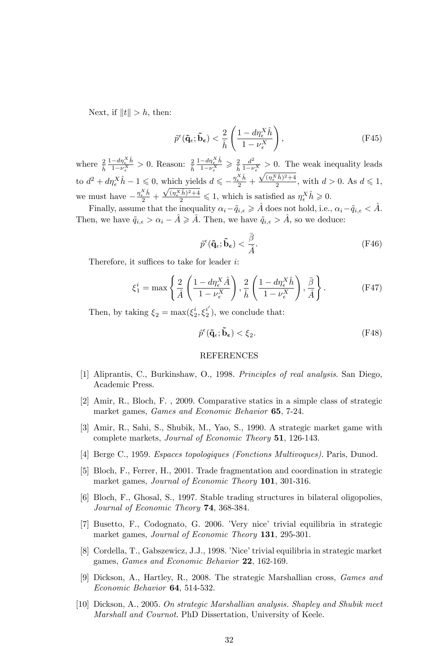Next, if  $||t|| > h$ , then:

$$
\tilde{p}^{\epsilon}(\tilde{\mathbf{q}}_{\epsilon}; \tilde{\mathbf{b}}_{\epsilon}) < \frac{2}{\hat{h}} \left( \frac{1 - d\eta_{\epsilon}^{X} \hat{h}}{1 - \nu_{\epsilon}^{X}} \right),\tag{F45}
$$

where  $\frac{2}{\hat{h}} \frac{1-d\eta_{\epsilon}^X \hat{h}}{1-\nu_{\epsilon}^X}$  $\frac{-d\eta_{\epsilon}^{X} \hat{h}}{1-\nu_{\epsilon}^{X}} > 0$ . Reason:  $\frac{2}{\hat{h}} \frac{1-d\eta_{\epsilon}^{X} \hat{h}}{1-\nu_{\epsilon}^{X}}$  $\frac{-d\eta_{\epsilon}^{X} \dot{h}}{1-\nu_{\epsilon}^{X}} \geqslant \frac{2}{\hat{h}} \frac{d^{2}}{1-\nu_{\epsilon}}$  $\frac{d^2}{1-\nu_{\epsilon}^X} > 0$ . The weak inequality leads to  $d^2 + d\eta_{\epsilon}^X \hat{h} - 1 \leq 0$ , which yields  $d \leqslant -\frac{\eta_{\epsilon}^X \hat{h}}{2} +$  $\sqrt{(\eta_\epsilon^X \hat{h})^2+4}$  $\frac{a}{2}$ , with  $d > 0$ . As  $d \leq 1$ , we must have  $-\frac{\eta_{\epsilon}^X \hat{h}}{2} +$  $\frac{\sqrt{(\eta_{\epsilon}^X \hat{h})^2 + 4}}{2} \leq 1$ , which is satisfied as  $\eta_{\epsilon}^X \hat{h} \geq 0$ .

Finally, assume that the inequality  $\alpha_i - \tilde{q}_{i,\epsilon} \geqslant \hat{A}$  does not hold, i.e.,  $\alpha_i - \tilde{q}_{i,\epsilon} < \hat{A}$ . Then, we have  $\tilde{q}_{i,\epsilon} > \alpha_i - \hat{A} \geq \hat{A}$ . Then, we have  $\tilde{q}_{i,\epsilon} > \hat{A}$ , so we deduce:

$$
\tilde{p}^{\epsilon}(\tilde{\mathbf{q}}_{\epsilon};\tilde{\mathbf{b}}_{\epsilon}) < \frac{\bar{\beta}}{\hat{A}}.\tag{F46}
$$

Therefore, it suffices to take for leader  $i$ :

$$
\xi_1^i = \max\left\{\frac{2}{\hat{A}}\left(\frac{1 - d\eta_{\epsilon}^X \hat{A}}{1 - \nu_{\epsilon}^X}\right), \frac{2}{\hat{h}}\left(\frac{1 - d\eta_{\epsilon}^X \hat{h}}{1 - \nu_{\epsilon}^X}\right), \frac{\bar{\beta}}{\hat{A}}\right\}.
$$
 (F47)

Then, by taking  $\xi_2 = \max(\xi_2^i, \xi_2^{i'})$ , we conclude that:

$$
\tilde{p}^{\epsilon}(\tilde{\mathbf{q}}_{\epsilon}; \tilde{\mathbf{b}}_{\epsilon}) < \xi_2.
$$
 (F48)

#### REFERENCES

- [1] Aliprantis, C., Burkinshaw, O., 1998. Principles of real analysis. San Diego, Academic Press.
- [2] Amir, R., Bloch, F. , 2009. Comparative statics in a simple class of strategic market games, *Games and Economic Behavior* 65, 7-24.
- [3] Amir, R., Sahi, S., Shubik, M., Yao, S., 1990. A strategic market game with complete markets, Journal of Economic Theory 51, 126-143.
- [4] Berge C., 1959. Espaces topologiques (Fonctions Multivoques). Paris, Dunod.
- [5] Bloch, F., Ferrer, H., 2001. Trade fragmentation and coordination in strategic market games, Journal of Economic Theory 101, 301-316.
- [6] Bloch, F., Ghosal, S., 1997. Stable trading structures in bilateral oligopolies, Journal of Economic Theory 74, 368-384.
- [7] Busetto, F., Codognato, G. 2006. íVery niceí trivial equilibria in strategic market games, *Journal of Economic Theory* 131, 295-301.
- [8] Cordella, T., Gabszewicz, J.J., 1998. 'Nice' trivial equilibria in strategic market games, Games and Economic Behavior 22, 162-169.
- [9] Dickson, A., Hartley, R., 2008. The strategic Marshallian cross, Games and Economic Behavior 64, 514-532.
- [10] Dickson, A., 2005. On strategic Marshallian analysis. Shapley and Shubik meet Marshall and Cournot. PhD Dissertation, University of Keele.